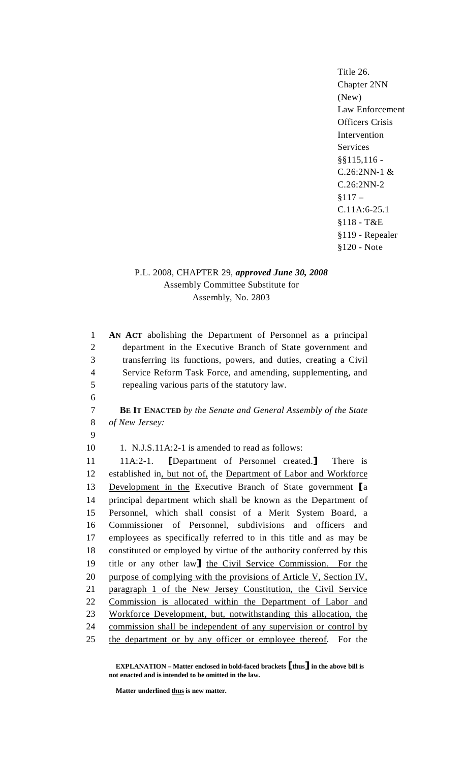Title 26. Chapter 2NN (New) Law Enforcement Officers Crisis Intervention Services §§115,116 - C.26:2NN-1 & C.26:2NN-2  $$117 -$ C.11A:6-25.1 §118 - T&E §119 - Repealer §120 - Note

## P.L. 2008, CHAPTER 29, *approved June 30, 2008* Assembly Committee Substitute for Assembly, No. 2803

1 **AN ACT** abolishing the Department of Personnel as a principal 2 department in the Executive Branch of State government and 3 transferring its functions, powers, and duties, creating a Civil 4 Service Reform Task Force, and amending, supplementing, and 5 repealing various parts of the statutory law. 6 7 **BE IT ENACTED** *by the Senate and General Assembly of the State*  8 *of New Jersey:*  9 10 1. N.J.S.11A:2-1 is amended to read as follows: 11 11A:2-1. **[Department of Personnel created.]** There is<br>12 established in but not of the Department of Labor and Workforce established in, but not of, the Department of Labor and Workforce 13 Development in the Executive Branch of State government [a principal department which shall be known as the Department of principal department which shall be known as the Department of 15 Personnel, which shall consist of a Merit System Board, a 16 Commissioner of Personnel, subdivisions and officers and 17 employees as specifically referred to in this title and as may be 18 constituted or employed by virtue of the authority conferred by this 19 title or any other law] the Civil Service Commission. For the 20 purpose of complying with the provisions of Article V. Section IV. purpose of complying with the provisions of Article V, Section IV, 21 paragraph 1 of the New Jersey Constitution, the Civil Service 22 Commission is allocated within the Department of Labor and 23 Workforce Development, but, notwithstanding this allocation, the 24 commission shall be independent of any supervision or control by 25 the department or by any officer or employee thereof. For the

 **EXPLANATION – Matter enclosed in bold-faced brackets** [**thus**] **in the above bill is not enacted and is intended to be omitted in the law.** 

 **Matter underlined thus is new matter.**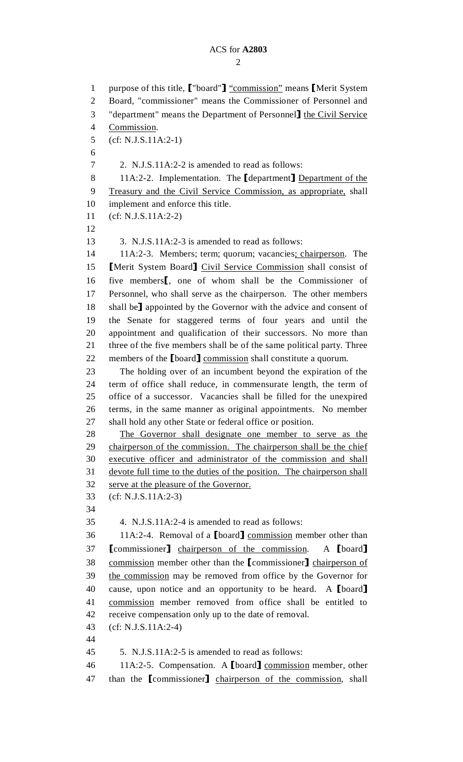1 purpose of this title, ["board"] "commission" means [Merit System<br>2 Board, "commissioner" means the Commissioner of Personnel and 2 Board, "commissioner" means the Commissioner of Personnel and 3 "department" means the Department of Personnel 1 the Civil Service<br>4 Commission. Commission. 5 (cf: N.J.S.11A:2-1) 6 7 2. N.J.S.11A:2-2 is amended to read as follows: 8 11A:2-2. Implementation. The [department] Department of the<br>9 Treasury and the Civil Service Commission. as appropriate, shall Treasury and the Civil Service Commission, as appropriate, shall 10 implement and enforce this title. 11 (cf: N.J.S.11A:2-2) 12 13 3. N.J.S.11A:2-3 is amended to read as follows: 14 11A:2-3. Members; term; quorum; vacancies; chairperson. The **15** [Merit System Board] Civil Service Commission shall consist of 16 five members [. one of whom shall be the Commissioner of 16 five members<sup>[1]</sup>, one of whom shall be the Commissioner of 17 Personnel, who shall serve as the chairperson. The other members Personnel, who shall serve as the chairperson. The other members 18 shall be<sup>1</sup> appointed by the Governor with the advice and consent of the Senate for staggered terms of four vears and until the the Senate for staggered terms of four years and until the 20 appointment and qualification of their successors. No more than 21 three of the five members shall be of the same political party. Three 22 members of the [board] commission shall constitute a quorum.<br>23 The holding over of an incumbent beyond the expiration of The holding over of an incumbent beyond the expiration of the 24 term of office shall reduce, in commensurate length, the term of 25 office of a successor. Vacancies shall be filled for the unexpired 26 terms, in the same manner as original appointments. No member 27 shall hold any other State or federal office or position. 28 The Governor shall designate one member to serve as the 29 chairperson of the commission. The chairperson shall be the chief 30 executive officer and administrator of the commission and shall 31 devote full time to the duties of the position. The chairperson shall 32 serve at the pleasure of the Governor. 33 (cf: N.J.S.11A:2-3) 34 35 4. N.J.S.11A:2-4 is amended to read as follows: 36 11A:2-4. Removal of a [board] commission member other than<br>37 [commissioner] chairperson of the commission. A [board] 37 [commissioner] chairperson of the commission.<br>38 commission member other than the [commissioner] 38 commission member other than the [commissioner] chairperson of<br>39 the commission may be removed from office by the Governor for the commission may be removed from office by the Governor for 40 cause, upon notice and an opportunity to be heard. A [board]<br>41 commission member removed from office shall be entitled to 41 commission member removed from office shall be entitled to 42 receive compensation only up to the date of removal. 43 (cf: N.J.S.11A:2-4) 44 45 5. N.J.S.11A:2-5 is amended to read as follows: 11A:2-5. Compensation. A [board] commission member, other<br>47 than the **I**commissioner chairperson of the commission, shall

than the [commissioner] chairperson of the commission, shall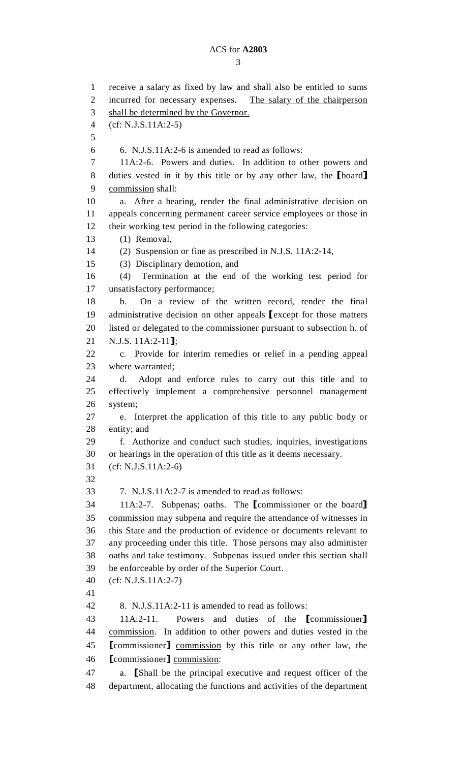1 receive a salary as fixed by law and shall also be entitled to sums 2 incurred for necessary expenses. The salary of the chairperson 3 shall be determined by the Governor. 4 (cf: N.J.S.11A:2-5) 5 6 6. N.J.S.11A:2-6 is amended to read as follows: 7 11A:2-6. Powers and duties. In addition to other powers and 8 duties vested in it by this title or by any other law, the [board]<br>9 commission shall: commission shall: 10 a. After a hearing, render the final administrative decision on 11 appeals concerning permanent career service employees or those in 12 their working test period in the following categories: 13 (1) Removal, 14 (2) Suspension or fine as prescribed in N.J.S. 11A:2-14, 15 (3) Disciplinary demotion, and 16 (4) Termination at the end of the working test period for 17 unsatisfactory performance; 18 b. On a review of the written record, render the final 19 administrative decision on other appeals [except for those matters 20 listed or delegated to the commissioner pursuant to subsection h. of listed or delegated to the commissioner pursuant to subsection h. of 21 N.J.S. 11A:2-11**]**;<br>22 c. Provide for c. Provide for interim remedies or relief in a pending appeal 23 where warranted; 24 d. Adopt and enforce rules to carry out this title and to 25 effectively implement a comprehensive personnel management 26 system; 27 e. Interpret the application of this title to any public body or 28 entity; and 29 f. Authorize and conduct such studies, inquiries, investigations 30 or hearings in the operation of this title as it deems necessary. 31 (cf: N.J.S.11A:2-6) 32 33 7. N.J.S.11A:2-7 is amended to read as follows: 34 11A:2-7. Subpenas; oaths. The [commissioner or the board]<br>35 commission may subpena and require the attendance of witnesses in 35 commission may subpena and require the attendance of witnesses in 36 this State and the production of evidence or documents relevant to 37 any proceeding under this title. Those persons may also administer 38 oaths and take testimony. Subpenas issued under this section shall 39 be enforceable by order of the Superior Court. 40 (cf: N.J.S.11A:2-7) 41 42 8. N.J.S.11A:2-11 is amended to read as follows: 43 11A:2-11. Powers and duties of the [commissioner]<br>44 commission. In addition to other powers and duties vested in the commission. In addition to other powers and duties vested in the 45 [commissioner] commission by this title or any other law, the<br>46 [commissioner] commission: 46 [commissioner] <u>commission</u>:<br>47 a. [Shall be the principal

47 a. [Shall be the principal executive and request officer of the department, allocating the functions and activities of the department department, allocating the functions and activities of the department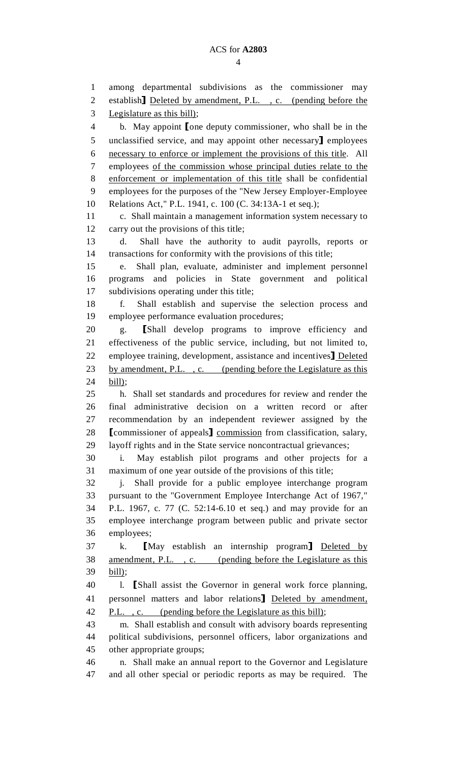1 among departmental subdivisions as the commissioner may 2 establish] Deleted by amendment, P.L., c. (pending before the Legislature as this bill); Legislature as this bill); 4 b. May appoint Lone deputy commissioner, who shall be in the unclassified service, and may appoint other necessary lemployees 5 unclassified service, and may appoint other necessary] employees<br>6 necessary to enforce or implement the provisions of this title. All 6 necessary to enforce or implement the provisions of this title. All 7 employees of the commission whose principal duties relate to the 8 enforcement or implementation of this title shall be confidential 9 employees for the purposes of the "New Jersey Employer-Employee 10 Relations Act," P.L. 1941, c. 100 (C. 34:13A-1 et seq.); 11 c. Shall maintain a management information system necessary to 12 carry out the provisions of this title; 13 d. Shall have the authority to audit payrolls, reports or 14 transactions for conformity with the provisions of this title; 15 e. Shall plan, evaluate, administer and implement personnel 16 programs and policies in State government and political 17 subdivisions operating under this title; 18 f. Shall establish and supervise the selection process and 19 employee performance evaluation procedures; 20 g. **[Shall develop programs to improve efficiency and effectiveness of the public service, including, but not limited to.** effectiveness of the public service, including, but not limited to, 22 employee training, development, assistance and incentives Deleted<br>23 by amendment, P.L. c. (pending before the Legislature as this by amendment, P.L., c. (pending before the Legislature as this 24 bill); 25 h. Shall set standards and procedures for review and render the 26 final administrative decision on a written record or after 27 recommendation by an independent reviewer assigned by the 28 [commissioner of appeals] commission from classification, salary,<br>29 lavoff rights and in the State service noncontractual grievances: layoff rights and in the State service noncontractual grievances; 30 i. May establish pilot programs and other projects for a 31 maximum of one year outside of the provisions of this title; 32 j. Shall provide for a public employee interchange program 33 pursuant to the "Government Employee Interchange Act of 1967," 34 P.L. 1967, c. 77 (C. 52:14-6.10 et seq.) and may provide for an 35 employee interchange program between public and private sector 36 employees; 37 k. [May establish an internship program] Deleted by<br>38 amendment, P.L. c. (pending before the Legislature as this amendment, P.L., c. (pending before the Legislature as this 39 bill); 40 1. [Shall assist the Governor in general work force planning,<br>41 personnel matters and labor relations Deleted by amendment. 41 personnel matters and labor relations Deleted by amendment,<br>42 P.L., c. (pending before the Legislature as this bill): P.L., c. (pending before the Legislature as this bill); 43 m. Shall establish and consult with advisory boards representing 44 political subdivisions, personnel officers, labor organizations and 45 other appropriate groups; 46 n. Shall make an annual report to the Governor and Legislature 47 and all other special or periodic reports as may be required. The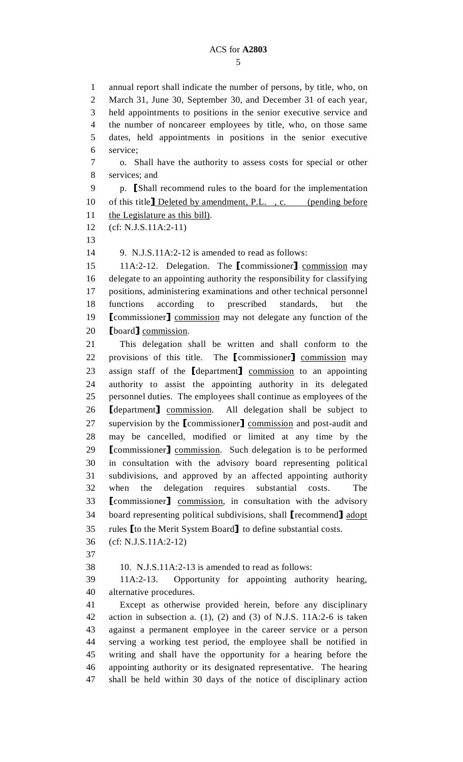1 annual report shall indicate the number of persons, by title, who, on 2 March 31, June 30, September 30, and December 31 of each year, 3 held appointments to positions in the senior executive service and 4 the number of noncareer employees by title, who, on those same 5 dates, held appointments in positions in the senior executive 6 service; 7 o. Shall have the authority to assess costs for special or other 8 services; and 9 p. [Shall recommend rules to the board for the implementation<br>10 of this title Deleted by amendment, P.L., c. (pending before 10 of this title<u>] Deleted by amendment, P.L., c. (pending before</u><br>11 the Legislature as this bill). the Legislature as this bill). 12 (cf: N.J.S.11A:2-11) 13 14 9. N.J.S.11A:2-12 is amended to read as follows: 15 11A:2-12. Delegation. The [commissioner] commission may<br>16 delegate to an appointing authority the responsibility for classifying 16 delegate to an appointing authority the responsibility for classifying 17 positions, administering examinations and other technical personnel 18 functions according to prescribed standards, but the 19 [commissioner] commission may not delegate any function of the<br>20 [board] commission. 20 [board] <u>commission</u>.<br>21 This delegation s This delegation shall be written and shall conform to the 22 provisions of this title. The [commissioner] commission may<br>23 assign staff of the [department] commission to an appointing 23 assign staff of the [department] commission to an appointing<br>24 authority to assist the appointing authority in its delegated authority to assist the appointing authority in its delegated 25 personnel duties. The employees shall continue as employees of the 26 [department] commission. All delegation shall be subject to<br>27 supervision by the [commissioner] commission and post-audit and 27 supervision by the [commissioner] commission and post-audit and<br>28 may be cancelled, modified or limited at any time by the may be cancelled, modified or limited at any time by the 29 [commissioner] commission. Such delegation is to be performed<br>30 in consultation with the advisory board representing political in consultation with the advisory board representing political 31 subdivisions, and approved by an affected appointing authority 32 when the delegation requires substantial costs. The 33 [commissioner] commission, in consultation with the advisory<br>34 board representing political subdivisions, shall [recommend] adopt 34 board representing political subdivisions, shall [recommend] adopt <br>35 rules  $\lceil \text{to the Merit System Board} \rceil$  to define substantial costs. 35 rules [to the Merit System Board] to define substantial costs.<br>36 (cf: N.J.S. 11A:2-12) 36 (cf: N.J.S.11A:2-12) 37 38 10. N.J.S.11A:2-13 is amended to read as follows: 39 11A:2-13. Opportunity for appointing authority hearing, 40 alternative procedures. 41 Except as otherwise provided herein, before any disciplinary 42 action in subsection a. (1), (2) and (3) of N.J.S. 11A:2-6 is taken 43 against a permanent employee in the career service or a person 44 serving a working test period, the employee shall be notified in 45 writing and shall have the opportunity for a hearing before the 46 appointing authority or its designated representative. The hearing 47 shall be held within 30 days of the notice of disciplinary action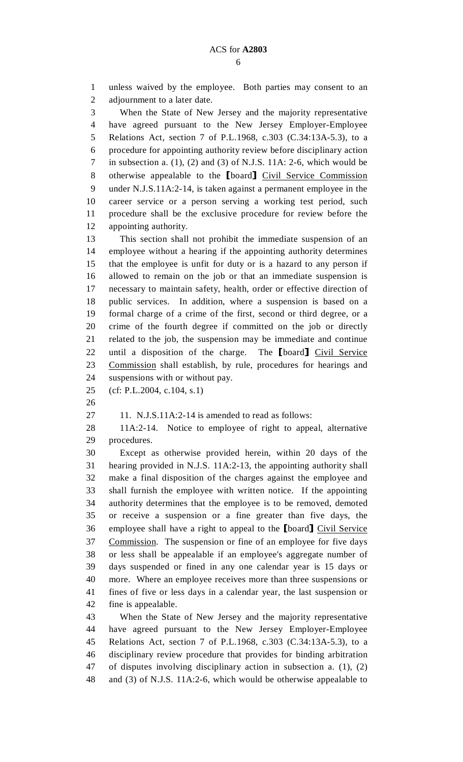1 unless waived by the employee. Both parties may consent to an 2 adjournment to a later date. 3 When the State of New Jersey and the majority representative 4 have agreed pursuant to the New Jersey Employer-Employee 5 Relations Act, section 7 of P.L.1968, c.303 (C.34:13A-5.3), to a 6 procedure for appointing authority review before disciplinary action 7 in subsection a. (1), (2) and (3) of N.J.S. 11A: 2-6, which would be 8 otherwise appealable to the [board] Civil Service Commission<br>9 under N.J.S.11A:2-14, is taken against a permanent employee in the under N.J.S.11A:2-14, is taken against a permanent employee in the 10 career service or a person serving a working test period, such 11 procedure shall be the exclusive procedure for review before the 12 appointing authority. 13 This section shall not prohibit the immediate suspension of an 14 employee without a hearing if the appointing authority determines 15 that the employee is unfit for duty or is a hazard to any person if 16 allowed to remain on the job or that an immediate suspension is 17 necessary to maintain safety, health, order or effective direction of 18 public services. In addition, where a suspension is based on a 19 formal charge of a crime of the first, second or third degree, or a 20 crime of the fourth degree if committed on the job or directly 21 related to the job, the suspension may be immediate and continue 22 until a disposition of the charge. The [board] Civil Service<br>23 Commission shall establish, by rule, procedures for hearings and Commission shall establish, by rule, procedures for hearings and 24 suspensions with or without pay.

- 25 (cf: P.L.2004, c.104, s.1)
- 26

27 11. N.J.S.11A:2-14 is amended to read as follows:

28 11A:2-14. Notice to employee of right to appeal, alternative 29 procedures.

30 Except as otherwise provided herein, within 20 days of the 31 hearing provided in N.J.S. 11A:2-13, the appointing authority shall 32 make a final disposition of the charges against the employee and 33 shall furnish the employee with written notice. If the appointing 34 authority determines that the employee is to be removed, demoted 35 or receive a suspension or a fine greater than five days, the 36 employee shall have a right to appeal to the [board] Civil Service 37 Commission. The suspension or fine of an employee for five days Commission. The suspension or fine of an employee for five days 38 or less shall be appealable if an employee's aggregate number of 39 days suspended or fined in any one calendar year is 15 days or 40 more. Where an employee receives more than three suspensions or 41 fines of five or less days in a calendar year, the last suspension or 42 fine is appealable.

43 When the State of New Jersey and the majority representative 44 have agreed pursuant to the New Jersey Employer-Employee 45 Relations Act, section 7 of P.L.1968, c.303 (C.34:13A-5.3), to a 46 disciplinary review procedure that provides for binding arbitration 47 of disputes involving disciplinary action in subsection a. (1), (2) 48 and (3) of N.J.S. 11A:2-6, which would be otherwise appealable to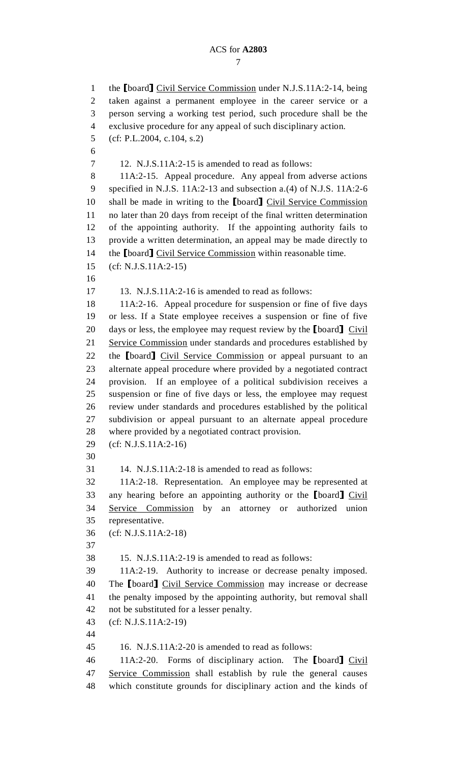1 the [board] Civil Service Commission under N.J.S.11A:2-14, being<br>2 taken against a permanent employee in the career service or a taken against a permanent employee in the career service or a 3 person serving a working test period, such procedure shall be the 4 exclusive procedure for any appeal of such disciplinary action. 5 (cf: P.L.2004, c.104, s.2) 6 7 12. N.J.S.11A:2-15 is amended to read as follows: 8 11A:2-15. Appeal procedure. Any appeal from adverse actions 9 specified in N.J.S. 11A:2-13 and subsection a.(4) of N.J.S. 11A:2-6 10 shall be made in writing to the [board] Civil Service Commission<br>11 no later than 20 days from receipt of the final written determination 11 no later than 20 days from receipt of the final written determination 12 of the appointing authority. If the appointing authority fails to 13 provide a written determination, an appeal may be made directly to 14 the [board] Civil Service Commission within reasonable time.<br>15 (cf: N.J.S.11A:2-15)  $(cf: N.J.S.11A:2-15)$ 16 17 13. N.J.S.11A:2-16 is amended to read as follows: 18 11A:2-16. Appeal procedure for suspension or fine of five days 19 or less. If a State employee receives a suspension or fine of five 20 days or less, the employee may request review by the [board] Civil<br>21 Service Commission under standards and procedures established by Service Commission under standards and procedures established by 22 the [board] Civil Service Commission or appeal pursuant to an alternate appeal procedure where provided by a negotiated contract alternate appeal procedure where provided by a negotiated contract 24 provision. If an employee of a political subdivision receives a 25 suspension or fine of five days or less, the employee may request 26 review under standards and procedures established by the political 27 subdivision or appeal pursuant to an alternate appeal procedure 28 where provided by a negotiated contract provision. 29 (cf: N.J.S.11A:2-16) 30  $31$  14. N.J.S.11A:2-18 is amended to read as follows: 32 11A:2-18. Representation. An employee may be represented at 33 any hearing before an appointing authority or the [board] Civil<br>34 Service Commission by an attorney or authorized union Service Commission by an attorney or authorized union 35 representative. 36 (cf: N.J.S.11A:2-18) 37 38 15. N.J.S.11A:2-19 is amended to read as follows: 39 11A:2-19. Authority to increase or decrease penalty imposed. 40 The [board] Civil Service Commission may increase or decrease<br>41 the penalty imposed by the appointing authority, but removal shall the penalty imposed by the appointing authority, but removal shall 42 not be substituted for a lesser penalty. 43 (cf: N.J.S.11A:2-19) 44 45 16. N.J.S.11A:2-20 is amended to read as follows: 46 11A:2-20. Forms of disciplinary action. The [board] Civil 47 Service Commission shall establish by rule the general causes Service Commission shall establish by rule the general causes

48 which constitute grounds for disciplinary action and the kinds of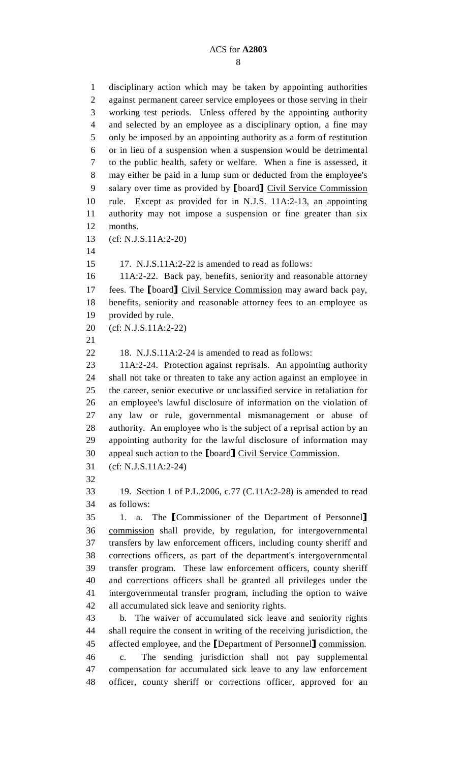1 disciplinary action which may be taken by appointing authorities 2 against permanent career service employees or those serving in their 3 working test periods. Unless offered by the appointing authority 4 and selected by an employee as a disciplinary option, a fine may 5 only be imposed by an appointing authority as a form of restitution 6 or in lieu of a suspension when a suspension would be detrimental 7 to the public health, safety or welfare. When a fine is assessed, it 8 may either be paid in a lump sum or deducted from the employee's 9 salary over time as provided by [board] Civil Service Commission<br>10 rule. Except as provided for in N.J.S. 11A:2-13, an appointing rule. Except as provided for in N.J.S. 11A:2-13, an appointing 11 authority may not impose a suspension or fine greater than six 12 months. 13 (cf: N.J.S.11A:2-20) 14 15 17. N.J.S.11A:2-22 is amended to read as follows: 16 11A:2-22. Back pay, benefits, seniority and reasonable attorney 17 fees. The [board] Civil Service Commission may award back pay,<br>18 benefits, seniority and reasonable attorney fees to an employee as benefits, seniority and reasonable attorney fees to an employee as 19 provided by rule. 20 (cf: N.J.S.11A:2-22) 21 22 18. N.J.S.11A:2-24 is amended to read as follows: 23 11A:2-24. Protection against reprisals. An appointing authority 24 shall not take or threaten to take any action against an employee in 25 the career, senior executive or unclassified service in retaliation for 26 an employee's lawful disclosure of information on the violation of 27 any law or rule, governmental mismanagement or abuse of 28 authority. An employee who is the subject of a reprisal action by an 29 appointing authority for the lawful disclosure of information may 30 appeal such action to the [board] Civil Service Commission.<br>31 (cf: N.J.S.11A:2-24) 31 (cf: N.J.S.11A:2-24) 32 33 19. Section 1 of P.L.2006, c.77 (C.11A:2-28) is amended to read 34 as follows: 35 1. a. The [Commissioner of the Department of Personnel]<br>36 commission shall provide, by regulation, for intergovernmental commission shall provide, by regulation, for intergovernmental 37 transfers by law enforcement officers, including county sheriff and 38 corrections officers, as part of the department's intergovernmental 39 transfer program. These law enforcement officers, county sheriff 40 and corrections officers shall be granted all privileges under the 41 intergovernmental transfer program, including the option to waive 42 all accumulated sick leave and seniority rights. 43 b. The waiver of accumulated sick leave and seniority rights 44 shall require the consent in writing of the receiving jurisdiction, the 45 affected employee, and the [Department of Personnel] commission.<br>46 c. The sending iurisdiction shall not pay supplemental The sending jurisdiction shall not pay supplemental 47 compensation for accumulated sick leave to any law enforcement 48 officer, county sheriff or corrections officer, approved for an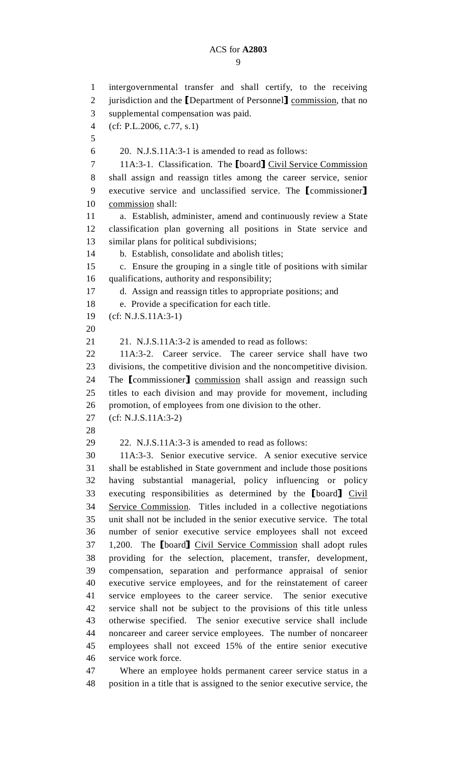1 intergovernmental transfer and shall certify, to the receiving 2 jurisdiction and the [Department of Personnel] commission, that no<br>3 supplemental compensation was paid. supplemental compensation was paid. 4 (cf: P.L.2006, c.77, s.1) 5 6 20. N.J.S.11A:3-1 is amended to read as follows: 7 11A:3-1. Classification. The [board] Civil Service Commission<br>8 shall assign and reassign titles among the career service, senior shall assign and reassign titles among the career service, senior 9 executive service and unclassified service. The [commissioner]<br>10 commission shall: commission shall: 11 a. Establish, administer, amend and continuously review a State 12 classification plan governing all positions in State service and 13 similar plans for political subdivisions; 14 b. Establish, consolidate and abolish titles; 15 c. Ensure the grouping in a single title of positions with similar 16 qualifications, authority and responsibility; 17 d. Assign and reassign titles to appropriate positions; and 18 e. Provide a specification for each title. 19 (cf: N.J.S.11A:3-1) 20 21 21. N.J.S.11A:3-2 is amended to read as follows: 22 11A:3-2. Career service. The career service shall have two 23 divisions, the competitive division and the noncompetitive division. 24 The [commissioner] commission shall assign and reassign such<br>25 titles to each division and may provide for movement, including titles to each division and may provide for movement, including 26 promotion, of employees from one division to the other. 27 (cf: N.J.S.11A:3-2) 28 29 22. N.J.S.11A:3-3 is amended to read as follows: 30 11A:3-3. Senior executive service. A senior executive service 31 shall be established in State government and include those positions 32 having substantial managerial, policy influencing or policy 33 executing responsibilities as determined by the [board] Civil<br>34 Service Commission. Titles included in a collective negotiations Service Commission. Titles included in a collective negotiations 35 unit shall not be included in the senior executive service. The total 36 number of senior executive service employees shall not exceed 37 1,200. The [board] Civil Service Commission shall adopt rules<br>38 providing for the selection, placement, transfer, development, providing for the selection, placement, transfer, development, 39 compensation, separation and performance appraisal of senior 40 executive service employees, and for the reinstatement of career 41 service employees to the career service. The senior executive 42 service shall not be subject to the provisions of this title unless 43 otherwise specified. The senior executive service shall include 44 noncareer and career service employees. The number of noncareer 45 employees shall not exceed 15% of the entire senior executive 46 service work force. 47 Where an employee holds permanent career service status in a

48 position in a title that is assigned to the senior executive service, the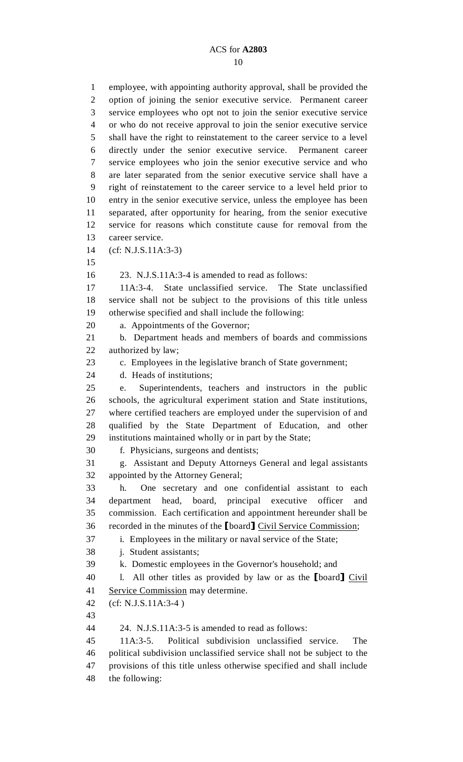1 employee, with appointing authority approval, shall be provided the 2 option of joining the senior executive service. Permanent career 3 service employees who opt not to join the senior executive service 4 or who do not receive approval to join the senior executive service 5 shall have the right to reinstatement to the career service to a level 6 directly under the senior executive service. Permanent career 7 service employees who join the senior executive service and who 8 are later separated from the senior executive service shall have a 9 right of reinstatement to the career service to a level held prior to 10 entry in the senior executive service, unless the employee has been 11 separated, after opportunity for hearing, from the senior executive 12 service for reasons which constitute cause for removal from the 13 career service. 14 (cf: N.J.S.11A:3-3) 15 16 23. N.J.S.11A:3-4 is amended to read as follows: 17 11A:3-4. State unclassified service. The State unclassified 18 service shall not be subject to the provisions of this title unless 19 otherwise specified and shall include the following: 20 a. Appointments of the Governor; 21 b. Department heads and members of boards and commissions 22 authorized by law; 23 c. Employees in the legislative branch of State government; 24 d. Heads of institutions; 25 e. Superintendents, teachers and instructors in the public 26 schools, the agricultural experiment station and State institutions, 27 where certified teachers are employed under the supervision of and 28 qualified by the State Department of Education, and other 29 institutions maintained wholly or in part by the State; 30 f. Physicians, surgeons and dentists; 31 g. Assistant and Deputy Attorneys General and legal assistants 32 appointed by the Attorney General; 33 h. One secretary and one confidential assistant to each 34 department head, board, principal executive officer and 35 commission. Each certification and appointment hereunder shall be 36 recorded in the minutes of the [board] Civil Service Commission;<br>37 i. Employees in the military or naval service of the State: i. Employees in the military or naval service of the State; 38 j. Student assistants; 39 k. Domestic employees in the Governor's household; and 40 l. All other titles as provided by law or as the [board] Civil 41 Service Commission may determine. Service Commission may determine. 42 (cf: N.J.S.11A:3-4 ) 43 44 24. N.J.S.11A:3-5 is amended to read as follows: 45 11A:3-5. Political subdivision unclassified service. The 46 political subdivision unclassified service shall not be subject to the 47 provisions of this title unless otherwise specified and shall include 48 the following: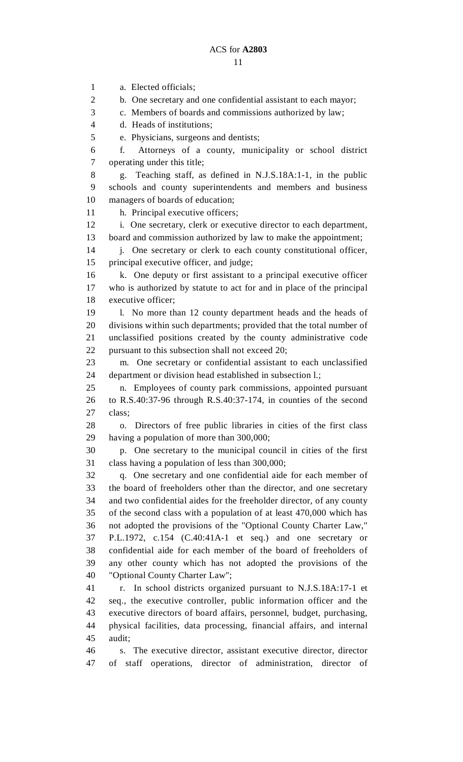1 a. Elected officials; 2 b. One secretary and one confidential assistant to each mayor; 3 c. Members of boards and commissions authorized by law; 4 d. Heads of institutions; 5 e. Physicians, surgeons and dentists; 6 f. Attorneys of a county, municipality or school district 7 operating under this title; 8 g. Teaching staff, as defined in N.J.S.18A:1-1, in the public 9 schools and county superintendents and members and business 10 managers of boards of education; 11 h. Principal executive officers; 12 i. One secretary, clerk or executive director to each department, 13 board and commission authorized by law to make the appointment; 14 j. One secretary or clerk to each county constitutional officer, 15 principal executive officer, and judge; 16 k. One deputy or first assistant to a principal executive officer 17 who is authorized by statute to act for and in place of the principal 18 executive officer; 19 l. No more than 12 county department heads and the heads of 20 divisions within such departments; provided that the total number of 21 unclassified positions created by the county administrative code 22 pursuant to this subsection shall not exceed 20; 23 m. One secretary or confidential assistant to each unclassified 24 department or division head established in subsection l.; 25 n. Employees of county park commissions, appointed pursuant 26 to R.S.40:37-96 through R.S.40:37-174, in counties of the second 27 class; 28 o. Directors of free public libraries in cities of the first class 29 having a population of more than 300,000; 30 p. One secretary to the municipal council in cities of the first 31 class having a population of less than 300,000; 32 q. One secretary and one confidential aide for each member of 33 the board of freeholders other than the director, and one secretary 34 and two confidential aides for the freeholder director, of any county 35 of the second class with a population of at least 470,000 which has 36 not adopted the provisions of the "Optional County Charter Law," 37 P.L.1972, c.154 (C.40:41A-1 et seq.) and one secretary or 38 confidential aide for each member of the board of freeholders of 39 any other county which has not adopted the provisions of the 40 "Optional County Charter Law"; 41 r. In school districts organized pursuant to N.J.S.18A:17-1 et 42 seq., the executive controller, public information officer and the 43 executive directors of board affairs, personnel, budget, purchasing, 44 physical facilities, data processing, financial affairs, and internal 45 audit; 46 s. The executive director, assistant executive director, director 47 of staff operations, director of administration, director of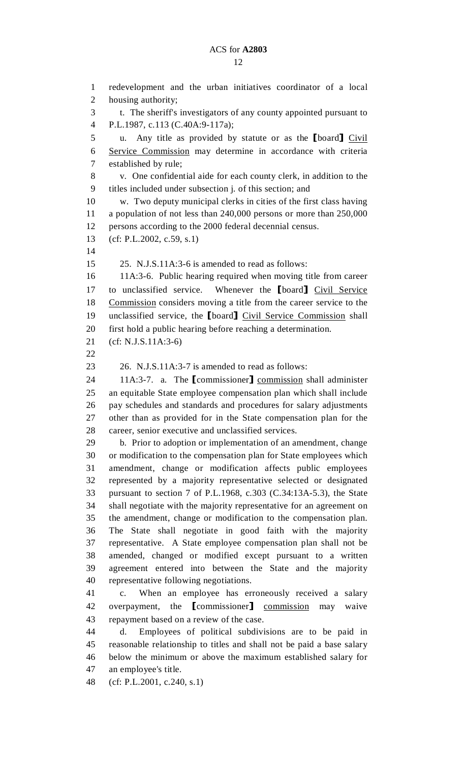1 redevelopment and the urban initiatives coordinator of a local 2 housing authority; 3 t. The sheriff's investigators of any county appointed pursuant to 4 P.L.1987, c.113 (C.40A:9-117a); 5 u. Any title as provided by statute or as the [board] Civil 6 Service Commission may determine in accordance with criteria Service Commission may determine in accordance with criteria 7 established by rule; 8 v. One confidential aide for each county clerk, in addition to the 9 titles included under subsection j. of this section; and 10 w. Two deputy municipal clerks in cities of the first class having 11 a population of not less than 240,000 persons or more than 250,000 12 persons according to the 2000 federal decennial census. 13 (cf: P.L.2002, c.59, s.1) 14 15 25. N.J.S.11A:3-6 is amended to read as follows: 16 11A:3-6. Public hearing required when moving title from career 17 to unclassified service. Whenever the [board] Civil Service 18 Commission considers moving a title from the career service to the Commission considers moving a title from the career service to the 19 unclassified service, the [board] Civil Service Commission shall<br>20 first hold a public hearing before reaching a determination. first hold a public hearing before reaching a determination. 21 (cf: N.J.S.11A:3-6) 22 23 26. N.J.S.11A:3-7 is amended to read as follows: 24 11A:3-7. a. The [commissioner] <u>commission</u> shall administer<br>25 an equitable State employee compensation plan which shall include an equitable State employee compensation plan which shall include 26 pay schedules and standards and procedures for salary adjustments 27 other than as provided for in the State compensation plan for the 28 career, senior executive and unclassified services. 29 b. Prior to adoption or implementation of an amendment, change 30 or modification to the compensation plan for State employees which 31 amendment, change or modification affects public employees 32 represented by a majority representative selected or designated 33 pursuant to section 7 of P.L.1968, c.303 (C.34:13A-5.3), the State 34 shall negotiate with the majority representative for an agreement on 35 the amendment, change or modification to the compensation plan. 36 The State shall negotiate in good faith with the majority 37 representative. A State employee compensation plan shall not be 38 amended, changed or modified except pursuant to a written 39 agreement entered into between the State and the majority 40 representative following negotiations. 41 c. When an employee has erroneously received a salary 42 overpayment, the [commissioner] commission may waive<br>43 repayment based on a review of the case. repayment based on a review of the case. 44 d. Employees of political subdivisions are to be paid in 45 reasonable relationship to titles and shall not be paid a base salary 46 below the minimum or above the maximum established salary for 47 an employee's title. 48 (cf: P.L.2001, c.240, s.1)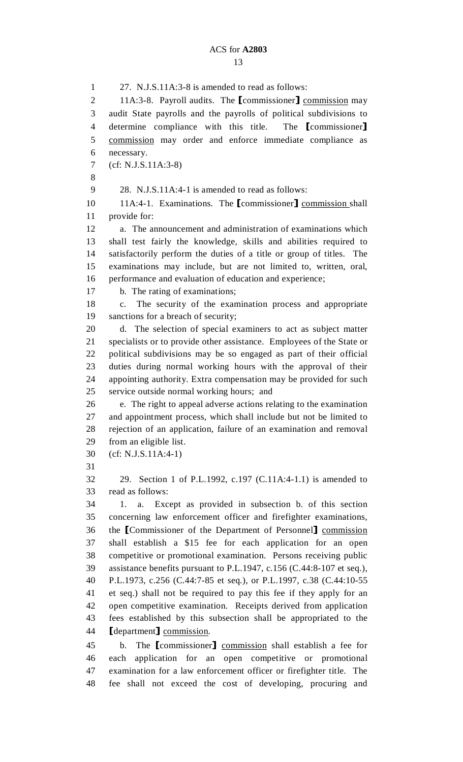1 27. N.J.S.11A:3-8 is amended to read as follows: 2 11A:3-8. Payroll audits. The [commissioner] commission may<br>3 audit State payrolls and the payrolls of political subdivisions to audit State payrolls and the payrolls of political subdivisions to 4 determine compliance with this title. The [commissioner]<br>5 commission may order and enforce immediate compliance as commission may order and enforce immediate compliance as 6 necessary. 7 (cf: N.J.S.11A:3-8) 8 9 28. N.J.S.11A:4-1 is amended to read as follows: 10 11A:4-1. Examinations. The [commissioner] commission shall<br>11 provide for: provide for: 12 a. The announcement and administration of examinations which 13 shall test fairly the knowledge, skills and abilities required to 14 satisfactorily perform the duties of a title or group of titles. The 15 examinations may include, but are not limited to, written, oral, 16 performance and evaluation of education and experience; 17 b. The rating of examinations; 18 c. The security of the examination process and appropriate 19 sanctions for a breach of security; 20 d. The selection of special examiners to act as subject matter 21 specialists or to provide other assistance. Employees of the State or 22 political subdivisions may be so engaged as part of their official 23 duties during normal working hours with the approval of their 24 appointing authority. Extra compensation may be provided for such 25 service outside normal working hours; and 26 e. The right to appeal adverse actions relating to the examination 27 and appointment process, which shall include but not be limited to 28 rejection of an application, failure of an examination and removal 29 from an eligible list. 30 (cf: N.J.S.11A:4-1) 31 32 29. Section 1 of P.L.1992, c.197 (C.11A:4-1.1) is amended to 33 read as follows: 34 1. a. Except as provided in subsection b. of this section 35 concerning law enforcement officer and firefighter examinations, 36 the **[Commissioner of the Department of Personnel** commission<br>37 shall establish a \$15 fee for each application for an open shall establish a \$15 fee for each application for an open 38 competitive or promotional examination. Persons receiving public 39 assistance benefits pursuant to P.L.1947, c.156 (C.44:8-107 et seq.), 40 P.L.1973, c.256 (C.44:7-85 et seq.), or P.L.1997, c.38 (C.44:10-55 41 et seq.) shall not be required to pay this fee if they apply for an 42 open competitive examination. Receipts derived from application 43 fees established by this subsection shall be appropriated to the 44 [department] commission.<br>45 b. The Icommissioner 45 b. The [commissioner] commission shall establish a fee for<br>46 each application for an open competitive or promotional each application for an open competitive or promotional

47 examination for a law enforcement officer or firefighter title. The 48 fee shall not exceed the cost of developing, procuring and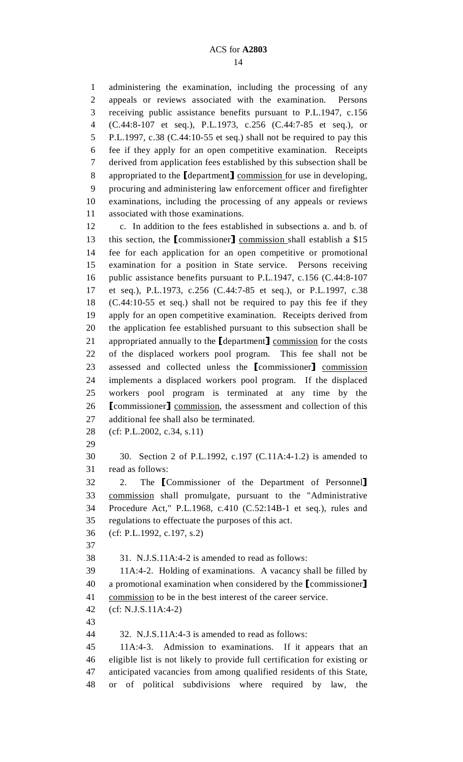1 administering the examination, including the processing of any 2 appeals or reviews associated with the examination. Persons 3 receiving public assistance benefits pursuant to P.L.1947, c.156 4 (C.44:8-107 et seq.), P.L.1973, c.256 (C.44:7-85 et seq.), or 5 P.L.1997, c.38 (C.44:10-55 et seq.) shall not be required to pay this 6 fee if they apply for an open competitive examination. Receipts 7 derived from application fees established by this subsection shall be 8 appropriated to the [department] commission for use in developing,<br>9 orocuring and administering law enforcement officer and firefighter procuring and administering law enforcement officer and firefighter 10 examinations, including the processing of any appeals or reviews 11 associated with those examinations.

12 c. In addition to the fees established in subsections a. and b. of 13 this section, the [commissioner] commission shall establish a \$15<br>14 fee for each application for an open competitive or promotional fee for each application for an open competitive or promotional 15 examination for a position in State service. Persons receiving 16 public assistance benefits pursuant to P.L.1947, c.156 (C.44:8-107 17 et seq.), P.L.1973, c.256 (C.44:7-85 et seq.), or P.L.1997, c.38 18 (C.44:10-55 et seq.) shall not be required to pay this fee if they 19 apply for an open competitive examination. Receipts derived from 20 the application fee established pursuant to this subsection shall be 21 appropriated annually to the [department] commission for the costs<br>22 of the displaced workers pool program. This fee shall not be of the displaced workers pool program. This fee shall not be 23 assessed and collected unless the [commissioner] commission<br>24 implements a displaced workers pool program. If the displaced implements a displaced workers pool program. If the displaced 25 workers pool program is terminated at any time by the 26 [commissioner] commission, the assessment and collection of this additional fee shall also be terminated. additional fee shall also be terminated.

- 28 (cf: P.L.2002, c.34, s.11)
- 29

30 30. Section 2 of P.L.1992, c.197 (C.11A:4-1.2) is amended to 31 read as follows:

32 2. The **[Commissioner of the Department of Personnel]**<br>33 commission shall promulgate, pursuant to the "Administrative 33 commission shall promulgate, pursuant to the "Administrative 34 Procedure Act," P.L.1968, c.410 (C.52:14B-1 et seq.), rules and 35 regulations to effectuate the purposes of this act.

```
36 (cf: P.L.1992, c.197, s.2)
```
37

38 31. N.J.S.11A:4-2 is amended to read as follows:

39 11A:4-2. Holding of examinations. A vacancy shall be filled by 40 a promotional examination when considered by the [commissioner]<br>41 commission to be in the best interest of the career service. commission to be in the best interest of the career service.

42 (cf: N.J.S.11A:4-2)

43

44 32. N.J.S.11A:4-3 is amended to read as follows:

45 11A:4-3. Admission to examinations. If it appears that an 46 eligible list is not likely to provide full certification for existing or 47 anticipated vacancies from among qualified residents of this State, 48 or of political subdivisions where required by law, the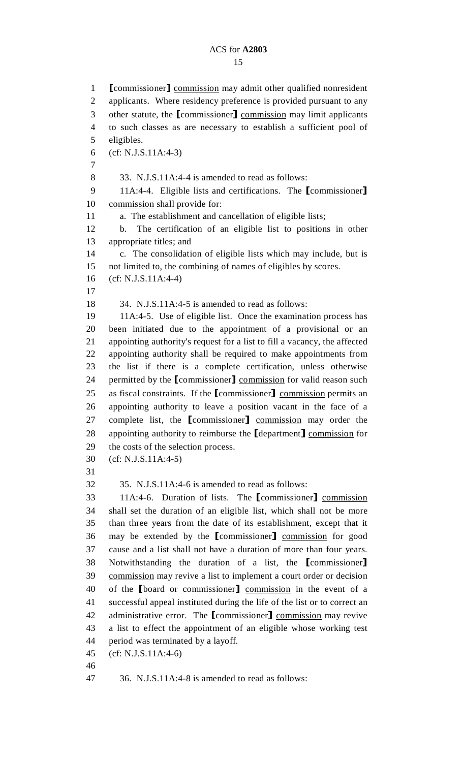1 [commissioner] commission may admit other qualified nonresident<br>2 applicants. Where residency preference is provided pursuant to any applicants. Where residency preference is provided pursuant to any 3 other statute, the [commissioner] commission may limit applicants<br>4 to such classes as are necessary to establish a sufficient pool of 4 to such classes as are necessary to establish a sufficient pool of 5 eligibles. 6 (cf: N.J.S.11A:4-3) 7 8 33. N.J.S.11A:4-4 is amended to read as follows: 9 11A:4-4. Eligible lists and certifications. The [commissioner]<br>10 commission shall provide for: commission shall provide for: 11 a. The establishment and cancellation of eligible lists; 12 b. The certification of an eligible list to positions in other 13 appropriate titles; and 14 c. The consolidation of eligible lists which may include, but is 15 not limited to, the combining of names of eligibles by scores. 16 (cf: N.J.S.11A:4-4) 17 18 34. N.J.S.11A:4-5 is amended to read as follows: 19 11A:4-5. Use of eligible list. Once the examination process has 20 been initiated due to the appointment of a provisional or an 21 appointing authority's request for a list to fill a vacancy, the affected 22 appointing authority shall be required to make appointments from 23 the list if there is a complete certification, unless otherwise 24 permitted by the [commissioner] commission for valid reason such<br>25 as fiscal constraints. If the [commissioner] commission permits an 25 as fiscal constraints. If the [commissioner] commission permits an appointing authority to leave a position vacant in the face of a appointing authority to leave a position vacant in the face of a 27 complete list, the [commissioner] commission may order the 28 appointing authority to reimburse the [department] commission for 28 appointing authority to reimburse the [department] commission for<br>29 the costs of the selection process. the costs of the selection process. 30 (cf: N.J.S.11A:4-5) 31 32 35. N.J.S.11A:4-6 is amended to read as follows: 33 11A:4-6. Duration of lists. The [commissioner] commission<br>34 shall set the duration of an eligible list, which shall not be more shall set the duration of an eligible list, which shall not be more 35 than three years from the date of its establishment, except that it 36 may be extended by the [commissioner] commission for good<br>37 cause and a list shall not have a duration of more than four vears. cause and a list shall not have a duration of more than four years. 38 Notwithstanding the duration of a list, the [commissioner]<br>39 commission may revive a list to implement a court order or decision commission may revive a list to implement a court order or decision 40 of the [board or commissioner] <u>commission</u> in the event of a<br>41 successful appeal instituted during the life of the list or to correct an successful appeal instituted during the life of the list or to correct an 42 administrative error. The [commissioner] commission may revive<br>43 a list to effect the appointment of an eligible whose working test a list to effect the appointment of an eligible whose working test 44 period was terminated by a layoff. 45 (cf: N.J.S.11A:4-6) 46

47 36. N.J.S.11A:4-8 is amended to read as follows: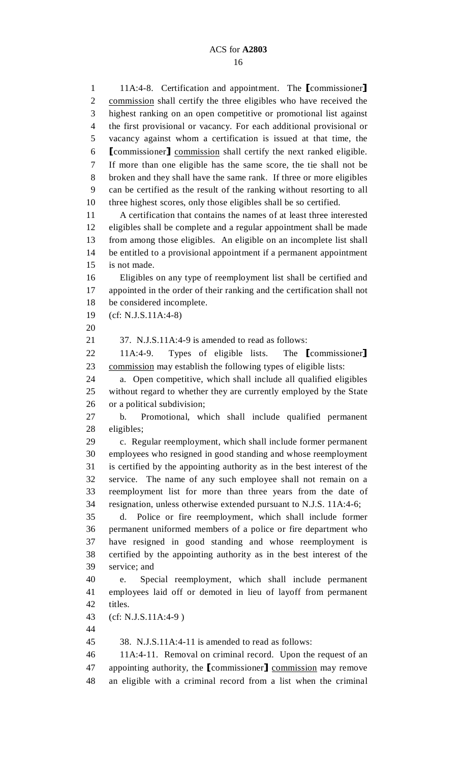1 11A:4-8. Certification and appointment. The [commissioner]<br>2 commission shall certify the three eligibles who have received the 2 commission shall certify the three eligibles who have received the 3 highest ranking on an open competitive or promotional list against 4 the first provisional or vacancy. For each additional provisional or 5 vacancy against whom a certification is issued at that time, the 6 [commissioner] commission shall certify the next ranked eligible.<br>7 If more than one eligible has the same score, the tie shall not be If more than one eligible has the same score, the tie shall not be 8 broken and they shall have the same rank. If three or more eligibles 9 can be certified as the result of the ranking without resorting to all 10 three highest scores, only those eligibles shall be so certified. 11 A certification that contains the names of at least three interested 12 eligibles shall be complete and a regular appointment shall be made 13 from among those eligibles. An eligible on an incomplete list shall 14 be entitled to a provisional appointment if a permanent appointment 15 is not made. 16 Eligibles on any type of reemployment list shall be certified and 17 appointed in the order of their ranking and the certification shall not 18 be considered incomplete. 19 (cf: N.J.S.11A:4-8) 20 21 37. N.J.S.11A:4-9 is amended to read as follows: 22 11A:4-9. Types of eligible lists. The [commissioner]<br>23 commission may establish the following types of eligible lists: commission may establish the following types of eligible lists: 24 a. Open competitive, which shall include all qualified eligibles 25 without regard to whether they are currently employed by the State 26 or a political subdivision; 27 b. Promotional, which shall include qualified permanent 28 eligibles; 29 c. Regular reemployment, which shall include former permanent 30 employees who resigned in good standing and whose reemployment 31 is certified by the appointing authority as in the best interest of the 32 service. The name of any such employee shall not remain on a 33 reemployment list for more than three years from the date of 34 resignation, unless otherwise extended pursuant to N.J.S. 11A:4-6; 35 d. Police or fire reemployment, which shall include former 36 permanent uniformed members of a police or fire department who 37 have resigned in good standing and whose reemployment is 38 certified by the appointing authority as in the best interest of the 39 service; and 40 e. Special reemployment, which shall include permanent 41 employees laid off or demoted in lieu of layoff from permanent 42 titles. 43 (cf: N.J.S.11A:4-9 ) 44 45 38. N.J.S.11A:4-11 is amended to read as follows: 46 11A:4-11. Removal on criminal record. Upon the request of an 47 appointing authority, the [commissioner] commission may remove<br>48 an eligible with a criminal record from a list when the criminal an eligible with a criminal record from a list when the criminal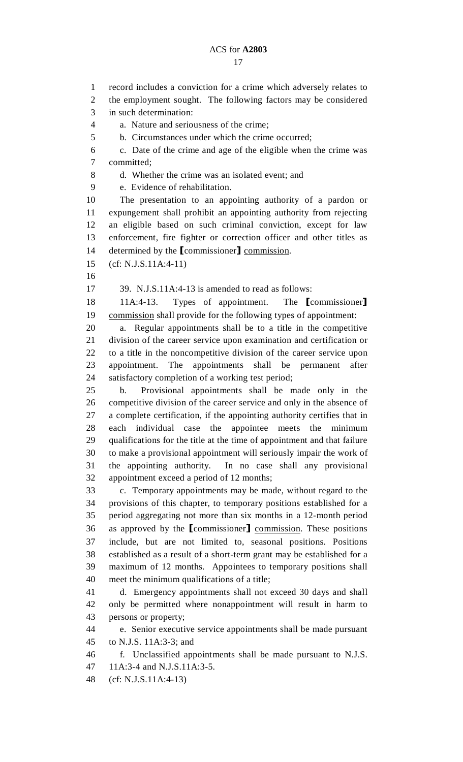1 record includes a conviction for a crime which adversely relates to 2 the employment sought. The following factors may be considered 3 in such determination: 4 a. Nature and seriousness of the crime; 5 b. Circumstances under which the crime occurred; 6 c. Date of the crime and age of the eligible when the crime was 7 committed; 8 d. Whether the crime was an isolated event; and 9 e. Evidence of rehabilitation. 10 The presentation to an appointing authority of a pardon or 11 expungement shall prohibit an appointing authority from rejecting 12 an eligible based on such criminal conviction, except for law 13 enforcement, fire fighter or correction officer and other titles as 14 determined by the [commissioner] commission.<br>15 (cf: N.J.S.11A:4-11)  $(cf: N.J.S.11A:4-11)$ 16 17 39. N.J.S.11A:4-13 is amended to read as follows: 18 11A:4-13. Types of appointment. The [commissioner]<br>19 commission shall provide for the following types of appointment: commission shall provide for the following types of appointment: 20 a. Regular appointments shall be to a title in the competitive 21 division of the career service upon examination and certification or 22 to a title in the noncompetitive division of the career service upon 23 appointment. The appointments shall be permanent after 24 satisfactory completion of a working test period; 25 b. Provisional appointments shall be made only in the 26 competitive division of the career service and only in the absence of 27 a complete certification, if the appointing authority certifies that in 28 each individual case the appointee meets the minimum 29 qualifications for the title at the time of appointment and that failure 30 to make a provisional appointment will seriously impair the work of 31 the appointing authority. In no case shall any provisional 32 appointment exceed a period of 12 months; 33 c. Temporary appointments may be made, without regard to the 34 provisions of this chapter, to temporary positions established for a 35 period aggregating not more than six months in a 12-month period 36 as approved by the [commissioner] commission. These positions<br>37 include, but are not limited to, seasonal positions. Positions include, but are not limited to, seasonal positions. Positions 38 established as a result of a short-term grant may be established for a 39 maximum of 12 months. Appointees to temporary positions shall 40 meet the minimum qualifications of a title; 41 d. Emergency appointments shall not exceed 30 days and shall 42 only be permitted where nonappointment will result in harm to 43 persons or property; 44 e. Senior executive service appointments shall be made pursuant 45 to N.J.S. 11A:3-3; and 46 f. Unclassified appointments shall be made pursuant to N.J.S. 47 11A:3-4 and N.J.S.11A:3-5. 48 (cf: N.J.S.11A:4-13)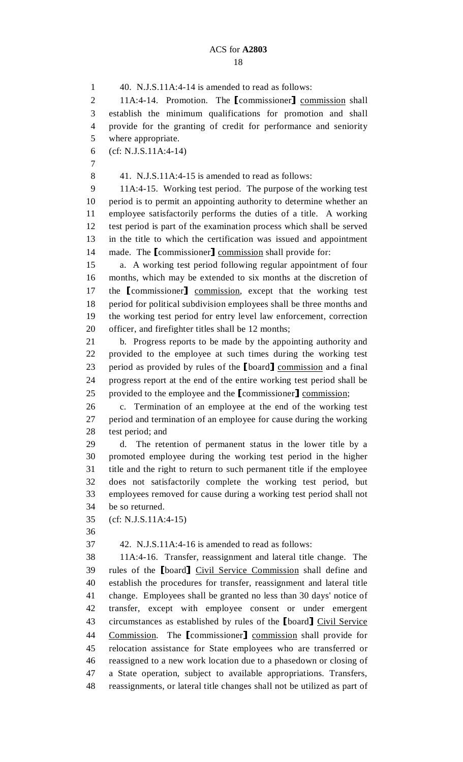1 40. N.J.S.11A:4-14 is amended to read as follows: 2 11A:4-14. Promotion. The [commissioner] commission shall<br>3 establish the minimum qualifications for promotion and shall establish the minimum qualifications for promotion and shall 4 provide for the granting of credit for performance and seniority 5 where appropriate. 6 (cf: N.J.S.11A:4-14) 7 8 41. N.J.S.11A:4-15 is amended to read as follows: 9 11A:4-15. Working test period. The purpose of the working test 10 period is to permit an appointing authority to determine whether an 11 employee satisfactorily performs the duties of a title. A working 12 test period is part of the examination process which shall be served 13 in the title to which the certification was issued and appointment 14 made. The [commissioner] commission shall provide for:<br>15 a. A working test period following regular appointment a. A working test period following regular appointment of four 16 months, which may be extended to six months at the discretion of 17 the [commissioner] commission, except that the working test<br>18 neriod for political subdivision employees shall be three months and 18 period for political subdivision employees shall be three months and 19 the working test period for entry level law enforcement, correction 20 officer, and firefighter titles shall be 12 months; 21 b. Progress reports to be made by the appointing authority and 22 provided to the employee at such times during the working test 23 period as provided by rules of the [board] commission and a final<br>24 progress report at the end of the entire working test period shall be 24 progress report at the end of the entire working test period shall be 25 provided to the employee and the [commissioner] commission;<br>26 c. Termination of an employee at the end of the working c. Termination of an employee at the end of the working test 27 period and termination of an employee for cause during the working 28 test period; and 29 d. The retention of permanent status in the lower title by a 30 promoted employee during the working test period in the higher 31 title and the right to return to such permanent title if the employee 32 does not satisfactorily complete the working test period, but 33 employees removed for cause during a working test period shall not 34 be so returned. 35 (cf: N.J.S.11A:4-15) 36 37 42. N.J.S.11A:4-16 is amended to read as follows: 38 11A:4-16. Transfer, reassignment and lateral title change. The 39 rules of the [board] Civil Service Commission shall define and<br>40 establish the procedures for transfer, reassignment and lateral title establish the procedures for transfer, reassignment and lateral title 41 change. Employees shall be granted no less than 30 days' notice of 42 transfer, except with employee consent or under emergent 43 circumstances as established by rules of the [board] Civil Service<br>44 Commission. The **[**commissioner**]** commission shall provide for 44 Commission. The [commissioner] commission shall provide for<br>45 relocation assistance for State employees who are transferred or relocation assistance for State employees who are transferred or 46 reassigned to a new work location due to a phasedown or closing of 47 a State operation, subject to available appropriations. Transfers, 48 reassignments, or lateral title changes shall not be utilized as part of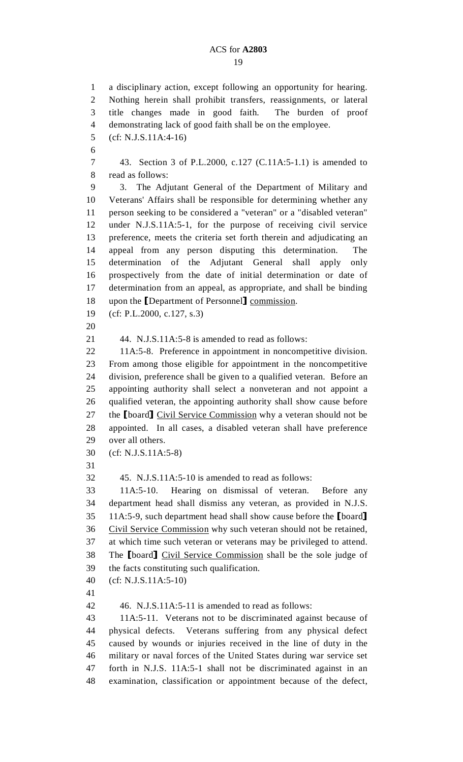1 a disciplinary action, except following an opportunity for hearing. 2 Nothing herein shall prohibit transfers, reassignments, or lateral 3 title changes made in good faith. The burden of proof 4 demonstrating lack of good faith shall be on the employee. 5 (cf: N.J.S.11A:4-16) 6 7 43. Section 3 of P.L.2000, c.127 (C.11A:5-1.1) is amended to 8 read as follows: 9 3. The Adjutant General of the Department of Military and 10 Veterans' Affairs shall be responsible for determining whether any 11 person seeking to be considered a "veteran" or a "disabled veteran" 12 under N.J.S.11A:5-1, for the purpose of receiving civil service 13 preference, meets the criteria set forth therein and adjudicating an 14 appeal from any person disputing this determination. The 15 determination of the Adjutant General shall apply only 16 prospectively from the date of initial determination or date of 17 determination from an appeal, as appropriate, and shall be binding 18 upon the [Department of Personnel] commission.<br>19 (cf: P.L.2000, c.127, s.3)  $(cf: P.L.2000, c.127, s.3)$ 20 21 44. N.J.S.11A:5-8 is amended to read as follows: 22 11A:5-8. Preference in appointment in noncompetitive division. 23 From among those eligible for appointment in the noncompetitive 24 division, preference shall be given to a qualified veteran. Before an 25 appointing authority shall select a nonveteran and not appoint a 26 qualified veteran, the appointing authority shall show cause before 27 the [board] Civil Service Commission why a veteran should not be appointed. In all cases, a disabled veteran shall have preference appointed. In all cases, a disabled veteran shall have preference 29 over all others. 30 (cf: N.J.S.11A:5-8) 31 32 45. N.J.S.11A:5-10 is amended to read as follows: 33 11A:5-10. Hearing on dismissal of veteran. Before any 34 department head shall dismiss any veteran, as provided in N.J.S. 11A:5-9, such department head shall show cause before the [board]<br>36 Civil Service Commission why such veteran should not be retained. Civil Service Commission why such veteran should not be retained, 37 at which time such veteran or veterans may be privileged to attend. 38 The [board] Civil Service Commission shall be the sole judge of<br>39 the facts constituting such qualification the facts constituting such qualification. 40 (cf: N.J.S.11A:5-10) 41 42 46. N.J.S.11A:5-11 is amended to read as follows: 43 11A:5-11. Veterans not to be discriminated against because of 44 physical defects. Veterans suffering from any physical defect 45 caused by wounds or injuries received in the line of duty in the 46 military or naval forces of the United States during war service set 47 forth in N.J.S. 11A:5-1 shall not be discriminated against in an

48 examination, classification or appointment because of the defect,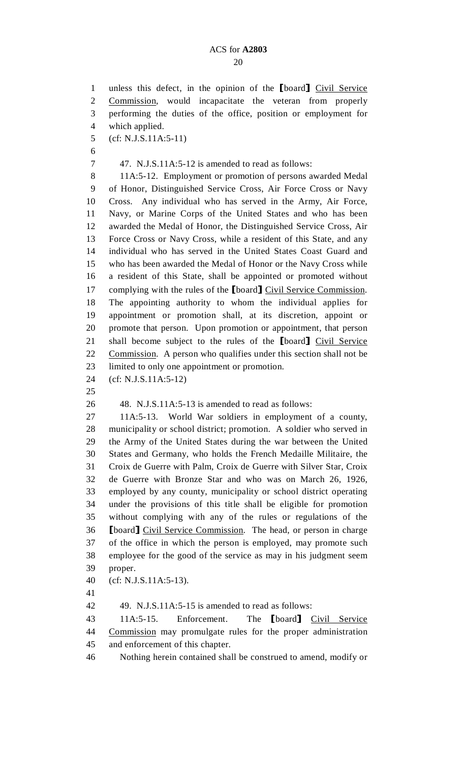1 unless this defect, in the opinion of the [board] Civil Service<br>2 Commission, would incapacitate the veteran from properly 2 Commission, would incapacitate the veteran from properly 3 performing the duties of the office, position or employment for 4 which applied. 5 (cf: N.J.S.11A:5-11) 6 7 47. N.J.S.11A:5-12 is amended to read as follows: 8 11A:5-12. Employment or promotion of persons awarded Medal 9 of Honor, Distinguished Service Cross, Air Force Cross or Navy 10 Cross. Any individual who has served in the Army, Air Force, 11 Navy, or Marine Corps of the United States and who has been 12 awarded the Medal of Honor, the Distinguished Service Cross, Air 13 Force Cross or Navy Cross, while a resident of this State, and any 14 individual who has served in the United States Coast Guard and 15 who has been awarded the Medal of Honor or the Navy Cross while 16 a resident of this State, shall be appointed or promoted without 17 complying with the rules of the [board] Civil Service Commission.<br>18 The appointing authority to whom the individual applies for The appointing authority to whom the individual applies for 19 appointment or promotion shall, at its discretion, appoint or 20 promote that person. Upon promotion or appointment, that person 21 shall become subject to the rules of the [board] Civil Service<br>22 Commission. A person who qualifies under this section shall not be Commission. A person who qualifies under this section shall not be 23 limited to only one appointment or promotion. 24 (cf: N.J.S.11A:5-12) 25 26 48. N.J.S.11A:5-13 is amended to read as follows: 27 11A:5-13. World War soldiers in employment of a county, 28 municipality or school district; promotion. A soldier who served in 29 the Army of the United States during the war between the United 30 States and Germany, who holds the French Medaille Militaire, the 31 Croix de Guerre with Palm, Croix de Guerre with Silver Star, Croix 32 de Guerre with Bronze Star and who was on March 26, 1926, 33 employed by any county, municipality or school district operating 34 under the provisions of this title shall be eligible for promotion 35 without complying with any of the rules or regulations of the 36 [board] Civil Service Commission. The head, or person in charge<br>37 of the office in which the person is employed, may promote such of the office in which the person is employed, may promote such 38 employee for the good of the service as may in his judgment seem 39 proper. 40 (cf: N.J.S.11A:5-13).

41

42 49. N.J.S.11A:5-15 is amended to read as follows:

43 11A:5-15. Enforcement. The [board] Civil Service<br>44 Commission may promulgate rules for the proper administration Commission may promulgate rules for the proper administration 45 and enforcement of this chapter.

46 Nothing herein contained shall be construed to amend, modify or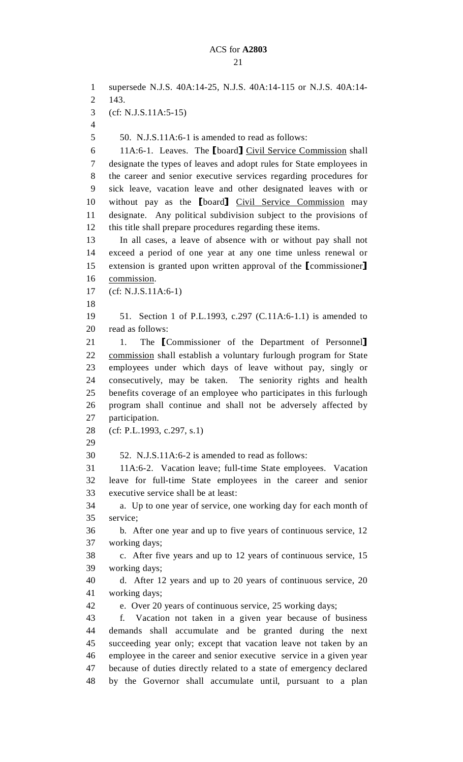1 supersede N.J.S. 40A:14-25, N.J.S. 40A:14-115 or N.J.S. 40A:14- 2 143. 3 (cf: N.J.S.11A:5-15) 4 5 50. N.J.S.11A:6-1 is amended to read as follows: 6 11A:6-1. Leaves. The [board] Civil Service Commission shall<br>7 designate the types of leaves and adopt rules for State employees in designate the types of leaves and adopt rules for State employees in 8 the career and senior executive services regarding procedures for 9 sick leave, vacation leave and other designated leaves with or 10 without pay as the [board] Civil Service Commission may<br>11 designate. Any political subdivision subject to the provisions of designate. Any political subdivision subject to the provisions of 12 this title shall prepare procedures regarding these items. 13 In all cases, a leave of absence with or without pay shall not 14 exceed a period of one year at any one time unless renewal or 15 extension is granted upon written approval of the [commissioner]<br>16 commission. commission. 17 (cf: N.J.S.11A:6-1) 18 19 51. Section 1 of P.L.1993, c.297 (C.11A:6-1.1) is amended to 20 read as follows: 21 1. The [Commissioner of the Department of Personnel]<br>22 commission shall establish a voluntary furlough program for State 22 commission shall establish a voluntary furlough program for State 23 employees under which days of leave without pay, singly or 24 consecutively, may be taken. The seniority rights and health 25 benefits coverage of an employee who participates in this furlough 26 program shall continue and shall not be adversely affected by 27 participation. 28 (cf: P.L.1993, c.297, s.1) 29 30 52. N.J.S.11A:6-2 is amended to read as follows: 31 11A:6-2. Vacation leave; full-time State employees. Vacation 32 leave for full-time State employees in the career and senior 33 executive service shall be at least: 34 a. Up to one year of service, one working day for each month of 35 service; 36 b. After one year and up to five years of continuous service, 12 37 working days; 38 c. After five years and up to 12 years of continuous service, 15 39 working days; 40 d. After 12 years and up to 20 years of continuous service, 20 41 working days; 42 e. Over 20 years of continuous service, 25 working days; 43 f. Vacation not taken in a given year because of business 44 demands shall accumulate and be granted during the next 45 succeeding year only; except that vacation leave not taken by an 46 employee in the career and senior executive service in a given year 47 because of duties directly related to a state of emergency declared 48 by the Governor shall accumulate until, pursuant to a plan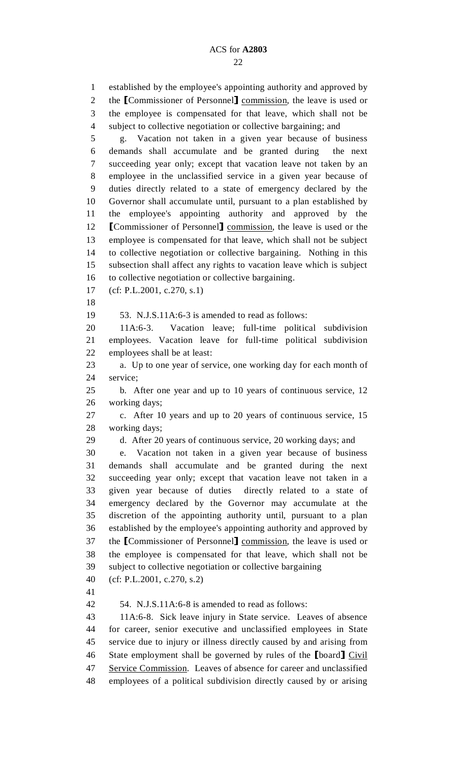1 established by the employee's appointing authority and approved by 2 the [Commissioner of Personnel] commission, the leave is used or<br>3 the employee is compensated for that leave, which shall not be the employee is compensated for that leave, which shall not be 4 subject to collective negotiation or collective bargaining; and 5 g. Vacation not taken in a given year because of business 6 demands shall accumulate and be granted during the next 7 succeeding year only; except that vacation leave not taken by an 8 employee in the unclassified service in a given year because of 9 duties directly related to a state of emergency declared by the 10 Governor shall accumulate until, pursuant to a plan established by 11 the employee's appointing authority and approved by the 12 [Commissioner of Personnel] commission, the leave is used or the employee is compensated for that leave which shall not be subject employee is compensated for that leave, which shall not be subject 14 to collective negotiation or collective bargaining. Nothing in this 15 subsection shall affect any rights to vacation leave which is subject 16 to collective negotiation or collective bargaining. 17 (cf: P.L.2001, c.270, s.1) 18 19 53. N.J.S.11A:6-3 is amended to read as follows: 20 11A:6-3. Vacation leave; full-time political subdivision 21 employees. Vacation leave for full-time political subdivision 22 employees shall be at least: 23 a. Up to one year of service, one working day for each month of 24 service; 25 b. After one year and up to 10 years of continuous service, 12 26 working days; 27 c. After 10 years and up to 20 years of continuous service, 15 28 working days; 29 d. After 20 years of continuous service, 20 working days; and 30 e. Vacation not taken in a given year because of business 31 demands shall accumulate and be granted during the next 32 succeeding year only; except that vacation leave not taken in a 33 given year because of duties directly related to a state of 34 emergency declared by the Governor may accumulate at the 35 discretion of the appointing authority until, pursuant to a plan 36 established by the employee's appointing authority and approved by 37 the [Commissioner of Personnel] commission, the leave is used or<br>38 the employee is compensated for that leave, which shall not be the employee is compensated for that leave, which shall not be 39 subject to collective negotiation or collective bargaining 40 (cf: P.L.2001, c.270, s.2) 41 42 54. N.J.S.11A:6-8 is amended to read as follows: 43 11A:6-8. Sick leave injury in State service. Leaves of absence 44 for career, senior executive and unclassified employees in State 45 service due to injury or illness directly caused by and arising from 46 State employment shall be governed by rules of the [board] Civil 47 Service Commission. Leaves of absence for career and unclassified Service Commission. Leaves of absence for career and unclassified 48 employees of a political subdivision directly caused by or arising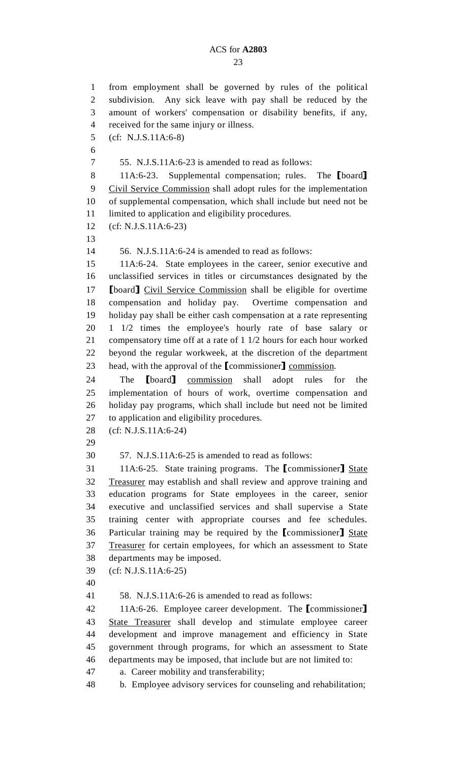1 from employment shall be governed by rules of the political 2 subdivision. Any sick leave with pay shall be reduced by the 3 amount of workers' compensation or disability benefits, if any, 4 received for the same injury or illness. 5 (cf: N.J.S.11A:6-8) 6 7 55. N.J.S.11A:6-23 is amended to read as follows: 8 11A:6-23. Supplemental compensation; rules. The [board]<br>9 Civil Service Commission shall adopt rules for the implementation Civil Service Commission shall adopt rules for the implementation 10 of supplemental compensation, which shall include but need not be 11 limited to application and eligibility procedures. 12 (cf: N.J.S.11A:6-23) 13 14 56. N.J.S.11A:6-24 is amended to read as follows: 15 11A:6-24. State employees in the career, senior executive and 16 unclassified services in titles or circumstances designated by the 17 [board] Civil Service Commission shall be eligible for overtime<br>18 compensation and holiday pay. Overtime compensation and compensation and holiday pay. 19 holiday pay shall be either cash compensation at a rate representing 20 1 1/2 times the employee's hourly rate of base salary or 21 compensatory time off at a rate of 1 1/2 hours for each hour worked 22 beyond the regular workweek, at the discretion of the department 23 head, with the approval of the [commissioner] commission.<br>24 The [board] commission shall adopt rules for 24 The [board] commission shall adopt rules for the<br>25 implementation of hours of work, overtime compensation and implementation of hours of work, overtime compensation and 26 holiday pay programs, which shall include but need not be limited 27 to application and eligibility procedures. 28 (cf: N.J.S.11A:6-24) 29 30 57. N.J.S.11A:6-25 is amended to read as follows: 31 11A:6-25. State training programs. The [commissioner] State 32 Treasurer may establish and shall review and approve training and Treasurer may establish and shall review and approve training and 33 education programs for State employees in the career, senior 34 executive and unclassified services and shall supervise a State 35 training center with appropriate courses and fee schedules. 36 Particular training may be required by the [commissioner] State 37 Treasurer for certain employees, for which an assessment to State Treasurer for certain employees, for which an assessment to State 38 departments may be imposed. 39 (cf: N.J.S.11A:6-25) 40 41 58. N.J.S.11A:6-26 is amended to read as follows: 42 11A:6-26. Employee career development. The [commissioner]<br>43 State Treasurer shall develop and stimulate employee career State Treasurer shall develop and stimulate employee career 44 development and improve management and efficiency in State 45 government through programs, for which an assessment to State 46 departments may be imposed, that include but are not limited to: 47 a. Career mobility and transferability; 48 b. Employee advisory services for counseling and rehabilitation;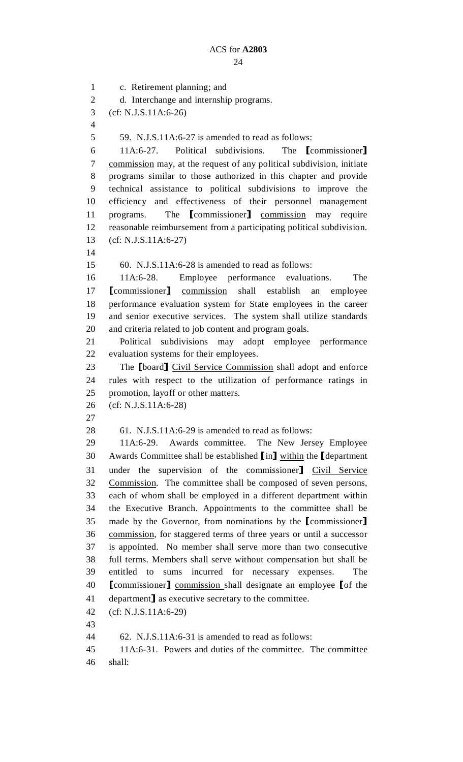1 c. Retirement planning; and 2 d. Interchange and internship programs. 3 (cf: N.J.S.11A:6-26) 4 5 59. N.J.S.11A:6-27 is amended to read as follows: 6 11A:6-27. Political subdivisions. The [commissioner]<br>7 commission may at the request of any political subdivision, initiate commission may, at the request of any political subdivision, initiate 8 programs similar to those authorized in this chapter and provide 9 technical assistance to political subdivisions to improve the 10 efficiency and effectiveness of their personnel management 11 programs. The [commissioner] commission may require<br>12 reasonable reimbursement from a participating political subdivision. reasonable reimbursement from a participating political subdivision. 13 (cf: N.J.S.11A:6-27) 14 15 60. N.J.S.11A:6-28 is amended to read as follows: 16 11A:6-28. Employee performance evaluations. The 17 [commissioner] commission shall establish an employee<br>18 performance evaluation system for State employees in the career performance evaluation system for State employees in the career 19 and senior executive services. The system shall utilize standards 20 and criteria related to job content and program goals. 21 Political subdivisions may adopt employee performance 22 evaluation systems for their employees. 23 The [board] Civil Service Commission shall adopt and enforce<br>24 rules with respect to the utilization of performance ratings in rules with respect to the utilization of performance ratings in 25 promotion, layoff or other matters. 26 (cf: N.J.S.11A:6-28) 27 28 61. N.J.S.11A:6-29 is amended to read as follows: 29 11A:6-29. Awards committee. The New Jersey Employee 30 Awards Committee shall be established [in] within the [department 31 under the supervision of the commissioner] Civil Service 31 under the supervision of the commissioner Civil Service<br>32 Commission. The committee shall be composed of seven persons. Commission. The committee shall be composed of seven persons, 33 each of whom shall be employed in a different department within 34 the Executive Branch. Appointments to the committee shall be 35 made by the Governor, from nominations by the [commissioner]<br>36 commission, for staggered terms of three years or until a successor commission, for staggered terms of three years or until a successor 37 is appointed. No member shall serve more than two consecutive 38 full terms. Members shall serve without compensation but shall be 39 entitled to sums incurred for necessary expenses. The 40 [commissioner] commission shall designate an employee [of the department] as executive secretary to the committee. 41 department] as executive secretary to the committee.<br>42 (cf: N.J.S.11A:6-29)  $(cf: N.J.S.11A:6-29)$ 43 44 62. N.J.S.11A:6-31 is amended to read as follows: 45 11A:6-31. Powers and duties of the committee. The committee

46 shall: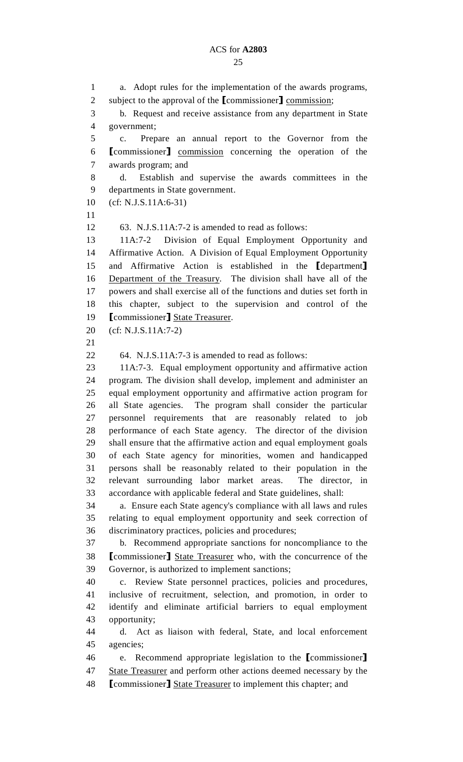1 a. Adopt rules for the implementation of the awards programs, 2 subject to the approval of the [commissioner] commission;<br>3 b. Request and receive assistance from any department b. Request and receive assistance from any department in State 4 government; 5 c. Prepare an annual report to the Governor from the 6 [commissioner] commission concerning the operation of the awards program: and awards program; and 8 d. Establish and supervise the awards committees in the 9 departments in State government. 10 (cf: N.J.S.11A:6-31) 11 12 63. N.J.S.11A:7-2 is amended to read as follows: 13 11A:7-2 Division of Equal Employment Opportunity and 14 Affirmative Action. A Division of Equal Employment Opportunity 15 and Affirmative Action is established in the [department]<br>16 Department of the Treasury. The division shall have all of the Department of the Treasury. The division shall have all of the 17 powers and shall exercise all of the functions and duties set forth in 18 this chapter, subject to the supervision and control of the 19 [commissioner] State Treasurer.<br>20 (cf: N.J.S.11A:7-2)  $(cf: N.J.S.11A:7-2)$ 21 22 64. N.J.S.11A:7-3 is amended to read as follows: 23 11A:7-3. Equal employment opportunity and affirmative action 24 program. The division shall develop, implement and administer an 25 equal employment opportunity and affirmative action program for 26 all State agencies. The program shall consider the particular 27 personnel requirements that are reasonably related to job 28 performance of each State agency. The director of the division 29 shall ensure that the affirmative action and equal employment goals 30 of each State agency for minorities, women and handicapped 31 persons shall be reasonably related to their population in the 32 relevant surrounding labor market areas. The director, in 33 accordance with applicable federal and State guidelines, shall: 34 a. Ensure each State agency's compliance with all laws and rules 35 relating to equal employment opportunity and seek correction of 36 discriminatory practices, policies and procedures; 37 b. Recommend appropriate sanctions for noncompliance to the 38 [commissioner] State Treasurer who, with the concurrence of the Governor, is authorized to implement sanctions; Governor, is authorized to implement sanctions; 40 c. Review State personnel practices, policies and procedures, 41 inclusive of recruitment, selection, and promotion, in order to 42 identify and eliminate artificial barriers to equal employment 43 opportunity; 44 d. Act as liaison with federal, State, and local enforcement 45 agencies; 46 e. Recommend appropriate legislation to the [commissioner]<br>47 State Treasurer and perform other actions deemed necessary by the State Treasurer and perform other actions deemed necessary by the 48 [commissioner] State Treasurer to implement this chapter; and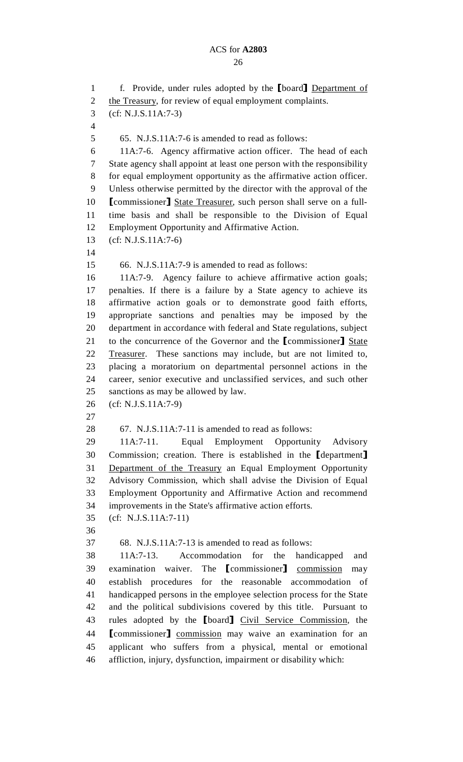1 f. Provide, under rules adopted by the [board] Department of the Treasury, for review of equal employment complaints. the Treasury, for review of equal employment complaints. 3 (cf: N.J.S.11A:7-3) 4 5 65. N.J.S.11A:7-6 is amended to read as follows: 6 11A:7-6. Agency affirmative action officer. The head of each 7 State agency shall appoint at least one person with the responsibility 8 for equal employment opportunity as the affirmative action officer. 9 Unless otherwise permitted by the director with the approval of the 10 [commissioner] State Treasurer, such person shall serve on a full-<br>11 time basis and shall be responsible to the Division of Equal time basis and shall be responsible to the Division of Equal 12 Employment Opportunity and Affirmative Action. 13 (cf: N.J.S.11A:7-6) 14 15 66. N.J.S.11A:7-9 is amended to read as follows: 16 11A:7-9. Agency failure to achieve affirmative action goals; 17 penalties. If there is a failure by a State agency to achieve its 18 affirmative action goals or to demonstrate good faith efforts, 19 appropriate sanctions and penalties may be imposed by the 20 department in accordance with federal and State regulations, subject 21 to the concurrence of the Governor and the [commissioner] State 22 Treasurer. These sanctions may include, but are not limited to. Treasurer. These sanctions may include, but are not limited to, 23 placing a moratorium on departmental personnel actions in the 24 career, senior executive and unclassified services, and such other 25 sanctions as may be allowed by law. 26 (cf: N.J.S.11A:7-9) 27 28 67. N.J.S.11A:7-11 is amended to read as follows: 29 11A:7-11. Equal Employment Opportunity Advisory 30 Commission; creation. There is established in the [department]<br>31 Department of the Treasury an Equal Employment Opportunity Department of the Treasury an Equal Employment Opportunity 32 Advisory Commission, which shall advise the Division of Equal 33 Employment Opportunity and Affirmative Action and recommend 34 improvements in the State's affirmative action efforts. 35 (cf: N.J.S.11A:7-11) 36 37 68. N.J.S.11A:7-13 is amended to read as follows: 38 11A:7-13. Accommodation for the handicapped and 39 examination waiver. The *[commissioner]* commission may<br>40 establish procedures for the reasonable accommodation of establish procedures for the reasonable accommodation of 41 handicapped persons in the employee selection process for the State 42 and the political subdivisions covered by this title. Pursuant to 43 rules adopted by the [board] Civil Service Commission, the<br>44 [commissioner] commission may waive an examination for an 44 [commissioner] commission may waive an examination for an 45 applicant who suffers from a physical, mental or emotional applicant who suffers from a physical, mental or emotional 46 affliction, injury, dysfunction, impairment or disability which: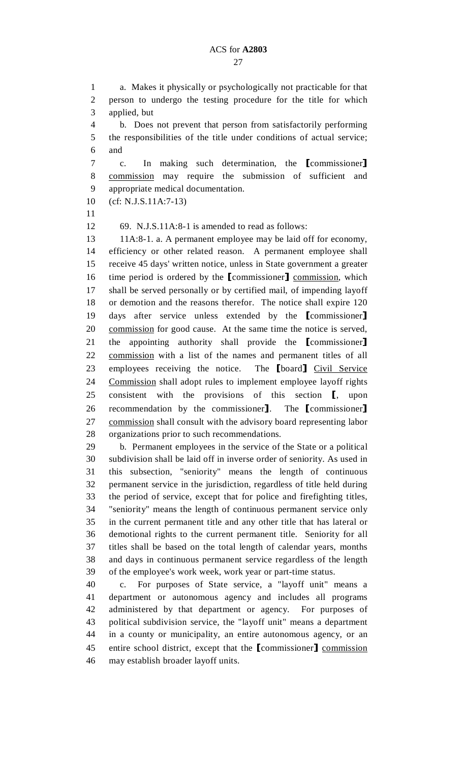1 a. Makes it physically or psychologically not practicable for that 2 person to undergo the testing procedure for the title for which 3 applied, but

4 b. Does not prevent that person from satisfactorily performing 5 the responsibilities of the title under conditions of actual service; 6 and

7 c. In making such determination, the [commissioner]<br>8 commission may require the submission of sufficient and commission may require the submission of sufficient and 9 appropriate medical documentation.

- 10 (cf: N.J.S.11A:7-13)
- 11

12 69. N.J.S.11A:8-1 is amended to read as follows:

13 11A:8-1. a. A permanent employee may be laid off for economy, 14 efficiency or other related reason. A permanent employee shall 15 receive 45 days' written notice, unless in State government a greater 16 time period is ordered by the [commissioner] commission, which<br>17 shall be served personally or by certified mail, of impending layoff shall be served personally or by certified mail, of impending layoff 18 or demotion and the reasons therefor. The notice shall expire 120 19 days after service unless extended by the [commissioner]<br>20 commission for good cause. At the same time the notice is served. commission for good cause. At the same time the notice is served, 21 the appointing authority shall provide the [commissioner]<br>22 commission with a list of the names and permanent titles of all commission with a list of the names and permanent titles of all 23 employees receiving the notice. The [board] Civil Service<br>24 Commission shall adopt rules to implement employee lavoff rights Commission shall adopt rules to implement employee layoff rights 25 consistent with the provisions of this section [, upon recommendation by the commissioner]. The [commissioner] 26 recommendation by the commissioner].<br>27 commission shall consult with the advisory commission shall consult with the advisory board representing labor 28 organizations prior to such recommendations.

29 b. Permanent employees in the service of the State or a political 30 subdivision shall be laid off in inverse order of seniority. As used in 31 this subsection, "seniority" means the length of continuous 32 permanent service in the jurisdiction, regardless of title held during 33 the period of service, except that for police and firefighting titles, 34 "seniority" means the length of continuous permanent service only 35 in the current permanent title and any other title that has lateral or 36 demotional rights to the current permanent title. Seniority for all 37 titles shall be based on the total length of calendar years, months 38 and days in continuous permanent service regardless of the length 39 of the employee's work week, work year or part-time status.

40 c. For purposes of State service, a "layoff unit" means a 41 department or autonomous agency and includes all programs 42 administered by that department or agency. For purposes of 43 political subdivision service, the "layoff unit" means a department 44 in a county or municipality, an entire autonomous agency, or an 45 entire school district, except that the [commissioner] commission<br>46 may establish broader lavoff units. may establish broader layoff units.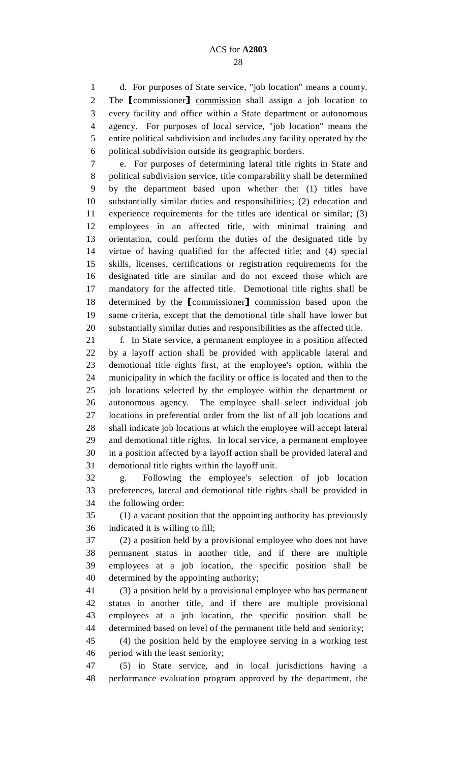1 d. For purposes of State service, "job location" means a county. 2 The [commissioner] commission shall assign a job location to<br>3 every facility and office within a State department or autonomous every facility and office within a State department or autonomous 4 agency. For purposes of local service, "job location" means the 5 entire political subdivision and includes any facility operated by the 6 political subdivision outside its geographic borders.

7 e. For purposes of determining lateral title rights in State and 8 political subdivision service, title comparability shall be determined 9 by the department based upon whether the: (1) titles have 10 substantially similar duties and responsibilities; (2) education and 11 experience requirements for the titles are identical or similar; (3) 12 employees in an affected title, with minimal training and 13 orientation, could perform the duties of the designated title by 14 virtue of having qualified for the affected title; and (4) special 15 skills, licenses, certifications or registration requirements for the 16 designated title are similar and do not exceed those which are 17 mandatory for the affected title. Demotional title rights shall be 18 determined by the [commissioner] commission based upon the<br>19 same criteria, except that the demotional title shall have lower but same criteria, except that the demotional title shall have lower but 20 substantially similar duties and responsibilities as the affected title.

21 f. In State service, a permanent employee in a position affected 22 by a layoff action shall be provided with applicable lateral and 23 demotional title rights first, at the employee's option, within the 24 municipality in which the facility or office is located and then to the 25 job locations selected by the employee within the department or 26 autonomous agency. The employee shall select individual job 27 locations in preferential order from the list of all job locations and 28 shall indicate job locations at which the employee will accept lateral 29 and demotional title rights. In local service, a permanent employee 30 in a position affected by a layoff action shall be provided lateral and 31 demotional title rights within the layoff unit.

32 g. Following the employee's selection of job location 33 preferences, lateral and demotional title rights shall be provided in 34 the following order:

35 (1) a vacant position that the appointing authority has previously 36 indicated it is willing to fill;

37 (2) a position held by a provisional employee who does not have 38 permanent status in another title, and if there are multiple 39 employees at a job location, the specific position shall be 40 determined by the appointing authority;

41 (3) a position held by a provisional employee who has permanent 42 status in another title, and if there are multiple provisional 43 employees at a job location, the specific position shall be 44 determined based on level of the permanent title held and seniority;

45 (4) the position held by the employee serving in a working test 46 period with the least seniority;

47 (5) in State service, and in local jurisdictions having a 48 performance evaluation program approved by the department, the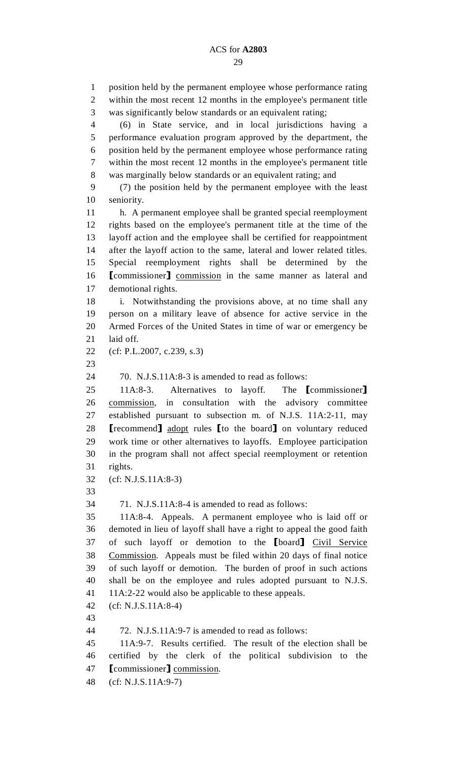1 position held by the permanent employee whose performance rating 2 within the most recent 12 months in the employee's permanent title 3 was significantly below standards or an equivalent rating; 4 (6) in State service, and in local jurisdictions having a 5 performance evaluation program approved by the department, the 6 position held by the permanent employee whose performance rating 7 within the most recent 12 months in the employee's permanent title 8 was marginally below standards or an equivalent rating; and 9 (7) the position held by the permanent employee with the least 10 seniority. 11 h. A permanent employee shall be granted special reemployment 12 rights based on the employee's permanent title at the time of the 13 layoff action and the employee shall be certified for reappointment 14 after the layoff action to the same, lateral and lower related titles. 15 Special reemployment rights shall be determined by the 16 [commissioner] commission in the same manner as lateral and demotional rights. demotional rights. 18 i. Notwithstanding the provisions above, at no time shall any 19 person on a military leave of absence for active service in the 20 Armed Forces of the United States in time of war or emergency be 21 laid off. 22 (cf: P.L.2007, c.239, s.3) 23 24 70. N.J.S.11A:8-3 is amended to read as follows: 25 11A:8-3. Alternatives to layoff. The [commissioner]<br>26 commission. in consultation with the advisory committee 26 commission, in consultation with the advisory committee 27 established pursuant to subsection m. of N.J.S. 11A:2-11, may 28 [recommend] <u>adopt</u> rules [to the board] on voluntary reduced<br>29 work time or other alternatives to layoffs. Employee participation work time or other alternatives to layoffs. Employee participation 30 in the program shall not affect special reemployment or retention 31 rights. 32 (cf: N.J.S.11A:8-3) 33 34 71. N.J.S.11A:8-4 is amended to read as follows: 35 11A:8-4. Appeals. A permanent employee who is laid off or 36 demoted in lieu of layoff shall have a right to appeal the good faith 37 of such layoff or demotion to the [board] Civil Service 38 Commission. Appeals must be filed within 20 days of final notice Commission. Appeals must be filed within 20 days of final notice 39 of such layoff or demotion. The burden of proof in such actions 40 shall be on the employee and rules adopted pursuant to N.J.S. 41 11A:2-22 would also be applicable to these appeals. 42 (cf: N.J.S.11A:8-4) 43 44 72. N.J.S.11A:9-7 is amended to read as follows: 45 11A:9-7. Results certified. The result of the election shall be 46 certified by the clerk of the political subdivision to the 47 [commissioner] <u>commission</u>.<br>48 (cf: N.J.S.11A:9-7)  $(cf: N.J.S.11A:9-7)$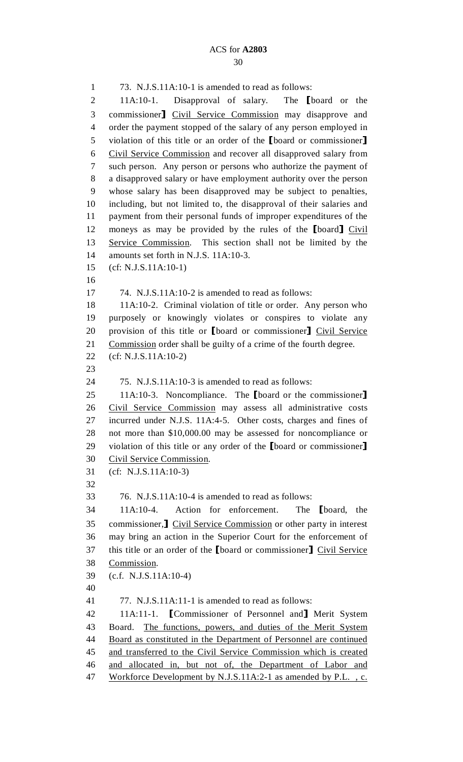1 73. N.J.S.11A:10-1 is amended to read as follows: 2 11A:10-1. Disapproval of salary. The **[board or the commissioner]** Civil Service Commission may disapprove and 3 commissioner Civil Service Commission may disapprove and<br>4 order the payment stopped of the salary of any person employed in order the payment stopped of the salary of any person employed in 5 violation of this title or an order of the [board or commissioner]<br>6 Civil Service Commission and recover all disapproved salary from 6 Civil Service Commission and recover all disapproved salary from 7 such person. Any person or persons who authorize the payment of 8 a disapproved salary or have employment authority over the person 9 whose salary has been disapproved may be subject to penalties, 10 including, but not limited to, the disapproval of their salaries and 11 payment from their personal funds of improper expenditures of the 12 moneys as may be provided by the rules of the [board] Civil<br>13 Service Commission This section shall not be limited by the Service Commission. This section shall not be limited by the 14 amounts set forth in N.J.S. 11A:10-3. 15 (cf: N.J.S.11A:10-1) 16 17 74. N.J.S.11A:10-2 is amended to read as follows: 18 11A:10-2. Criminal violation of title or order. Any person who 19 purposely or knowingly violates or conspires to violate any 20 provision of this title or [board or commissioner] Civil Service<br>21 Commission order shall be guilty of a crime of the fourth degree. Commission order shall be guilty of a crime of the fourth degree. 22 (cf: N.J.S.11A:10-2) 23 24 75. N.J.S.11A:10-3 is amended to read as follows: 25 11A:10-3. Noncompliance. The [board or the commissioner]<br>26 Civil Service Commission may assess all administrative costs Civil Service Commission may assess all administrative costs 27 incurred under N.J.S. 11A:4-5. Other costs, charges and fines of 28 not more than \$10,000.00 may be assessed for noncompliance or 29 violation of this title or any order of the [board or commissioner]<br>30 Civil Service Commission. Civil Service Commission. 31 (cf: N.J.S.11A:10-3) 32 33 76. N.J.S.11A:10-4 is amended to read as follows: 34 11A:10-4. Action for enforcement. The [board, the commissioner.] Civil Service Commission or other party in interest 35 commissioner, Civil Service Commission or other party in interest<br>36 may bring an action in the Superior Court for the enforcement of may bring an action in the Superior Court for the enforcement of 37 this title or an order of the [board or commissioner] Civil Service<br>38 Commission. Commission. 39 (c.f. N.J.S.11A:10-4) 40 41 77. N.J.S.11A:11-1 is amended to read as follows: 42 11A:11-1. [Commissioner of Personnel and] Merit System<br>43 Board. The functions, powers, and duties of the Merit System Board. The functions, powers, and duties of the Merit System 44 Board as constituted in the Department of Personnel are continued 45 and transferred to the Civil Service Commission which is created 46 and allocated in, but not of, the Department of Labor and 47 Workforce Development by N.J.S.11A:2-1 as amended by P.L., c.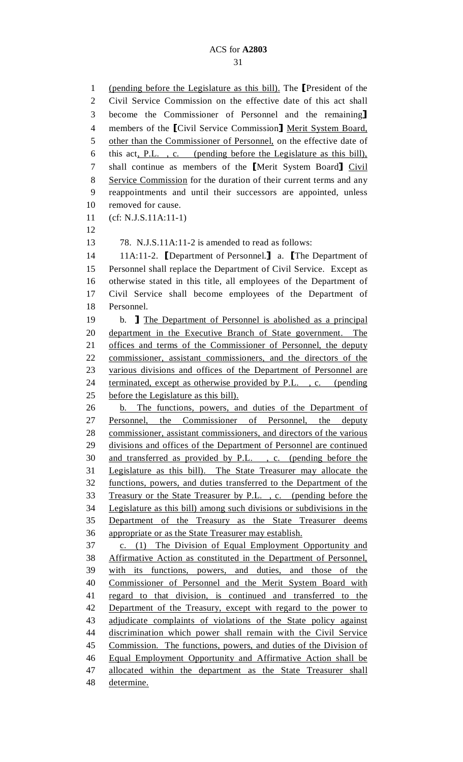1 (pending before the Legislature as this bill). The [President of the<br>2 Civil Service Commission on the effective date of this act shall 2 Civil Service Commission on the effective date of this act shall 3 become the Commissioner of Personnel and the remaining]<br>4 members of the **I**Civil Service Commission Nerit System Board 4 members of the [Civil Service Commission] Merit System Board,<br>5 other than the Commissioner of Personnel, on the effective date of 5 other than the Commissioner of Personnel, on the effective date of 6 this act, P.L. , c. (pending before the Legislature as this bill), 7 shall continue as members of the [Merit System Board] Civil<br>8 Service Commission for the duration of their current terms and any Service Commission for the duration of their current terms and any 9 reappointments and until their successors are appointed, unless 10 removed for cause. 11 (cf: N.J.S.11A:11-1) 12 13 78. N.J.S.11A:11-2 is amended to read as follows: 14 11A:11-2. **[Department of Personnel.]** a. **[The Department of 15** Personnel shall replace the Department of Civil Service. Except as Personnel shall replace the Department of Civil Service. Except as 16 otherwise stated in this title, all employees of the Department of 17 Civil Service shall become employees of the Department of 18 Personnel. 19 b. **]** The Department of Personnel is abolished as a principal 20 department in the Executive Branch of State government. The department in the Executive Branch of State government. The 21 offices and terms of the Commissioner of Personnel, the deputy 22 commissioner, assistant commissioners, and the directors of the 23 various divisions and offices of the Department of Personnel are 24 terminated, except as otherwise provided by P.L. , c. (pending 25 before the Legislature as this bill). 26 b. The functions, powers, and duties of the Department of 27 Personnel, the Commissioner of Personnel, the deputy 28 commissioner, assistant commissioners, and directors of the various 29 divisions and offices of the Department of Personnel are continued 30 and transferred as provided by P.L. , c. (pending before the 31 Legislature as this bill). The State Treasurer may allocate the 32 functions, powers, and duties transferred to the Department of the 33 Treasury or the State Treasurer by P.L. , c. (pending before the 34 Legislature as this bill) among such divisions or subdivisions in the 35 Department of the Treasury as the State Treasurer deems 36 appropriate or as the State Treasurer may establish. 37 c. (1) The Division of Equal Employment Opportunity and 38 Affirmative Action as constituted in the Department of Personnel, 39 with its functions, powers, and duties, and those of the 40 Commissioner of Personnel and the Merit System Board with 41 regard to that division, is continued and transferred to the 42 Department of the Treasury, except with regard to the power to 43 adjudicate complaints of violations of the State policy against 44 discrimination which power shall remain with the Civil Service 45 Commission. The functions, powers, and duties of the Division of 46 Equal Employment Opportunity and Affirmative Action shall be 47 allocated within the department as the State Treasurer shall 48 determine.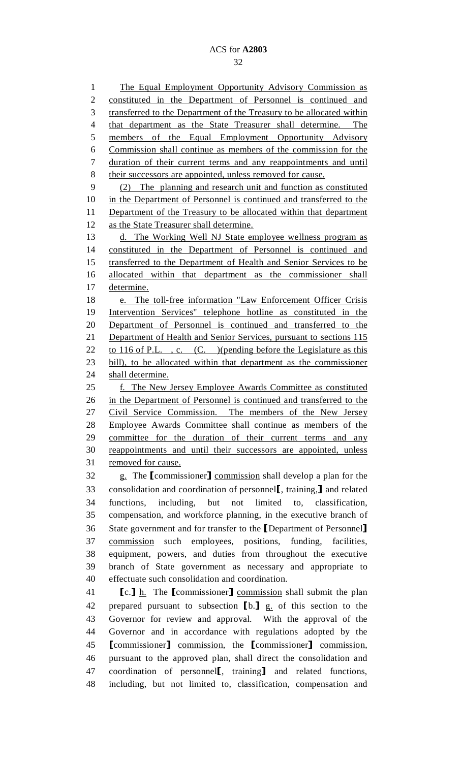1 The Equal Employment Opportunity Advisory Commission as 2 constituted in the Department of Personnel is continued and 3 transferred to the Department of the Treasury to be allocated within 4 that department as the State Treasurer shall determine. The 5 members of the Equal Employment Opportunity Advisory 6 Commission shall continue as members of the commission for the 7 duration of their current terms and any reappointments and until 8 their successors are appointed, unless removed for cause. 9 (2) The planning and research unit and function as constituted 10 in the Department of Personnel is continued and transferred to the 11 Department of the Treasury to be allocated within that department 12 as the State Treasurer shall determine. 13 d. The Working Well NJ State employee wellness program as 14 constituted in the Department of Personnel is continued and 15 transferred to the Department of Health and Senior Services to be 16 allocated within that department as the commissioner shall 17 determine. 18 e. The toll-free information "Law Enforcement Officer Crisis 19 Intervention Services" telephone hotline as constituted in the 20 Department of Personnel is continued and transferred to the 21 Department of Health and Senior Services, pursuant to sections 115 22 to 116 of P.L., c. (C. )(pending before the Legislature as this 23 bill), to be allocated within that department as the commissioner 24 shall determine. 25 f. The New Jersey Employee Awards Committee as constituted 26 in the Department of Personnel is continued and transferred to the 27 Civil Service Commission. The members of the New Jersey 28 Employee Awards Committee shall continue as members of the 29 committee for the duration of their current terms and any 30 reappointments and until their successors are appointed, unless 31 removed for cause. 32 g. The [commissioner] commission shall develop a plan for the consolidation and coordination of personnel[, training,] and related 33 consolidation and coordination of personnel<sup>[</sup>, training,<sup>]</sup> and related<br>34 functions, including, but not limited to, classification, classification, 35 compensation, and workforce planning, in the executive branch of 36 State government and for transfer to the [Department of Personnel]<br>37 commission such employees, positions, funding, facilities,

commission such employees, positions, funding, 38 equipment, powers, and duties from throughout the executive 39 branch of State government as necessary and appropriate to 40 effectuate such consolidation and coordination.

41  $\lbrack c. \rbrack$  <u>h.</u> The  $\lbrack \rbrack$  commissioner  $\lbrack \rbrack$  commission shall submit the plan<br>42 prepared pursuant to subsection  $\lbrack \rbrack$  b.  $\lbrack \rbrack$  g. of this section to the 42 prepared pursuant to subsection  $[b, \underline{b}]$  g<sub>c</sub> of this section to the 43 Governor for review and approval. With the approval of the Governor for review and approval. With the approval of the 44 Governor and in accordance with regulations adopted by the 45 [commissioner] commission, the [commissioner] commission, 46 pursuant to the approved plan, shall direct the consolidation and pursuant to the approved plan, shall direct the consolidation and 47 coordination of personnel<sup>[</sup>, training<sup>1</sup> and related functions,<br>48 including but not limited to classification compensation and including, but not limited to, classification, compensation and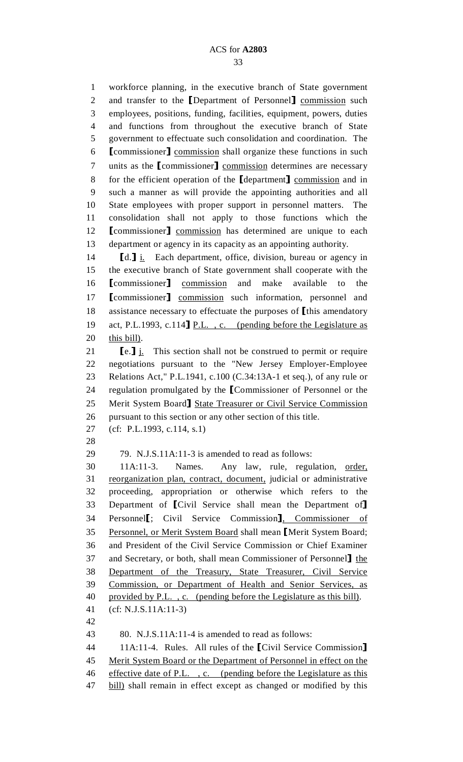1 workforce planning, in the executive branch of State government 2 and transfer to the [Department of Personnel] commission such<br>3 employees, positions, funding, facilities, equipment, powers, duties employees, positions, funding, facilities, equipment, powers, duties 4 and functions from throughout the executive branch of State 5 government to effectuate such consolidation and coordination. The 6 [commissioner] commission shall organize these functions in such<br>7 units as the [commissioner] commission determines are necessary 7 units as the [commissioner] commission determines are necessary<br>8 for the efficient operation of the [department] commission and in 8 for the efficient operation of the [department] commission and in<br>9 such a manner as will provide the appointing authorities and all such a manner as will provide the appointing authorities and all 10 State employees with proper support in personnel matters. The 11 consolidation shall not apply to those functions which the 12 [commissioner] commission has determined are unique to each<br>13 department or agency in its capacity as an appointing authority. department or agency in its capacity as an appointing authority.

14 **[d.]** <u>i.</u> Each department, office, division, bureau or agency in the executive branch of State government shall cooperate with the the executive branch of State government shall cooperate with the 16 [commissioner] commission and make available to the 17 [commissioner] commission such information, personnel and 17 [commissioner] commission such information, personnel and<br>18 assistance necessary to effectuate the purposes of [this amendatory 18 assistance necessary to effectuate the purposes of [this amendatory act, P.L. 1993, c. 114] P.L., c. (pending before the Legislature as 19 act, P.L.1993, c.114] P.L., c. (pending before the Legislature as this bill). this bill).

21 **[e.]** <u>j.</u> This section shall not be construed to permit or require<br>22 negotiations pursuant to the "New Jersey Employer-Employee negotiations pursuant to the "New Jersey Employer-Employee 23 Relations Act," P.L.1941, c.100 (C.34:13A-1 et seq.), of any rule or 24 regulation promulgated by the [Commissioner of Personnel or the<br>25 Merit System Board I State Treasurer or Civil Service Commission 25 Merit System Board] State Treasurer or Civil Service Commission<br>26 pursuant to this section or any other section of this title. pursuant to this section or any other section of this title.

```
27 (cf: P.L.1993, c.114, s.1)
```
28

29 79. N.J.S.11A:11-3 is amended to read as follows:

30 11A:11-3. Names. Any law, rule, regulation, order, 31 reorganization plan, contract, document, judicial or administrative 32 proceeding, appropriation or otherwise which refers to the 33 Department of [Civil Service shall mean the Department of]<br>34 Personnel i: Civil Service Commission 1. Commissioner of 34 Personnel<sub>[</sub>; Civil Service Commission]<u>, Commissioner of</u><br>35 Personnel or Merit System Board shall mean **[Merit System Board**: 35 Personnel, or Merit System Board shall mean [Merit System Board;<br>36 and President of the Civil Service Commission or Chief Examiner and President of the Civil Service Commission or Chief Examiner 37 and Secretary, or both, shall mean Commissioner of Personnel 1 the<br>38 Department of the Treasury. State Treasurer. Civil Service Department of the Treasury, State Treasurer, Civil Service 39 Commission, or Department of Health and Senior Services, as 40 provided by P.L. , c. (pending before the Legislature as this bill). 41 (cf: N.J.S.11A:11-3) 42

43 80. N.J.S.11A:11-4 is amended to read as follows:

11A:11-4. Rules. All rules of the [Civil Service Commission]<br>45 Merit System Board or the Department of Personnel in effect on the

Merit System Board or the Department of Personnel in effect on the

46 effective date of P.L., c. (pending before the Legislature as this

47 bill) shall remain in effect except as changed or modified by this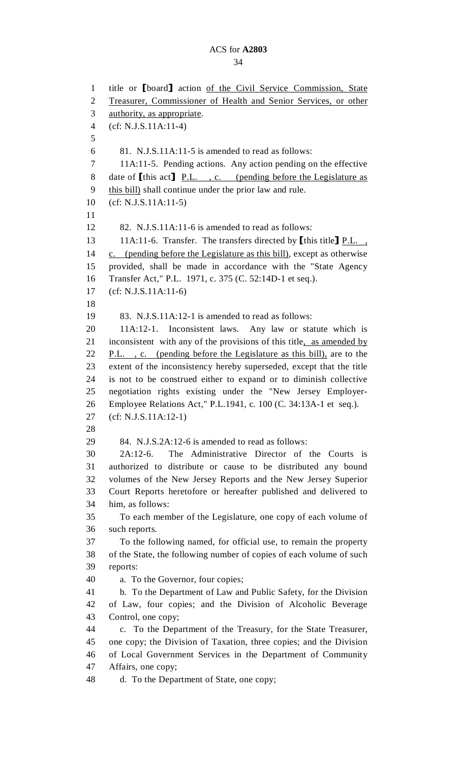1 title or [board] action <u>of the Civil Service Commission, State</u><br>2 Treasurer, Commissioner of Health and Senior Services, or other 2 Treasurer, Commissioner of Health and Senior Services, or other 3 authority, as appropriate. 4 (cf: N.J.S.11A:11-4) 5 6 81. N.J.S.11A:11-5 is amended to read as follows: 7 11A:11-5. Pending actions. Any action pending on the effective 8 date of [this act] P.L., c. (pending before the Legislature as<br>9 this bill) shall continue under the prior law and rule. this bill) shall continue under the prior law and rule. 10 (cf: N.J.S.11A:11-5) 11 12 82. N.J.S.11A:11-6 is amended to read as follows: 13 11A:11-6. Transfer. The transfers directed by [this title] P.L. ,<br>14 c. (pending before the Legislature as this bill), except as otherwise  $\frac{\text{c}}{\text{c}}$  (pending before the Legislature as this bill), except as otherwise 15 provided, shall be made in accordance with the "State Agency 16 Transfer Act," P.L. 1971, c. 375 (C. 52:14D-1 et seq.). 17 (cf: N.J.S.11A:11-6) 18 19 83. N.J.S.11A:12-1 is amended to read as follows: 20 11A:12-1. Inconsistent laws. Any law or statute which is 21 inconsistent with any of the provisions of this title, as amended by 22 P.L., c. (pending before the Legislature as this bill), are to the 23 extent of the inconsistency hereby superseded, except that the title<br>24 is not to be construed either to expand or to diminish collective is not to be construed either to expand or to diminish collective 25 negotiation rights existing under the "New Jersey Employer-26 Employee Relations Act," P.L.1941, c. 100 (C. 34:13A-1 et seq.). 27 (cf: N.J.S.11A:12-1) 28 29 84. N.J.S.2A:12-6 is amended to read as follows: 30 2A:12-6. The Administrative Director of the Courts is 31 authorized to distribute or cause to be distributed any bound 32 volumes of the New Jersey Reports and the New Jersey Superior 33 Court Reports heretofore or hereafter published and delivered to 34 him, as follows: 35 To each member of the Legislature, one copy of each volume of 36 such reports. 37 To the following named, for official use, to remain the property 38 of the State, the following number of copies of each volume of such 39 reports: 40 a. To the Governor, four copies; 41 b. To the Department of Law and Public Safety, for the Division 42 of Law, four copies; and the Division of Alcoholic Beverage 43 Control, one copy; 44 c. To the Department of the Treasury, for the State Treasurer, 45 one copy; the Division of Taxation, three copies; and the Division 46 of Local Government Services in the Department of Community 47 Affairs, one copy; 48 d. To the Department of State, one copy;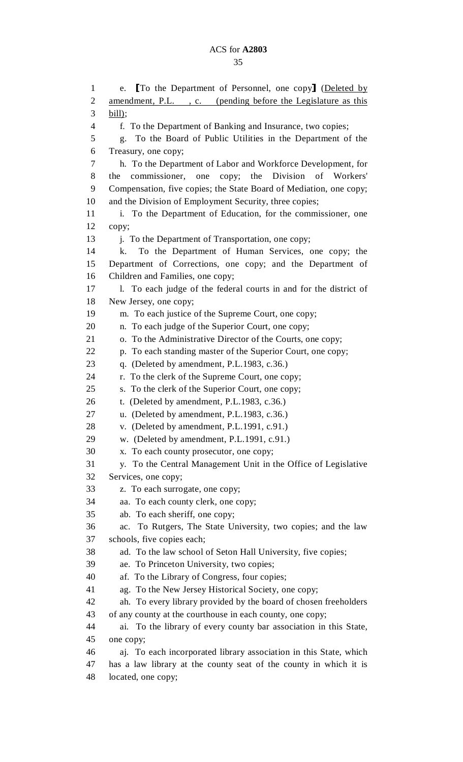1 e. **[To the Department of Personnel, one copy]** (Deleted by amendment, P.L., c. (pending before the Legislature as this amendment, P.L., c. (pending before the Legislature as this  $3$  bill); 4 f. To the Department of Banking and Insurance, two copies; 5 g. To the Board of Public Utilities in the Department of the 6 Treasury, one copy; 7 h. To the Department of Labor and Workforce Development, for 8 the commissioner, one copy; the Division of Workers' 9 Compensation, five copies; the State Board of Mediation, one copy; 10 and the Division of Employment Security, three copies; 11 i. To the Department of Education, for the commissioner, one 12 copy; 13 j. To the Department of Transportation, one copy; 14 k. To the Department of Human Services, one copy; the 15 Department of Corrections, one copy; and the Department of 16 Children and Families, one copy; 17 l. To each judge of the federal courts in and for the district of 18 New Jersey, one copy; 19 m. To each justice of the Supreme Court, one copy; 20 n. To each judge of the Superior Court, one copy; 21 o. To the Administrative Director of the Courts, one copy; 22 p. To each standing master of the Superior Court, one copy; 23 q. (Deleted by amendment, P.L.1983, c.36.) 24 r. To the clerk of the Supreme Court, one copy; 25 s. To the clerk of the Superior Court, one copy; 26 t. (Deleted by amendment, P.L.1983, c.36.) 27 u. (Deleted by amendment, P.L.1983, c.36.) 28 v. (Deleted by amendment, P.L.1991, c.91.) 29 w. (Deleted by amendment, P.L.1991, c.91.) 30 x. To each county prosecutor, one copy; 31 y. To the Central Management Unit in the Office of Legislative 32 Services, one copy; 33 z. To each surrogate, one copy; 34 aa. To each county clerk, one copy; 35 ab. To each sheriff, one copy; 36 ac. To Rutgers, The State University, two copies; and the law 37 schools, five copies each; 38 ad. To the law school of Seton Hall University, five copies; 39 ae. To Princeton University, two copies; 40 af. To the Library of Congress, four copies; 41 ag. To the New Jersey Historical Society, one copy; 42 ah. To every library provided by the board of chosen freeholders 43 of any county at the courthouse in each county, one copy; 44 ai. To the library of every county bar association in this State, 45 one copy; 46 aj. To each incorporated library association in this State, which 47 has a law library at the county seat of the county in which it is 48 located, one copy;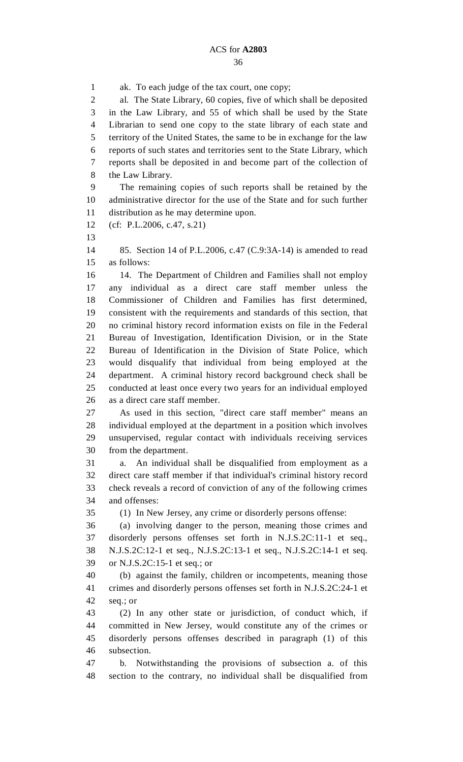1 ak. To each judge of the tax court, one copy; 2 al. The State Library, 60 copies, five of which shall be deposited 3 in the Law Library, and 55 of which shall be used by the State 4 Librarian to send one copy to the state library of each state and 5 territory of the United States, the same to be in exchange for the law 6 reports of such states and territories sent to the State Library, which 7 reports shall be deposited in and become part of the collection of 8 the Law Library. 9 The remaining copies of such reports shall be retained by the 10 administrative director for the use of the State and for such further 11 distribution as he may determine upon. 12 (cf: P.L.2006, c.47, s.21) 13 14 85. Section 14 of P.L.2006, c.47 (C.9:3A-14) is amended to read 15 as follows: 16 14. The Department of Children and Families shall not employ 17 any individual as a direct care staff member unless the 18 Commissioner of Children and Families has first determined, 19 consistent with the requirements and standards of this section, that 20 no criminal history record information exists on file in the Federal 21 Bureau of Investigation, Identification Division, or in the State 22 Bureau of Identification in the Division of State Police, which 23 would disqualify that individual from being employed at the

24 department. A criminal history record background check shall be 25 conducted at least once every two years for an individual employed 26 as a direct care staff member.

27 As used in this section, "direct care staff member" means an 28 individual employed at the department in a position which involves 29 unsupervised, regular contact with individuals receiving services 30 from the department.

31 a. An individual shall be disqualified from employment as a 32 direct care staff member if that individual's criminal history record 33 check reveals a record of conviction of any of the following crimes 34 and offenses:

35 (1) In New Jersey, any crime or disorderly persons offense:

36 (a) involving danger to the person, meaning those crimes and 37 disorderly persons offenses set forth in N.J.S.2C:11-1 et seq., 38 N.J.S.2C:12-1 et seq., N.J.S.2C:13-1 et seq., N.J.S.2C:14-1 et seq. 39 or N.J.S.2C:15-1 et seq.; or

40 (b) against the family, children or incompetents, meaning those 41 crimes and disorderly persons offenses set forth in N.J.S.2C:24-1 et 42 seq.; or

43 (2) In any other state or jurisdiction, of conduct which, if 44 committed in New Jersey, would constitute any of the crimes or 45 disorderly persons offenses described in paragraph (1) of this 46 subsection.

47 b. Notwithstanding the provisions of subsection a. of this 48 section to the contrary, no individual shall be disqualified from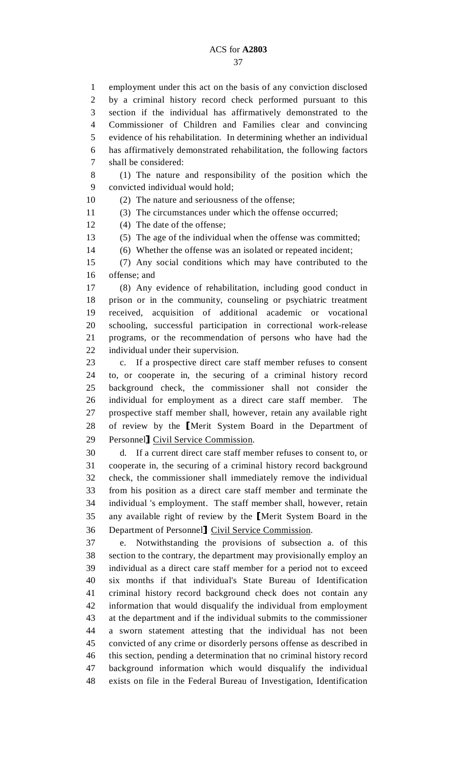1 employment under this act on the basis of any conviction disclosed 2 by a criminal history record check performed pursuant to this 3 section if the individual has affirmatively demonstrated to the 4 Commissioner of Children and Families clear and convincing 5 evidence of his rehabilitation. In determining whether an individual 6 has affirmatively demonstrated rehabilitation, the following factors 7 shall be considered:

8 (1) The nature and responsibility of the position which the 9 convicted individual would hold;

10 (2) The nature and seriousness of the offense;

11 (3) The circumstances under which the offense occurred;

12 (4) The date of the offense;

13 (5) The age of the individual when the offense was committed;

14 (6) Whether the offense was an isolated or repeated incident;

15 (7) Any social conditions which may have contributed to the 16 offense; and

17 (8) Any evidence of rehabilitation, including good conduct in 18 prison or in the community, counseling or psychiatric treatment 19 received, acquisition of additional academic or vocational 20 schooling, successful participation in correctional work-release 21 programs, or the recommendation of persons who have had the 22 individual under their supervision.

23 c. If a prospective direct care staff member refuses to consent 24 to, or cooperate in, the securing of a criminal history record 25 background check, the commissioner shall not consider the 26 individual for employment as a direct care staff member. The 27 prospective staff member shall, however, retain any available right 28 of review by the **[Merit System Board in the Department of Personnell Civil Service Commission.** 29 Personnel Civil Service Commission.<br>30 d. If a current direct care staff me

d. If a current direct care staff member refuses to consent to, or 31 cooperate in, the securing of a criminal history record background 32 check, the commissioner shall immediately remove the individual 33 from his position as a direct care staff member and terminate the 34 individual 's employment. The staff member shall, however, retain 35 any available right of review by the [Merit System Board in the Department of Personnel I Civil Service Commission. 36 Department of Personnel Civil Service Commission.<br>37 e. Notwithstanding the provisions of subsection

Notwithstanding the provisions of subsection a. of this 38 section to the contrary, the department may provisionally employ an 39 individual as a direct care staff member for a period not to exceed 40 six months if that individual's State Bureau of Identification 41 criminal history record background check does not contain any 42 information that would disqualify the individual from employment 43 at the department and if the individual submits to the commissioner 44 a sworn statement attesting that the individual has not been 45 convicted of any crime or disorderly persons offense as described in 46 this section, pending a determination that no criminal history record 47 background information which would disqualify the individual 48 exists on file in the Federal Bureau of Investigation, Identification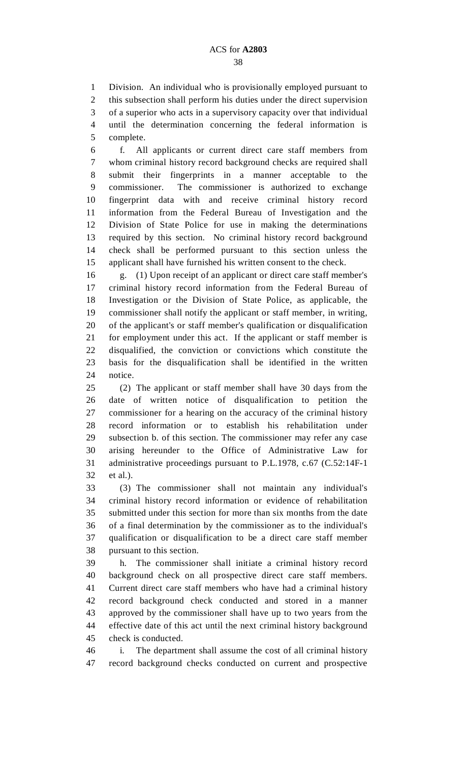1 Division. An individual who is provisionally employed pursuant to 2 this subsection shall perform his duties under the direct supervision 3 of a superior who acts in a supervisory capacity over that individual 4 until the determination concerning the federal information is 5 complete.

6 f. All applicants or current direct care staff members from 7 whom criminal history record background checks are required shall 8 submit their fingerprints in a manner acceptable to the 9 commissioner. The commissioner is authorized to exchange 10 fingerprint data with and receive criminal history record 11 information from the Federal Bureau of Investigation and the 12 Division of State Police for use in making the determinations 13 required by this section. No criminal history record background 14 check shall be performed pursuant to this section unless the 15 applicant shall have furnished his written consent to the check.

16 g. (1) Upon receipt of an applicant or direct care staff member's 17 criminal history record information from the Federal Bureau of 18 Investigation or the Division of State Police, as applicable, the 19 commissioner shall notify the applicant or staff member, in writing, 20 of the applicant's or staff member's qualification or disqualification 21 for employment under this act. If the applicant or staff member is 22 disqualified, the conviction or convictions which constitute the 23 basis for the disqualification shall be identified in the written 24 notice.

25 (2) The applicant or staff member shall have 30 days from the 26 date of written notice of disqualification to petition the 27 commissioner for a hearing on the accuracy of the criminal history 28 record information or to establish his rehabilitation under 29 subsection b. of this section. The commissioner may refer any case 30 arising hereunder to the Office of Administrative Law for 31 administrative proceedings pursuant to P.L.1978, c.67 (C.52:14F-1 32 et al.).

33 (3) The commissioner shall not maintain any individual's 34 criminal history record information or evidence of rehabilitation 35 submitted under this section for more than six months from the date 36 of a final determination by the commissioner as to the individual's 37 qualification or disqualification to be a direct care staff member 38 pursuant to this section.

39 h. The commissioner shall initiate a criminal history record 40 background check on all prospective direct care staff members. 41 Current direct care staff members who have had a criminal history 42 record background check conducted and stored in a manner 43 approved by the commissioner shall have up to two years from the 44 effective date of this act until the next criminal history background 45 check is conducted.

46 i. The department shall assume the cost of all criminal history 47 record background checks conducted on current and prospective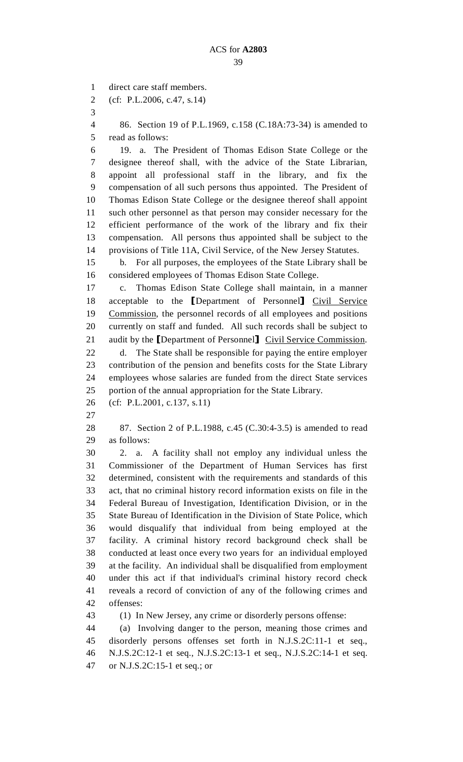1 direct care staff members. 2 (cf: P.L.2006, c.47, s.14) 3 4 86. Section 19 of P.L.1969, c.158 (C.18A:73-34) is amended to 5 read as follows: 6 19. a. The President of Thomas Edison State College or the 7 designee thereof shall, with the advice of the State Librarian, 8 appoint all professional staff in the library, and fix the 9 compensation of all such persons thus appointed. The President of 10 Thomas Edison State College or the designee thereof shall appoint 11 such other personnel as that person may consider necessary for the 12 efficient performance of the work of the library and fix their 13 compensation. All persons thus appointed shall be subject to the 14 provisions of Title 11A, Civil Service, of the New Jersey Statutes. 15 b. For all purposes, the employees of the State Library shall be 16 considered employees of Thomas Edison State College. 17 c. Thomas Edison State College shall maintain, in a manner 18 acceptable to the *[Department of Personnel]* Civil Service<br>19 Commission the personnel records of all employees and positions Commission, the personnel records of all employees and positions 20 currently on staff and funded. All such records shall be subject to 21 audit by the [Department of Personnel] Civil Service Commission.<br>22 d. The State shall be responsible for paying the entire employer The State shall be responsible for paying the entire employer 23 contribution of the pension and benefits costs for the State Library 24 employees whose salaries are funded from the direct State services 25 portion of the annual appropriation for the State Library. 26 (cf: P.L.2001, c.137, s.11) 27 28 87. Section 2 of P.L.1988, c.45 (C.30:4-3.5) is amended to read 29 as follows: 30 2. a. A facility shall not employ any individual unless the 31 Commissioner of the Department of Human Services has first 32 determined, consistent with the requirements and standards of this 33 act, that no criminal history record information exists on file in the 34 Federal Bureau of Investigation, Identification Division, or in the 35 State Bureau of Identification in the Division of State Police, which 36 would disqualify that individual from being employed at the 37 facility. A criminal history record background check shall be 38 conducted at least once every two years for an individual employed 39 at the facility. An individual shall be disqualified from employment 40 under this act if that individual's criminal history record check 41 reveals a record of conviction of any of the following crimes and 42 offenses: 43 (1) In New Jersey, any crime or disorderly persons offense: 44 (a) Involving danger to the person, meaning those crimes and 45 disorderly persons offenses set forth in N.J.S.2C:11-1 et seq., 46 N.J.S.2C:12-1 et seq., N.J.S.2C:13-1 et seq., N.J.S.2C:14-1 et seq. 47 or N.J.S.2C:15-1 et seq.; or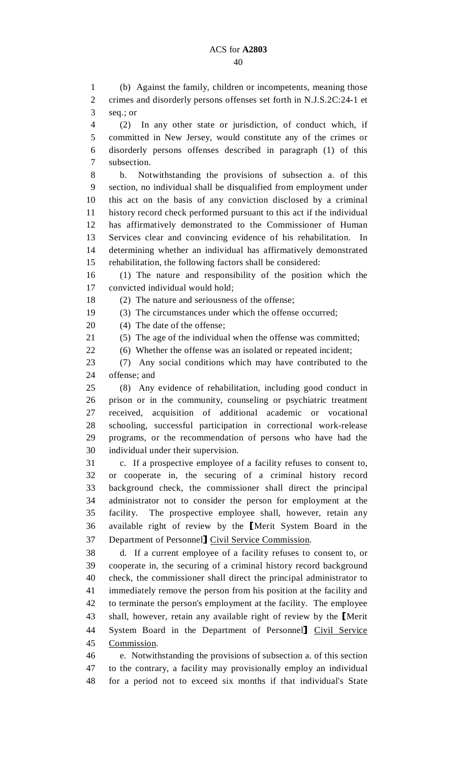1 (b) Against the family, children or incompetents, meaning those 2 crimes and disorderly persons offenses set forth in N.J.S.2C:24-1 et 3 seq.; or

4 (2) In any other state or jurisdiction, of conduct which, if 5 committed in New Jersey, would constitute any of the crimes or 6 disorderly persons offenses described in paragraph (1) of this 7 subsection.

8 b. Notwithstanding the provisions of subsection a. of this 9 section, no individual shall be disqualified from employment under 10 this act on the basis of any conviction disclosed by a criminal 11 history record check performed pursuant to this act if the individual 12 has affirmatively demonstrated to the Commissioner of Human 13 Services clear and convincing evidence of his rehabilitation. In 14 determining whether an individual has affirmatively demonstrated 15 rehabilitation, the following factors shall be considered:

16 (1) The nature and responsibility of the position which the 17 convicted individual would hold;

18 (2) The nature and seriousness of the offense;

19 (3) The circumstances under which the offense occurred;

20 (4) The date of the offense;

21 (5) The age of the individual when the offense was committed;

22 (6) Whether the offense was an isolated or repeated incident;

23 (7) Any social conditions which may have contributed to the 24 offense; and

25 (8) Any evidence of rehabilitation, including good conduct in 26 prison or in the community, counseling or psychiatric treatment 27 received, acquisition of additional academic or vocational 28 schooling, successful participation in correctional work-release 29 programs, or the recommendation of persons who have had the 30 individual under their supervision.

31 c. If a prospective employee of a facility refuses to consent to, 32 or cooperate in, the securing of a criminal history record 33 background check, the commissioner shall direct the principal 34 administrator not to consider the person for employment at the 35 facility. The prospective employee shall, however, retain any 36 available right of review by the **[Merit System Board in the 37** Department of Personnel **1** Civil Service Commission. 37 Department of Personnel Civil Service Commission.<br>38 d. If a current employee of a facility refuses to

38 d. If a current employee of a facility refuses to consent to, or 39 cooperate in, the securing of a criminal history record background 40 check, the commissioner shall direct the principal administrator to 41 immediately remove the person from his position at the facility and 42 to terminate the person's employment at the facility. The employee 43 shall, however, retain any available right of review by the [Merit 44 System Board in the Department of Personnel I Civil Service 44 System Board in the Department of Personnel] Civil Service<br>45 Commission. Commission.

46 e. Notwithstanding the provisions of subsection a. of this section 47 to the contrary, a facility may provisionally employ an individual 48 for a period not to exceed six months if that individual's State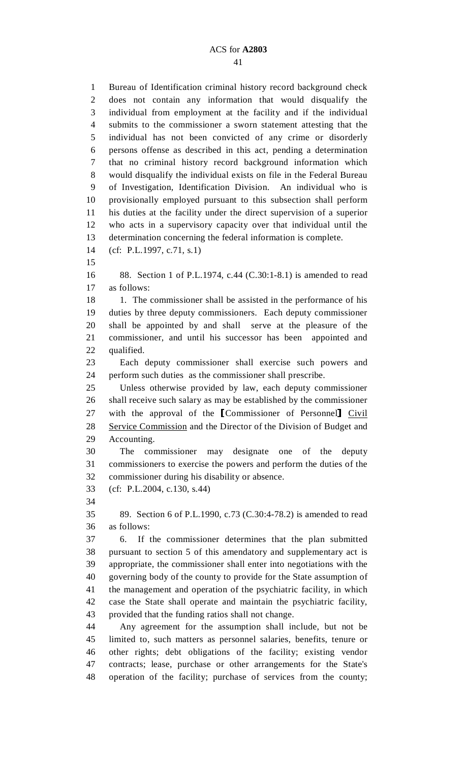1 Bureau of Identification criminal history record background check 2 does not contain any information that would disqualify the 3 individual from employment at the facility and if the individual 4 submits to the commissioner a sworn statement attesting that the 5 individual has not been convicted of any crime or disorderly 6 persons offense as described in this act, pending a determination 7 that no criminal history record background information which 8 would disqualify the individual exists on file in the Federal Bureau 9 of Investigation, Identification Division. An individual who is 10 provisionally employed pursuant to this subsection shall perform 11 his duties at the facility under the direct supervision of a superior 12 who acts in a supervisory capacity over that individual until the 13 determination concerning the federal information is complete. 14 (cf: P.L.1997, c.71, s.1) 15 16 88. Section 1 of P.L.1974, c.44 (C.30:1-8.1) is amended to read 17 as follows: 18 1. The commissioner shall be assisted in the performance of his 19 duties by three deputy commissioners. Each deputy commissioner 20 shall be appointed by and shall serve at the pleasure of the 21 commissioner, and until his successor has been appointed and 22 qualified. 23 Each deputy commissioner shall exercise such powers and 24 perform such duties as the commissioner shall prescribe. 25 Unless otherwise provided by law, each deputy commissioner 26 shall receive such salary as may be established by the commissioner 27 with the approval of the [Commissioner of Personnel] Civil<br>28 Service Commission and the Director of the Division of Budget and Service Commission and the Director of the Division of Budget and 29 Accounting. 30 The commissioner may designate one of the deputy 31 commissioners to exercise the powers and perform the duties of the 32 commissioner during his disability or absence. 33 (cf: P.L.2004, c.130, s.44) 34 35 89. Section 6 of P.L.1990, c.73 (C.30:4-78.2) is amended to read 36 as follows: 37 6. If the commissioner determines that the plan submitted 38 pursuant to section 5 of this amendatory and supplementary act is 39 appropriate, the commissioner shall enter into negotiations with the 40 governing body of the county to provide for the State assumption of 41 the management and operation of the psychiatric facility, in which 42 case the State shall operate and maintain the psychiatric facility, 43 provided that the funding ratios shall not change. 44 Any agreement for the assumption shall include, but not be 45 limited to, such matters as personnel salaries, benefits, tenure or 46 other rights; debt obligations of the facility; existing vendor 47 contracts; lease, purchase or other arrangements for the State's 48 operation of the facility; purchase of services from the county;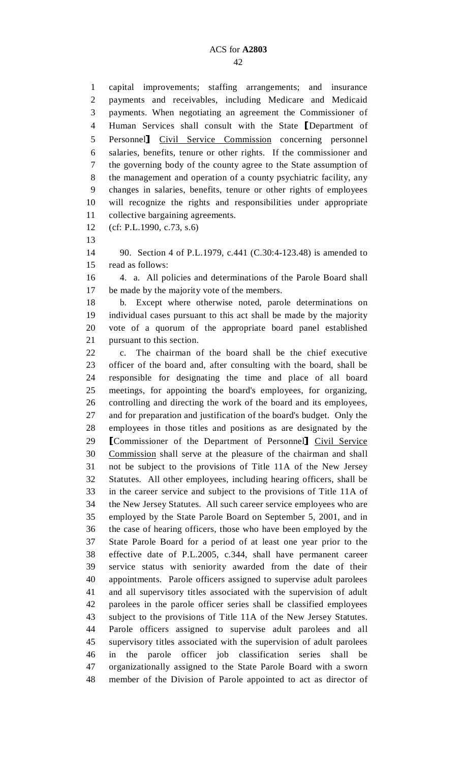1 capital improvements; staffing arrangements; and insurance 2 payments and receivables, including Medicare and Medicaid 3 payments. When negotiating an agreement the Commissioner of 4 Human Services shall consult with the State [Department of<br>5 Personnel] Civil Service Commission concerning personnel 5 Personnel Twill Service Commission concerning personnel<br>6 salaries, benefits, tenure or other rights. If the commissioner and salaries, benefits, tenure or other rights. If the commissioner and 7 the governing body of the county agree to the State assumption of 8 the management and operation of a county psychiatric facility, any 9 changes in salaries, benefits, tenure or other rights of employees 10 will recognize the rights and responsibilities under appropriate 11 collective bargaining agreements.

- 12 (cf: P.L.1990, c.73, s.6)
- 13

14 90. Section 4 of P.L.1979, c.441 (C.30:4-123.48) is amended to 15 read as follows:

16 4. a. All policies and determinations of the Parole Board shall 17 be made by the majority vote of the members.

18 b. Except where otherwise noted, parole determinations on 19 individual cases pursuant to this act shall be made by the majority 20 vote of a quorum of the appropriate board panel established 21 pursuant to this section.

22 c. The chairman of the board shall be the chief executive 23 officer of the board and, after consulting with the board, shall be 24 responsible for designating the time and place of all board 25 meetings, for appointing the board's employees, for organizing, 26 controlling and directing the work of the board and its employees, 27 and for preparation and justification of the board's budget. Only the 28 employees in those titles and positions as are designated by the 29 [Commissioner of the Department of Personnel] Civil Service<br>30 Commission shall serve at the pleasure of the chairman and shall Commission shall serve at the pleasure of the chairman and shall 31 not be subject to the provisions of Title 11A of the New Jersey 32 Statutes. All other employees, including hearing officers, shall be 33 in the career service and subject to the provisions of Title 11A of 34 the New Jersey Statutes. All such career service employees who are 35 employed by the State Parole Board on September 5, 2001, and in 36 the case of hearing officers, those who have been employed by the 37 State Parole Board for a period of at least one year prior to the 38 effective date of P.L.2005, c.344, shall have permanent career 39 service status with seniority awarded from the date of their 40 appointments. Parole officers assigned to supervise adult parolees 41 and all supervisory titles associated with the supervision of adult 42 parolees in the parole officer series shall be classified employees 43 subject to the provisions of Title 11A of the New Jersey Statutes. 44 Parole officers assigned to supervise adult parolees and all 45 supervisory titles associated with the supervision of adult parolees 46 in the parole officer job classification series shall be 47 organizationally assigned to the State Parole Board with a sworn 48 member of the Division of Parole appointed to act as director of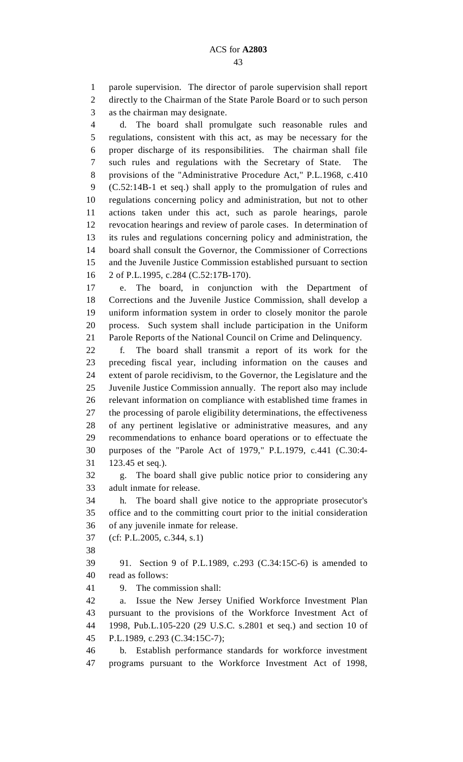1 parole supervision. The director of parole supervision shall report 2 directly to the Chairman of the State Parole Board or to such person 3 as the chairman may designate.

4 d. The board shall promulgate such reasonable rules and 5 regulations, consistent with this act, as may be necessary for the 6 proper discharge of its responsibilities. The chairman shall file 7 such rules and regulations with the Secretary of State. The 8 provisions of the "Administrative Procedure Act," P.L.1968, c.410 9 (C.52:14B-1 et seq.) shall apply to the promulgation of rules and 10 regulations concerning policy and administration, but not to other 11 actions taken under this act, such as parole hearings, parole 12 revocation hearings and review of parole cases. In determination of 13 its rules and regulations concerning policy and administration, the 14 board shall consult the Governor, the Commissioner of Corrections 15 and the Juvenile Justice Commission established pursuant to section 16 2 of P.L.1995, c.284 (C.52:17B-170).

17 e. The board, in conjunction with the Department of 18 Corrections and the Juvenile Justice Commission, shall develop a 19 uniform information system in order to closely monitor the parole 20 process. Such system shall include participation in the Uniform 21 Parole Reports of the National Council on Crime and Delinquency.

22 f. The board shall transmit a report of its work for the 23 preceding fiscal year, including information on the causes and 24 extent of parole recidivism, to the Governor, the Legislature and the 25 Juvenile Justice Commission annually. The report also may include 26 relevant information on compliance with established time frames in 27 the processing of parole eligibility determinations, the effectiveness 28 of any pertinent legislative or administrative measures, and any 29 recommendations to enhance board operations or to effectuate the 30 purposes of the "Parole Act of 1979," P.L.1979, c.441 (C.30:4- 31 123.45 et seq.).

32 g. The board shall give public notice prior to considering any 33 adult inmate for release.

34 h. The board shall give notice to the appropriate prosecutor's 35 office and to the committing court prior to the initial consideration 36 of any juvenile inmate for release.

37 (cf: P.L.2005, c.344, s.1)

38

39 91. Section 9 of P.L.1989, c.293 (C.34:15C-6) is amended to 40 read as follows:

41 9. The commission shall:

42 a. Issue the New Jersey Unified Workforce Investment Plan 43 pursuant to the provisions of the Workforce Investment Act of 44 1998, Pub.L.105-220 (29 U.S.C. s.2801 et seq.) and section 10 of 45 P.L.1989, c.293 (C.34:15C-7);

46 b. Establish performance standards for workforce investment 47 programs pursuant to the Workforce Investment Act of 1998,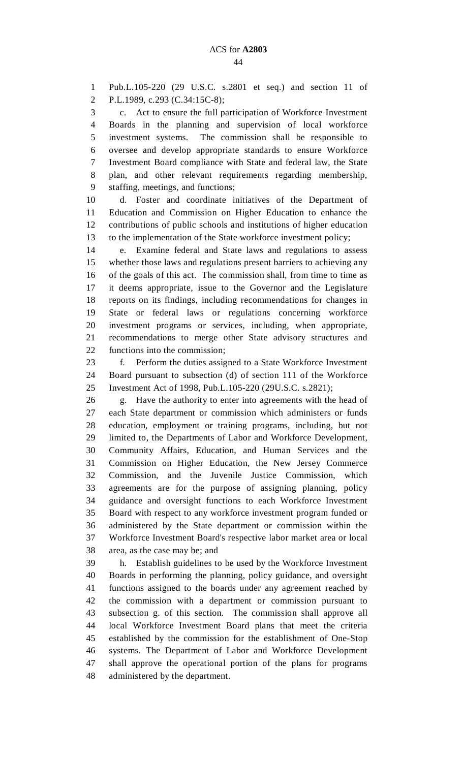1 Pub.L.105-220 (29 U.S.C. s.2801 et seq.) and section 11 of 2 P.L.1989, c.293 (C.34:15C-8);

3 c. Act to ensure the full participation of Workforce Investment 4 Boards in the planning and supervision of local workforce 5 investment systems. The commission shall be responsible to 6 oversee and develop appropriate standards to ensure Workforce 7 Investment Board compliance with State and federal law, the State 8 plan, and other relevant requirements regarding membership, 9 staffing, meetings, and functions;

10 d. Foster and coordinate initiatives of the Department of 11 Education and Commission on Higher Education to enhance the 12 contributions of public schools and institutions of higher education 13 to the implementation of the State workforce investment policy;

14 e. Examine federal and State laws and regulations to assess 15 whether those laws and regulations present barriers to achieving any 16 of the goals of this act. The commission shall, from time to time as 17 it deems appropriate, issue to the Governor and the Legislature 18 reports on its findings, including recommendations for changes in 19 State or federal laws or regulations concerning workforce 20 investment programs or services, including, when appropriate, 21 recommendations to merge other State advisory structures and 22 functions into the commission;

23 f. Perform the duties assigned to a State Workforce Investment 24 Board pursuant to subsection (d) of section 111 of the Workforce 25 Investment Act of 1998, Pub.L.105-220 (29U.S.C. s.2821);

26 g. Have the authority to enter into agreements with the head of 27 each State department or commission which administers or funds 28 education, employment or training programs, including, but not 29 limited to, the Departments of Labor and Workforce Development, 30 Community Affairs, Education, and Human Services and the 31 Commission on Higher Education, the New Jersey Commerce 32 Commission, and the Juvenile Justice Commission, which 33 agreements are for the purpose of assigning planning, policy 34 guidance and oversight functions to each Workforce Investment 35 Board with respect to any workforce investment program funded or 36 administered by the State department or commission within the 37 Workforce Investment Board's respective labor market area or local 38 area, as the case may be; and

39 h. Establish guidelines to be used by the Workforce Investment 40 Boards in performing the planning, policy guidance, and oversight 41 functions assigned to the boards under any agreement reached by 42 the commission with a department or commission pursuant to 43 subsection g. of this section. The commission shall approve all 44 local Workforce Investment Board plans that meet the criteria 45 established by the commission for the establishment of One-Stop 46 systems. The Department of Labor and Workforce Development 47 shall approve the operational portion of the plans for programs 48 administered by the department.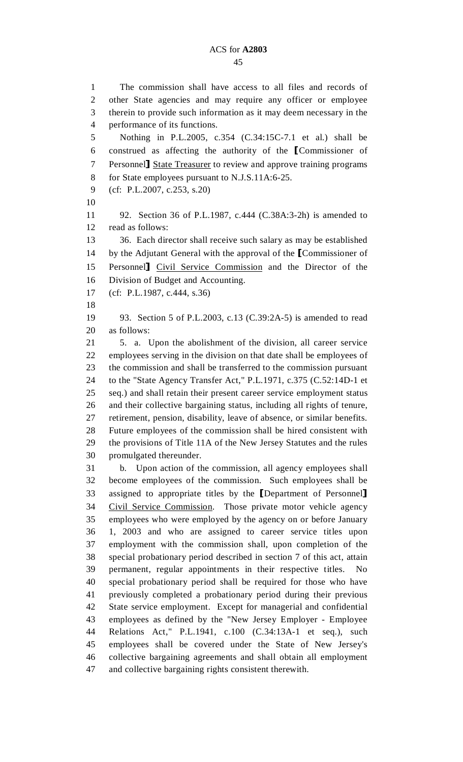1 The commission shall have access to all files and records of 2 other State agencies and may require any officer or employee 3 therein to provide such information as it may deem necessary in the 4 performance of its functions. 5 Nothing in P.L.2005, c.354 (C.34:15C-7.1 et al.) shall be 6 construed as affecting the authority of the [Commissioner of 7 Personnel] State Treasurer to review and approve training programs 7 Personnel State Treasurer to review and approve training programs<br>8 for State employees pursuant to N.J.S.11A:6-25. for State employees pursuant to N.J.S.11A:6-25. 9 (cf: P.L.2007, c.253, s.20) 10 11 92. Section 36 of P.L.1987, c.444 (C.38A:3-2h) is amended to 12 read as follows: 13 36. Each director shall receive such salary as may be established 14 by the Adjutant General with the approval of the **[Commissioner of 15** Personnel**]** Civil Service Commission and the Director of the 15 Personnel Civil Service Commission and the Director of the 16 Division of Budget and Accounting Division of Budget and Accounting. 17 (cf: P.L.1987, c.444, s.36) 18 19 93. Section 5 of P.L.2003, c.13 (C.39:2A-5) is amended to read 20 as follows: 21 5. a. Upon the abolishment of the division, all career service 22 employees serving in the division on that date shall be employees of 23 the commission and shall be transferred to the commission pursuant 24 to the "State Agency Transfer Act," P.L.1971, c.375 (C.52:14D-1 et 25 seq.) and shall retain their present career service employment status 26 and their collective bargaining status, including all rights of tenure, 27 retirement, pension, disability, leave of absence, or similar benefits. 28 Future employees of the commission shall be hired consistent with 29 the provisions of Title 11A of the New Jersey Statutes and the rules 30 promulgated thereunder. 31 b. Upon action of the commission, all agency employees shall 32 become employees of the commission. Such employees shall be 33 assigned to appropriate titles by the [Department of Personnel]<br>34 Civil Service Commission. Those private motor vehicle agency Civil Service Commission. Those private motor vehicle agency 35 employees who were employed by the agency on or before January 36 1, 2003 and who are assigned to career service titles upon 37 employment with the commission shall, upon completion of the 38 special probationary period described in section 7 of this act, attain 39 permanent, regular appointments in their respective titles. No 40 special probationary period shall be required for those who have 41 previously completed a probationary period during their previous 42 State service employment. Except for managerial and confidential 43 employees as defined by the "New Jersey Employer - Employee 44 Relations Act," P.L.1941, c.100 (C.34:13A-1 et seq.), such 45 employees shall be covered under the State of New Jersey's 46 collective bargaining agreements and shall obtain all employment 47 and collective bargaining rights consistent therewith.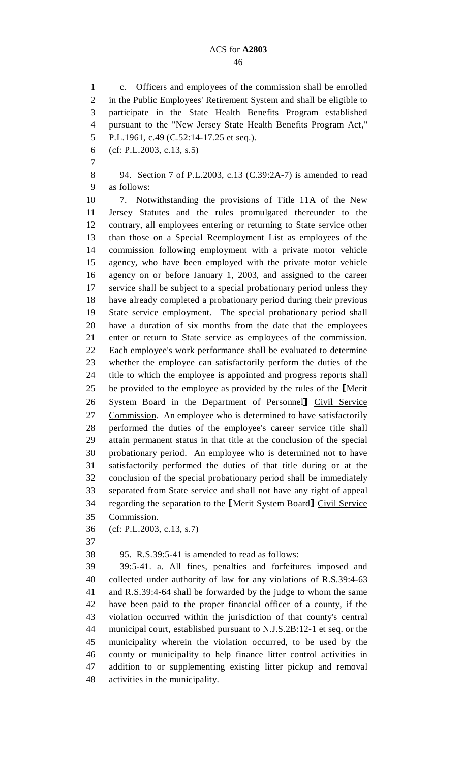1 c. Officers and employees of the commission shall be enrolled 2 in the Public Employees' Retirement System and shall be eligible to 3 participate in the State Health Benefits Program established 4 pursuant to the "New Jersey State Health Benefits Program Act," 5 P.L.1961, c.49 (C.52:14-17.25 et seq.). 6 (cf: P.L.2003, c.13, s.5) 7 8 94. Section 7 of P.L.2003, c.13 (C.39:2A-7) is amended to read 9 as follows: 10 7. Notwithstanding the provisions of Title 11A of the New 11 Jersey Statutes and the rules promulgated thereunder to the 12 contrary, all employees entering or returning to State service other 13 than those on a Special Reemployment List as employees of the 14 commission following employment with a private motor vehicle 15 agency, who have been employed with the private motor vehicle 16 agency on or before January 1, 2003, and assigned to the career 17 service shall be subject to a special probationary period unless they 18 have already completed a probationary period during their previous 19 State service employment. The special probationary period shall 20 have a duration of six months from the date that the employees 21 enter or return to State service as employees of the commission. 22 Each employee's work performance shall be evaluated to determine 23 whether the employee can satisfactorily perform the duties of the 24 title to which the employee is appointed and progress reports shall 25 be provided to the employee as provided by the rules of the [Merit 26 System Board in the Department of Personnel I Civil Service 26 System Board in the Department of Personnel Civil Service<br>27 Commission. An employee who is determined to have satisfactorily Commission. An employee who is determined to have satisfactorily 28 performed the duties of the employee's career service title shall 29 attain permanent status in that title at the conclusion of the special 30 probationary period. An employee who is determined not to have 31 satisfactorily performed the duties of that title during or at the 32 conclusion of the special probationary period shall be immediately 33 separated from State service and shall not have any right of appeal 34 regarding the separation to the [Merit System Board] Civil Service<br>35 Commission. Commission. 36 (cf: P.L.2003, c.13, s.7) 37 38 95. R.S.39:5-41 is amended to read as follows: 39 39:5-41. a. All fines, penalties and forfeitures imposed and 40 collected under authority of law for any violations of R.S.39:4-63 41 and R.S.39:4-64 shall be forwarded by the judge to whom the same 42 have been paid to the proper financial officer of a county, if the 43 violation occurred within the jurisdiction of that county's central 44 municipal court, established pursuant to N.J.S.2B:12-1 et seq. or the 45 municipality wherein the violation occurred, to be used by the 46 county or municipality to help finance litter control activities in 47 addition to or supplementing existing litter pickup and removal

48 activities in the municipality.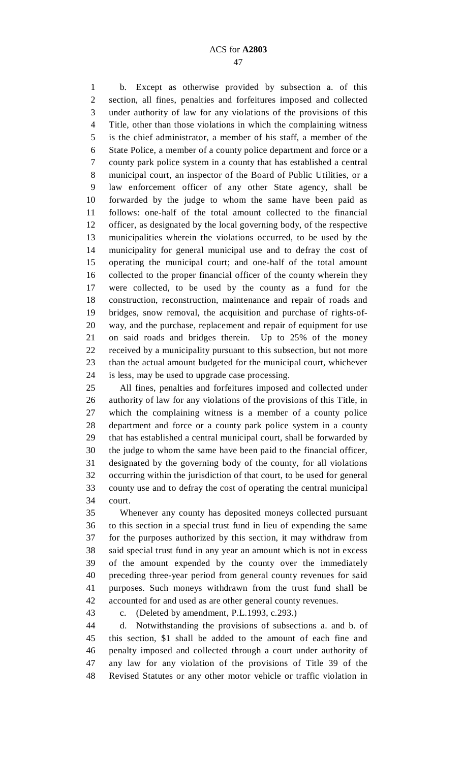1 b. Except as otherwise provided by subsection a. of this 2 section, all fines, penalties and forfeitures imposed and collected 3 under authority of law for any violations of the provisions of this 4 Title, other than those violations in which the complaining witness 5 is the chief administrator, a member of his staff, a member of the 6 State Police, a member of a county police department and force or a 7 county park police system in a county that has established a central 8 municipal court, an inspector of the Board of Public Utilities, or a 9 law enforcement officer of any other State agency, shall be 10 forwarded by the judge to whom the same have been paid as 11 follows: one-half of the total amount collected to the financial 12 officer, as designated by the local governing body, of the respective 13 municipalities wherein the violations occurred, to be used by the 14 municipality for general municipal use and to defray the cost of 15 operating the municipal court; and one-half of the total amount 16 collected to the proper financial officer of the county wherein they 17 were collected, to be used by the county as a fund for the 18 construction, reconstruction, maintenance and repair of roads and 19 bridges, snow removal, the acquisition and purchase of rights-of-20 way, and the purchase, replacement and repair of equipment for use 21 on said roads and bridges therein. Up to 25% of the money 22 received by a municipality pursuant to this subsection, but not more 23 than the actual amount budgeted for the municipal court, whichever 24 is less, may be used to upgrade case processing.

25 All fines, penalties and forfeitures imposed and collected under 26 authority of law for any violations of the provisions of this Title, in 27 which the complaining witness is a member of a county police 28 department and force or a county park police system in a county 29 that has established a central municipal court, shall be forwarded by 30 the judge to whom the same have been paid to the financial officer, 31 designated by the governing body of the county, for all violations 32 occurring within the jurisdiction of that court, to be used for general 33 county use and to defray the cost of operating the central municipal 34 court.

35 Whenever any county has deposited moneys collected pursuant 36 to this section in a special trust fund in lieu of expending the same 37 for the purposes authorized by this section, it may withdraw from 38 said special trust fund in any year an amount which is not in excess 39 of the amount expended by the county over the immediately 40 preceding three-year period from general county revenues for said 41 purposes. Such moneys withdrawn from the trust fund shall be 42 accounted for and used as are other general county revenues.

43 c. (Deleted by amendment, P.L.1993, c.293.)

44 d. Notwithstanding the provisions of subsections a. and b. of 45 this section, \$1 shall be added to the amount of each fine and 46 penalty imposed and collected through a court under authority of 47 any law for any violation of the provisions of Title 39 of the 48 Revised Statutes or any other motor vehicle or traffic violation in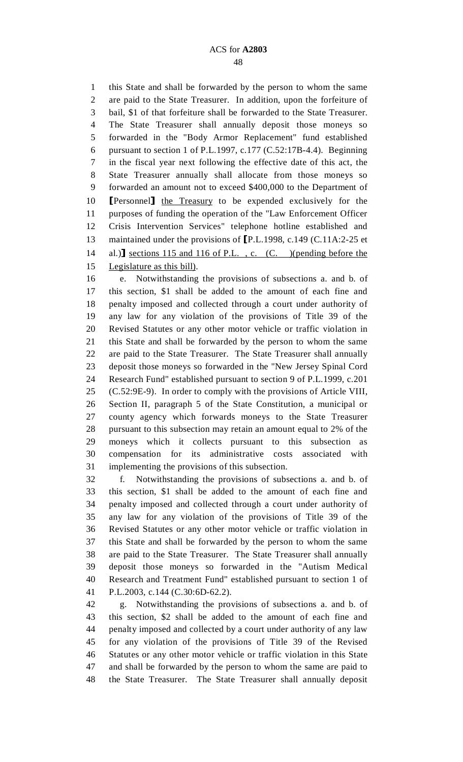1 this State and shall be forwarded by the person to whom the same 2 are paid to the State Treasurer. In addition, upon the forfeiture of 3 bail, \$1 of that forfeiture shall be forwarded to the State Treasurer. 4 The State Treasurer shall annually deposit those moneys so 5 forwarded in the "Body Armor Replacement" fund established 6 pursuant to section 1 of P.L.1997, c.177 (C.52:17B-4.4). Beginning 7 in the fiscal year next following the effective date of this act, the 8 State Treasurer annually shall allocate from those moneys so 9 forwarded an amount not to exceed \$400,000 to the Department of 10 [Personnel] the Treasury to be expended exclusively for the nurnoses of funding the operation of the "Law Enforcement Officer" purposes of funding the operation of the "Law Enforcement Officer 12 Crisis Intervention Services" telephone hotline established and 13 maintained under the provisions of [P.L.1998, c.149 (C.11A:2-25 et al.) l sections 115 and 116 of P.L. . c. (C. ) (pending before the 14 al.)**]** sections 115 and 116 of P.L., c. (C. )(pending before the Legislature as this bill). Legislature as this bill).

16 e. Notwithstanding the provisions of subsections a. and b. of 17 this section, \$1 shall be added to the amount of each fine and 18 penalty imposed and collected through a court under authority of 19 any law for any violation of the provisions of Title 39 of the 20 Revised Statutes or any other motor vehicle or traffic violation in 21 this State and shall be forwarded by the person to whom the same 22 are paid to the State Treasurer. The State Treasurer shall annually 23 deposit those moneys so forwarded in the "New Jersey Spinal Cord 24 Research Fund" established pursuant to section 9 of P.L.1999, c.201 25 (C.52:9E-9). In order to comply with the provisions of Article VIII, 26 Section II, paragraph 5 of the State Constitution, a municipal or 27 county agency which forwards moneys to the State Treasurer 28 pursuant to this subsection may retain an amount equal to 2% of the 29 moneys which it collects pursuant to this subsection as 30 compensation for its administrative costs associated with 31 implementing the provisions of this subsection.

32 f. Notwithstanding the provisions of subsections a. and b. of 33 this section, \$1 shall be added to the amount of each fine and 34 penalty imposed and collected through a court under authority of 35 any law for any violation of the provisions of Title 39 of the 36 Revised Statutes or any other motor vehicle or traffic violation in 37 this State and shall be forwarded by the person to whom the same 38 are paid to the State Treasurer. The State Treasurer shall annually 39 deposit those moneys so forwarded in the "Autism Medical 40 Research and Treatment Fund" established pursuant to section 1 of 41 P.L.2003, c.144 (C.30:6D-62.2).

42 g. Notwithstanding the provisions of subsections a. and b. of 43 this section, \$2 shall be added to the amount of each fine and 44 penalty imposed and collected by a court under authority of any law 45 for any violation of the provisions of Title 39 of the Revised 46 Statutes or any other motor vehicle or traffic violation in this State 47 and shall be forwarded by the person to whom the same are paid to 48 the State Treasurer. The State Treasurer shall annually deposit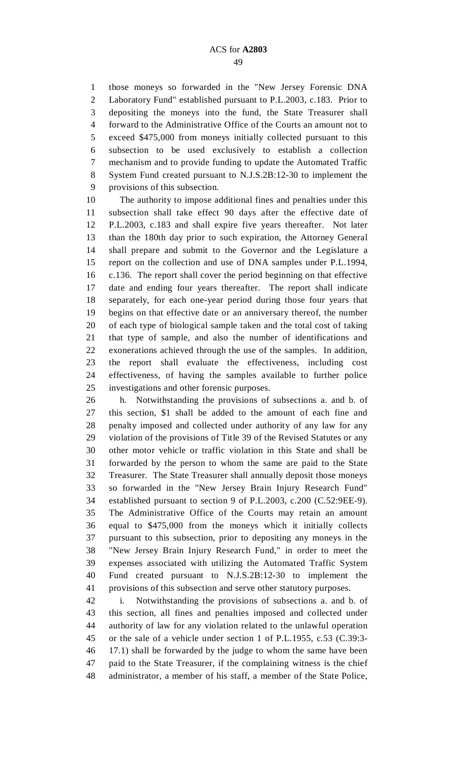1 those moneys so forwarded in the "New Jersey Forensic DNA 2 Laboratory Fund" established pursuant to P.L.2003, c.183. Prior to 3 depositing the moneys into the fund, the State Treasurer shall 4 forward to the Administrative Office of the Courts an amount not to 5 exceed \$475,000 from moneys initially collected pursuant to this 6 subsection to be used exclusively to establish a collection 7 mechanism and to provide funding to update the Automated Traffic 8 System Fund created pursuant to N.J.S.2B:12-30 to implement the 9 provisions of this subsection.

10 The authority to impose additional fines and penalties under this 11 subsection shall take effect 90 days after the effective date of 12 P.L.2003, c.183 and shall expire five years thereafter. Not later 13 than the 180th day prior to such expiration, the Attorney General 14 shall prepare and submit to the Governor and the Legislature a 15 report on the collection and use of DNA samples under P.L.1994, 16 c.136. The report shall cover the period beginning on that effective 17 date and ending four years thereafter. The report shall indicate 18 separately, for each one-year period during those four years that 19 begins on that effective date or an anniversary thereof, the number 20 of each type of biological sample taken and the total cost of taking 21 that type of sample, and also the number of identifications and 22 exonerations achieved through the use of the samples. In addition, 23 the report shall evaluate the effectiveness, including cost 24 effectiveness, of having the samples available to further police 25 investigations and other forensic purposes.

26 h. Notwithstanding the provisions of subsections a. and b. of 27 this section, \$1 shall be added to the amount of each fine and 28 penalty imposed and collected under authority of any law for any 29 violation of the provisions of Title 39 of the Revised Statutes or any 30 other motor vehicle or traffic violation in this State and shall be 31 forwarded by the person to whom the same are paid to the State 32 Treasurer. The State Treasurer shall annually deposit those moneys 33 so forwarded in the "New Jersey Brain Injury Research Fund" 34 established pursuant to section 9 of P.L.2003, c.200 (C.52:9EE-9). 35 The Administrative Office of the Courts may retain an amount 36 equal to \$475,000 from the moneys which it initially collects 37 pursuant to this subsection, prior to depositing any moneys in the 38 "New Jersey Brain Injury Research Fund," in order to meet the 39 expenses associated with utilizing the Automated Traffic System 40 Fund created pursuant to N.J.S.2B:12-30 to implement the 41 provisions of this subsection and serve other statutory purposes.

42 i. Notwithstanding the provisions of subsections a. and b. of 43 this section, all fines and penalties imposed and collected under 44 authority of law for any violation related to the unlawful operation 45 or the sale of a vehicle under section 1 of P.L.1955, c.53 (C.39:3- 46 17.1) shall be forwarded by the judge to whom the same have been 47 paid to the State Treasurer, if the complaining witness is the chief 48 administrator, a member of his staff, a member of the State Police,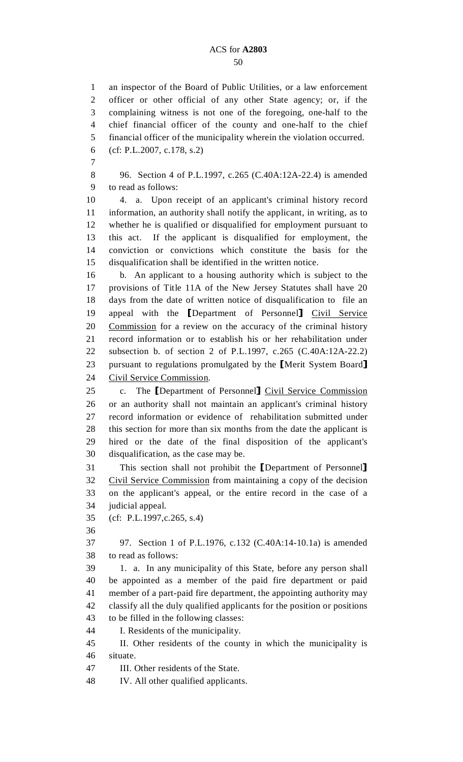1 an inspector of the Board of Public Utilities, or a law enforcement 2 officer or other official of any other State agency; or, if the 3 complaining witness is not one of the foregoing, one-half to the 4 chief financial officer of the county and one-half to the chief 5 financial officer of the municipality wherein the violation occurred. 6 (cf: P.L.2007, c.178, s.2) 7 8 96. Section 4 of P.L.1997, c.265 (C.40A:12A-22.4) is amended 9 to read as follows: 10 4. a. Upon receipt of an applicant's criminal history record

11 information, an authority shall notify the applicant, in writing, as to 12 whether he is qualified or disqualified for employment pursuant to 13 this act. If the applicant is disqualified for employment, the 14 conviction or convictions which constitute the basis for the 15 disqualification shall be identified in the written notice.

16 b. An applicant to a housing authority which is subject to the 17 provisions of Title 11A of the New Jersey Statutes shall have 20 18 days from the date of written notice of disqualification to file an 19 appeal with the *Department* of Personnel *Civil Service*<br>20 Commission for a review on the accuracy of the criminal history Commission for a review on the accuracy of the criminal history 21 record information or to establish his or her rehabilitation under 22 subsection b. of section 2 of P.L.1997, c.265 (C.40A:12A-22.2) 23 pursuant to regulations promulgated by the [Merit System Board]<br>24 Civil Service Commission. Civil Service Commission.

25 c. The [Department of Personnel] Civil Service Commission<br>26 or an authority shall not maintain an applicant's criminal history 26 or an authority shall not maintain an applicant's criminal history 27 record information or evidence of rehabilitation submitted under 28 this section for more than six months from the date the applicant is 29 hired or the date of the final disposition of the applicant's 30 disqualification, as the case may be.

31 This section shall not prohibit the [Department of Personnel]<br>32 Civil Service Commission from maintaining a copy of the decision Civil Service Commission from maintaining a copy of the decision 33 on the applicant's appeal, or the entire record in the case of a 34 judicial appeal.

35 (cf: P.L.1997,c.265, s.4)

36

37 97. Section 1 of P.L.1976, c.132 (C.40A:14-10.1a) is amended 38 to read as follows:

39 1. a. In any municipality of this State, before any person shall 40 be appointed as a member of the paid fire department or paid 41 member of a part-paid fire department, the appointing authority may 42 classify all the duly qualified applicants for the position or positions 43 to be filled in the following classes:

44 I. Residents of the municipality.

45 II. Other residents of the county in which the municipality is 46 situate.

47 III. Other residents of the State.

48 IV. All other qualified applicants.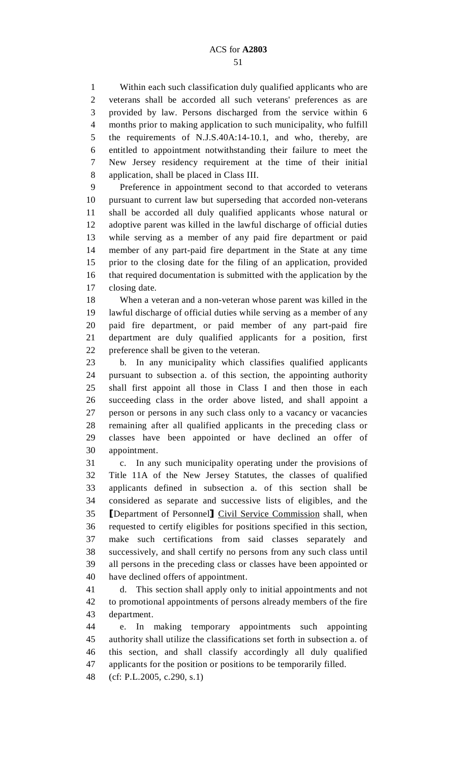1 Within each such classification duly qualified applicants who are 2 veterans shall be accorded all such veterans' preferences as are 3 provided by law. Persons discharged from the service within 6 4 months prior to making application to such municipality, who fulfill 5 the requirements of N.J.S.40A:14-10.1, and who, thereby, are 6 entitled to appointment notwithstanding their failure to meet the 7 New Jersey residency requirement at the time of their initial 8 application, shall be placed in Class III.

9 Preference in appointment second to that accorded to veterans 10 pursuant to current law but superseding that accorded non-veterans 11 shall be accorded all duly qualified applicants whose natural or 12 adoptive parent was killed in the lawful discharge of official duties 13 while serving as a member of any paid fire department or paid 14 member of any part-paid fire department in the State at any time 15 prior to the closing date for the filing of an application, provided 16 that required documentation is submitted with the application by the 17 closing date.

18 When a veteran and a non-veteran whose parent was killed in the 19 lawful discharge of official duties while serving as a member of any 20 paid fire department, or paid member of any part-paid fire 21 department are duly qualified applicants for a position, first 22 preference shall be given to the veteran.

23 b. In any municipality which classifies qualified applicants 24 pursuant to subsection a. of this section, the appointing authority 25 shall first appoint all those in Class I and then those in each 26 succeeding class in the order above listed, and shall appoint a 27 person or persons in any such class only to a vacancy or vacancies 28 remaining after all qualified applicants in the preceding class or 29 classes have been appointed or have declined an offer of 30 appointment.

31 c. In any such municipality operating under the provisions of 32 Title 11A of the New Jersey Statutes, the classes of qualified 33 applicants defined in subsection a. of this section shall be 34 considered as separate and successive lists of eligibles, and the 35 [Department of Personnel] Civil Service Commission shall, when<br>36 requested to certify eligibles for positions specified in this section. requested to certify eligibles for positions specified in this section, 37 make such certifications from said classes separately and 38 successively, and shall certify no persons from any such class until 39 all persons in the preceding class or classes have been appointed or 40 have declined offers of appointment.

41 d. This section shall apply only to initial appointments and not 42 to promotional appointments of persons already members of the fire 43 department.

44 e. In making temporary appointments such appointing 45 authority shall utilize the classifications set forth in subsection a. of 46 this section, and shall classify accordingly all duly qualified 47 applicants for the position or positions to be temporarily filled.

48 (cf: P.L.2005, c.290, s.1)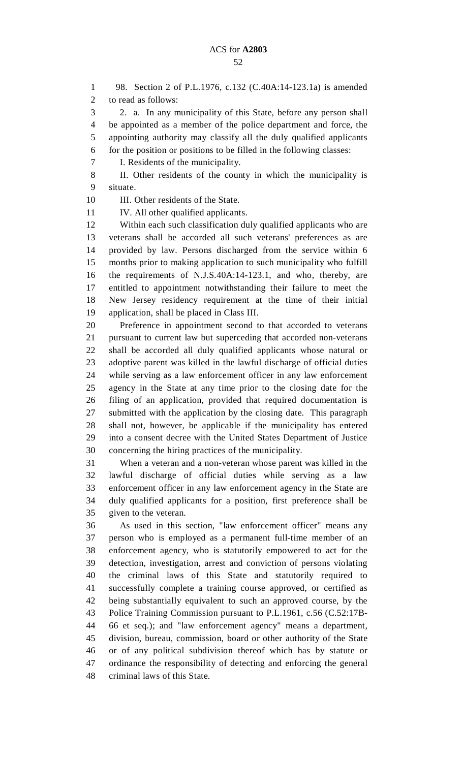1 98. Section 2 of P.L.1976, c.132 (C.40A:14-123.1a) is amended 2 to read as follows:

3 2. a. In any municipality of this State, before any person shall 4 be appointed as a member of the police department and force, the 5 appointing authority may classify all the duly qualified applicants

6 for the position or positions to be filled in the following classes:

7 I. Residents of the municipality.

8 II. Other residents of the county in which the municipality is 9 situate.

10 III. Other residents of the State.

11 IV. All other qualified applicants.

12 Within each such classification duly qualified applicants who are 13 veterans shall be accorded all such veterans' preferences as are 14 provided by law. Persons discharged from the service within 6 15 months prior to making application to such municipality who fulfill 16 the requirements of N.J.S.40A:14-123.1, and who, thereby, are 17 entitled to appointment notwithstanding their failure to meet the 18 New Jersey residency requirement at the time of their initial 19 application, shall be placed in Class III.

20 Preference in appointment second to that accorded to veterans 21 pursuant to current law but superceding that accorded non-veterans 22 shall be accorded all duly qualified applicants whose natural or 23 adoptive parent was killed in the lawful discharge of official duties 24 while serving as a law enforcement officer in any law enforcement 25 agency in the State at any time prior to the closing date for the 26 filing of an application, provided that required documentation is 27 submitted with the application by the closing date. This paragraph 28 shall not, however, be applicable if the municipality has entered 29 into a consent decree with the United States Department of Justice 30 concerning the hiring practices of the municipality.

31 When a veteran and a non-veteran whose parent was killed in the 32 lawful discharge of official duties while serving as a law 33 enforcement officer in any law enforcement agency in the State are 34 duly qualified applicants for a position, first preference shall be 35 given to the veteran.

36 As used in this section, "law enforcement officer" means any 37 person who is employed as a permanent full-time member of an 38 enforcement agency, who is statutorily empowered to act for the 39 detection, investigation, arrest and conviction of persons violating 40 the criminal laws of this State and statutorily required to 41 successfully complete a training course approved, or certified as 42 being substantially equivalent to such an approved course, by the 43 Police Training Commission pursuant to P.L.1961, c.56 (C.52:17B-44 66 et seq.); and "law enforcement agency" means a department, 45 division, bureau, commission, board or other authority of the State 46 or of any political subdivision thereof which has by statute or 47 ordinance the responsibility of detecting and enforcing the general 48 criminal laws of this State.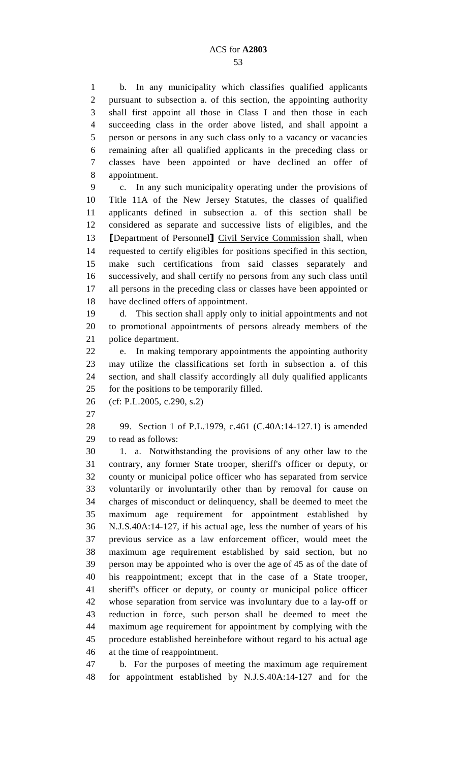1 b. In any municipality which classifies qualified applicants 2 pursuant to subsection a. of this section, the appointing authority 3 shall first appoint all those in Class I and then those in each 4 succeeding class in the order above listed, and shall appoint a 5 person or persons in any such class only to a vacancy or vacancies 6 remaining after all qualified applicants in the preceding class or 7 classes have been appointed or have declined an offer of 8 appointment.

9 c. In any such municipality operating under the provisions of 10 Title 11A of the New Jersey Statutes, the classes of qualified 11 applicants defined in subsection a. of this section shall be 12 considered as separate and successive lists of eligibles, and the 13 [Department of Personnel] Civil Service Commission shall, when<br>14 requested to certify eligibles for positions specified in this section. requested to certify eligibles for positions specified in this section, 15 make such certifications from said classes separately and 16 successively, and shall certify no persons from any such class until 17 all persons in the preceding class or classes have been appointed or 18 have declined offers of appointment.

19 d. This section shall apply only to initial appointments and not 20 to promotional appointments of persons already members of the 21 police department.

22 e. In making temporary appointments the appointing authority 23 may utilize the classifications set forth in subsection a. of this 24 section, and shall classify accordingly all duly qualified applicants 25 for the positions to be temporarily filled.

- 26 (cf: P.L.2005, c.290, s.2)
- 27

28 99. Section 1 of P.L.1979, c.461 (C.40A:14-127.1) is amended 29 to read as follows:

30 1. a. Notwithstanding the provisions of any other law to the 31 contrary, any former State trooper, sheriff's officer or deputy, or 32 county or municipal police officer who has separated from service 33 voluntarily or involuntarily other than by removal for cause on 34 charges of misconduct or delinquency, shall be deemed to meet the 35 maximum age requirement for appointment established by 36 N.J.S.40A:14-127, if his actual age, less the number of years of his 37 previous service as a law enforcement officer, would meet the 38 maximum age requirement established by said section, but no 39 person may be appointed who is over the age of 45 as of the date of 40 his reappointment; except that in the case of a State trooper, 41 sheriff's officer or deputy, or county or municipal police officer 42 whose separation from service was involuntary due to a lay-off or 43 reduction in force, such person shall be deemed to meet the 44 maximum age requirement for appointment by complying with the 45 procedure established hereinbefore without regard to his actual age 46 at the time of reappointment.

47 b. For the purposes of meeting the maximum age requirement 48 for appointment established by N.J.S.40A:14-127 and for the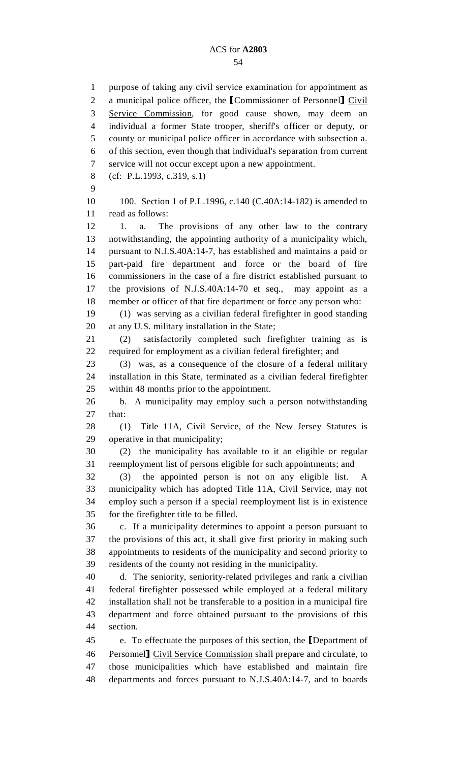1 purpose of taking any civil service examination for appointment as 2 a municipal police officer, the [Commissioner of Personnel] Civil<br>3 Service Commission, for good cause shown, may deem an Service Commission, for good cause shown, may deem an 4 individual a former State trooper, sheriff's officer or deputy, or 5 county or municipal police officer in accordance with subsection a. 6 of this section, even though that individual's separation from current 7 service will not occur except upon a new appointment. 8 (cf: P.L.1993, c.319, s.1) 9 10 100. Section 1 of P.L.1996, c.140 (C.40A:14-182) is amended to 11 read as follows: 12 1. a. The provisions of any other law to the contrary 13 notwithstanding, the appointing authority of a municipality which, 14 pursuant to N.J.S.40A:14-7, has established and maintains a paid or 15 part-paid fire department and force or the board of fire 16 commissioners in the case of a fire district established pursuant to 17 the provisions of N.J.S.40A:14-70 et seq., may appoint as a 18 member or officer of that fire department or force any person who: 19 (1) was serving as a civilian federal firefighter in good standing 20 at any U.S. military installation in the State; 21 (2) satisfactorily completed such firefighter training as is 22 required for employment as a civilian federal firefighter; and 23 (3) was, as a consequence of the closure of a federal military 24 installation in this State, terminated as a civilian federal firefighter 25 within 48 months prior to the appointment. 26 b. A municipality may employ such a person notwithstanding 27 that: 28 (1) Title 11A, Civil Service, of the New Jersey Statutes is 29 operative in that municipality; 30 (2) the municipality has available to it an eligible or regular 31 reemployment list of persons eligible for such appointments; and 32 (3) the appointed person is not on any eligible list. A 33 municipality which has adopted Title 11A, Civil Service, may not 34 employ such a person if a special reemployment list is in existence 35 for the firefighter title to be filled. 36 c. If a municipality determines to appoint a person pursuant to 37 the provisions of this act, it shall give first priority in making such 38 appointments to residents of the municipality and second priority to 39 residents of the county not residing in the municipality. 40 d. The seniority, seniority-related privileges and rank a civilian 41 federal firefighter possessed while employed at a federal military 42 installation shall not be transferable to a position in a municipal fire 43 department and force obtained pursuant to the provisions of this 44 section. 45 e. To effectuate the purposes of this section, the [Department of 46 Personnel] Civil Service Commission shall prepare and circulate, to 46 Personnel Civil Service Commission shall prepare and circulate, to<br>47 those municipalities which have established and maintain fire those municipalities which have established and maintain fire 48 departments and forces pursuant to N.J.S.40A:14-7, and to boards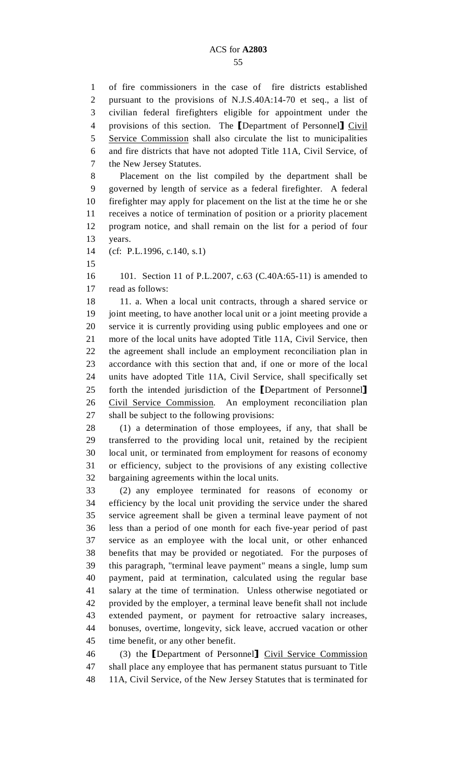1 of fire commissioners in the case of fire districts established 2 pursuant to the provisions of N.J.S.40A:14-70 et seq., a list of 3 civilian federal firefighters eligible for appointment under the 4 provisions of this section. The *[Department of Personnel]* Civil<br>5 Service Commission shall also circulate the list to municipalities Service Commission shall also circulate the list to municipalities 6 and fire districts that have not adopted Title 11A, Civil Service, of 7 the New Jersey Statutes.

8 Placement on the list compiled by the department shall be 9 governed by length of service as a federal firefighter. A federal 10 firefighter may apply for placement on the list at the time he or she 11 receives a notice of termination of position or a priority placement 12 program notice, and shall remain on the list for a period of four 13 years.

14 (cf: P.L.1996, c.140, s.1)

15

16 101. Section 11 of P.L.2007, c.63 (C.40A:65-11) is amended to 17 read as follows:

18 11. a. When a local unit contracts, through a shared service or 19 joint meeting, to have another local unit or a joint meeting provide a 20 service it is currently providing using public employees and one or 21 more of the local units have adopted Title 11A, Civil Service, then 22 the agreement shall include an employment reconciliation plan in 23 accordance with this section that and, if one or more of the local 24 units have adopted Title 11A, Civil Service, shall specifically set 25 forth the intended jurisdiction of the [Department of Personnel]<br>26 Civil Service Commission. An employment reconciliation plan Civil Service Commission. An employment reconciliation plan 27 shall be subject to the following provisions:

28 (1) a determination of those employees, if any, that shall be 29 transferred to the providing local unit, retained by the recipient 30 local unit, or terminated from employment for reasons of economy 31 or efficiency, subject to the provisions of any existing collective 32 bargaining agreements within the local units.

33 (2) any employee terminated for reasons of economy or 34 efficiency by the local unit providing the service under the shared 35 service agreement shall be given a terminal leave payment of not 36 less than a period of one month for each five-year period of past 37 service as an employee with the local unit, or other enhanced 38 benefits that may be provided or negotiated. For the purposes of 39 this paragraph, "terminal leave payment" means a single, lump sum 40 payment, paid at termination, calculated using the regular base 41 salary at the time of termination. Unless otherwise negotiated or 42 provided by the employer, a terminal leave benefit shall not include 43 extended payment, or payment for retroactive salary increases, 44 bonuses, overtime, longevity, sick leave, accrued vacation or other 45 time benefit, or any other benefit.

46 (3) the [Department of Personnel] Civil Service Commission<br>47 shall place any employee that has permanent status pursuant to Title shall place any employee that has permanent status pursuant to Title 48 11A, Civil Service, of the New Jersey Statutes that is terminated for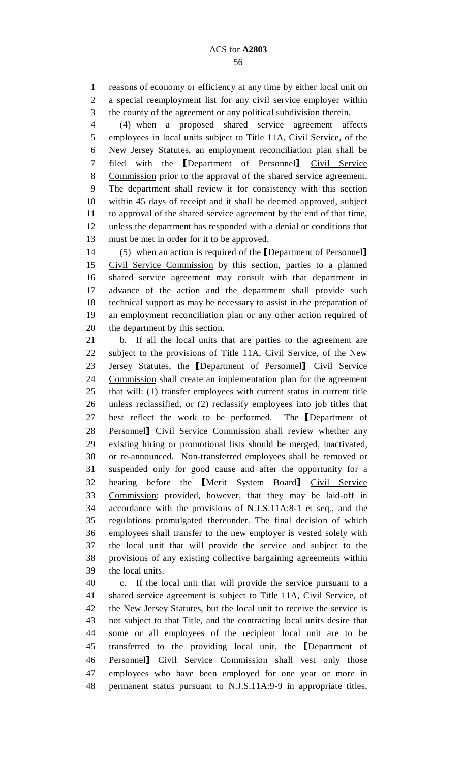1 reasons of economy or efficiency at any time by either local unit on 2 a special reemployment list for any civil service employer within 3 the county of the agreement or any political subdivision therein.

4 (4) when a proposed shared service agreement affects 5 employees in local units subject to Title 11A, Civil Service, of the 6 New Jersey Statutes, an employment reconciliation plan shall be 7 filed with the *Department* of Personnel 7 Civil Service<br>8 Commission prior to the approval of the shared service agreement. Commission prior to the approval of the shared service agreement. 9 The department shall review it for consistency with this section 10 within 45 days of receipt and it shall be deemed approved, subject 11 to approval of the shared service agreement by the end of that time, 12 unless the department has responded with a denial or conditions that 13 must be met in order for it to be approved.

14 (5) when an action is required of the [Department of Personnel]<br>15 Civil Service Commission by this section, parties to a planned Civil Service Commission by this section, parties to a planned 16 shared service agreement may consult with that department in 17 advance of the action and the department shall provide such 18 technical support as may be necessary to assist in the preparation of 19 an employment reconciliation plan or any other action required of 20 the department by this section.

21 b. If all the local units that are parties to the agreement are 22 subject to the provisions of Title 11A, Civil Service, of the New 23 Jersey Statutes, the *Department* of Personnel *Civil Service*<br>24 Commission shall create an implementation plan for the agreement Commission shall create an implementation plan for the agreement 25 that will: (1) transfer employees with current status in current title 26 unless reclassified, or (2) reclassify employees into job titles that 27 best reflect the work to be performed. The *[Department of 28 Personnel] Civil Service Commission shall review whether any* 28 Personnel Civil Service Commission shall review whether any<br>29 existing hiring or promotional lists should be merged, inactivated. existing hiring or promotional lists should be merged, inactivated, 30 or re-announced. Non-transferred employees shall be removed or 31 suspended only for good cause and after the opportunity for a 32 hearing before the [Merit System Board] Civil Service<br>33 Commission: provided however, that they may be laid-off in Commission; provided, however, that they may be laid-off in 34 accordance with the provisions of N.J.S.11A:8-1 et seq., and the 35 regulations promulgated thereunder. The final decision of which 36 employees shall transfer to the new employer is vested solely with 37 the local unit that will provide the service and subject to the 38 provisions of any existing collective bargaining agreements within 39 the local units.

40 c. If the local unit that will provide the service pursuant to a 41 shared service agreement is subject to Title 11A, Civil Service, of 42 the New Jersey Statutes, but the local unit to receive the service is 43 not subject to that Title, and the contracting local units desire that 44 some or all employees of the recipient local unit are to be 45 transferred to the providing local unit, the [Department of 46 Personnel] Civil Service Commission shall vest only those 46 Personnel Twill Service Commission shall vest only those<br>47 employees who have been employed for one year or more in employees who have been employed for one year or more in 48 permanent status pursuant to N.J.S.11A:9-9 in appropriate titles,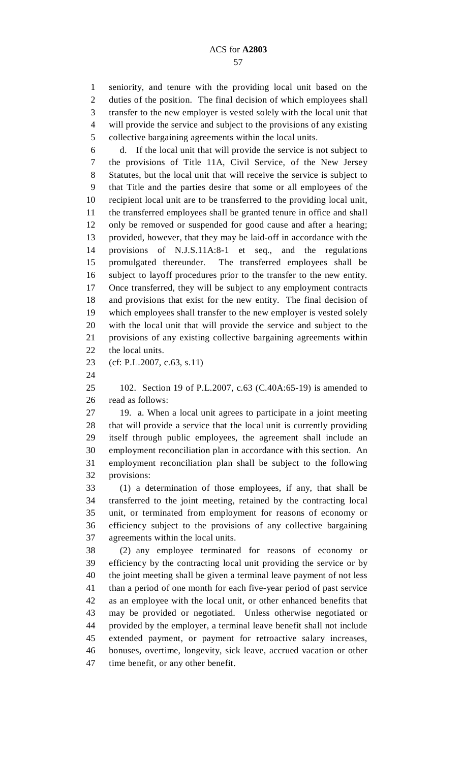1 seniority, and tenure with the providing local unit based on the 2 duties of the position. The final decision of which employees shall 3 transfer to the new employer is vested solely with the local unit that 4 will provide the service and subject to the provisions of any existing 5 collective bargaining agreements within the local units.

6 d. If the local unit that will provide the service is not subject to 7 the provisions of Title 11A, Civil Service, of the New Jersey 8 Statutes, but the local unit that will receive the service is subject to 9 that Title and the parties desire that some or all employees of the 10 recipient local unit are to be transferred to the providing local unit, 11 the transferred employees shall be granted tenure in office and shall 12 only be removed or suspended for good cause and after a hearing; 13 provided, however, that they may be laid-off in accordance with the 14 provisions of N.J.S.11A:8-1 et seq., and the regulations 15 promulgated thereunder. The transferred employees shall be 16 subject to layoff procedures prior to the transfer to the new entity. 17 Once transferred, they will be subject to any employment contracts 18 and provisions that exist for the new entity. The final decision of 19 which employees shall transfer to the new employer is vested solely 20 with the local unit that will provide the service and subject to the 21 provisions of any existing collective bargaining agreements within 22 the local units.

23 (cf: P.L.2007, c.63, s.11)

24

25 102. Section 19 of P.L.2007, c.63 (C.40A:65-19) is amended to 26 read as follows:

27 19. a. When a local unit agrees to participate in a joint meeting 28 that will provide a service that the local unit is currently providing 29 itself through public employees, the agreement shall include an 30 employment reconciliation plan in accordance with this section. An 31 employment reconciliation plan shall be subject to the following 32 provisions:

33 (1) a determination of those employees, if any, that shall be 34 transferred to the joint meeting, retained by the contracting local 35 unit, or terminated from employment for reasons of economy or 36 efficiency subject to the provisions of any collective bargaining 37 agreements within the local units.

38 (2) any employee terminated for reasons of economy or 39 efficiency by the contracting local unit providing the service or by 40 the joint meeting shall be given a terminal leave payment of not less 41 than a period of one month for each five-year period of past service 42 as an employee with the local unit, or other enhanced benefits that 43 may be provided or negotiated. Unless otherwise negotiated or 44 provided by the employer, a terminal leave benefit shall not include 45 extended payment, or payment for retroactive salary increases, 46 bonuses, overtime, longevity, sick leave, accrued vacation or other 47 time benefit, or any other benefit.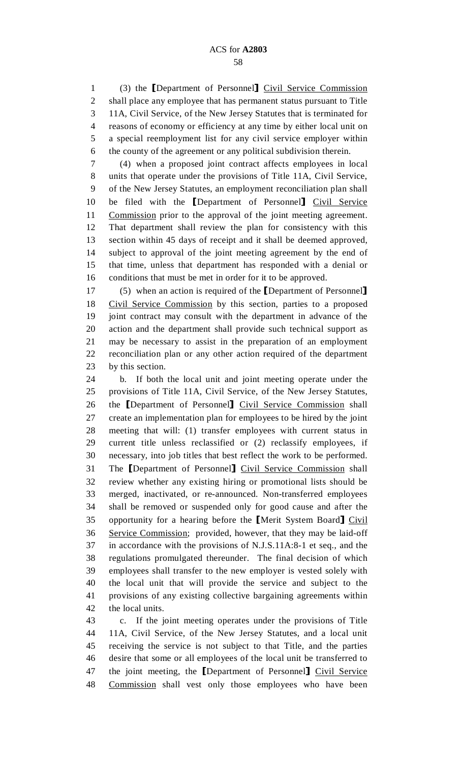1 (3) the [Department of Personnel] Civil Service Commission<br>2 shall place any employee that has permanent status pursuant to Title shall place any employee that has permanent status pursuant to Title 3 11A, Civil Service, of the New Jersey Statutes that is terminated for 4 reasons of economy or efficiency at any time by either local unit on 5 a special reemployment list for any civil service employer within 6 the county of the agreement or any political subdivision therein.

7 (4) when a proposed joint contract affects employees in local 8 units that operate under the provisions of Title 11A, Civil Service, 9 of the New Jersey Statutes, an employment reconciliation plan shall 10 be filed with the *[Department of Personnel]* Civil Service<br>11 Commission prior to the approval of the joint meeting agreement. Commission prior to the approval of the joint meeting agreement. 12 That department shall review the plan for consistency with this 13 section within 45 days of receipt and it shall be deemed approved, 14 subject to approval of the joint meeting agreement by the end of 15 that time, unless that department has responded with a denial or 16 conditions that must be met in order for it to be approved.

17 (5) when an action is required of the [Department of Personnel]<br>18 Civil Service Commission by this section parties to a proposed Civil Service Commission by this section, parties to a proposed 19 joint contract may consult with the department in advance of the 20 action and the department shall provide such technical support as 21 may be necessary to assist in the preparation of an employment 22 reconciliation plan or any other action required of the department 23 by this section.

24 b. If both the local unit and joint meeting operate under the 25 provisions of Title 11A, Civil Service, of the New Jersey Statutes, 26 the [Department of Personnel] Civil Service Commission shall<br>27 create an implementation plan for employees to be hired by the ioint 27 create an implementation plan for employees to be hired by the joint 28 meeting that will: (1) transfer employees with current status in 29 current title unless reclassified or (2) reclassify employees, if 30 necessary, into job titles that best reflect the work to be performed. 31 The [Department of Personnel] Civil Service Commission shall<br>32 review whether any existing hiring or promotional lists should be review whether any existing hiring or promotional lists should be 33 merged, inactivated, or re-announced. Non-transferred employees 34 shall be removed or suspended only for good cause and after the 35 opportunity for a hearing before the [Merit System Board] Civil<br>36 Service Commission: provided, however, that they may be laid-off Service Commission; provided, however, that they may be laid-off 37 in accordance with the provisions of N.J.S.11A:8-1 et seq., and the 38 regulations promulgated thereunder. The final decision of which 39 employees shall transfer to the new employer is vested solely with 40 the local unit that will provide the service and subject to the 41 provisions of any existing collective bargaining agreements within 42 the local units.

43 c. If the joint meeting operates under the provisions of Title 44 11A, Civil Service, of the New Jersey Statutes, and a local unit 45 receiving the service is not subject to that Title, and the parties 46 desire that some or all employees of the local unit be transferred to 47 the joint meeting, the *Department of Personnel Civil Service*<br>48 Commission shall vest only those employees who have been Commission shall vest only those employees who have been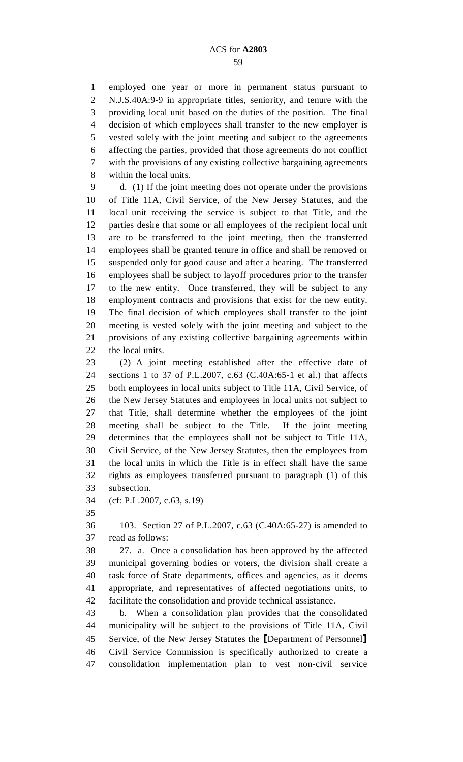1 employed one year or more in permanent status pursuant to 2 N.J.S.40A:9-9 in appropriate titles, seniority, and tenure with the 3 providing local unit based on the duties of the position. The final 4 decision of which employees shall transfer to the new employer is 5 vested solely with the joint meeting and subject to the agreements 6 affecting the parties, provided that those agreements do not conflict 7 with the provisions of any existing collective bargaining agreements 8 within the local units.

9 d. (1) If the joint meeting does not operate under the provisions 10 of Title 11A, Civil Service, of the New Jersey Statutes, and the 11 local unit receiving the service is subject to that Title, and the 12 parties desire that some or all employees of the recipient local unit 13 are to be transferred to the joint meeting, then the transferred 14 employees shall be granted tenure in office and shall be removed or 15 suspended only for good cause and after a hearing. The transferred 16 employees shall be subject to layoff procedures prior to the transfer 17 to the new entity. Once transferred, they will be subject to any 18 employment contracts and provisions that exist for the new entity. 19 The final decision of which employees shall transfer to the joint 20 meeting is vested solely with the joint meeting and subject to the 21 provisions of any existing collective bargaining agreements within 22 the local units.

23 (2) A joint meeting established after the effective date of 24 sections 1 to 37 of P.L.2007, c.63 (C.40A:65-1 et al.) that affects 25 both employees in local units subject to Title 11A, Civil Service, of 26 the New Jersey Statutes and employees in local units not subject to 27 that Title, shall determine whether the employees of the joint 28 meeting shall be subject to the Title. If the joint meeting 29 determines that the employees shall not be subject to Title 11A, 30 Civil Service, of the New Jersey Statutes, then the employees from 31 the local units in which the Title is in effect shall have the same 32 rights as employees transferred pursuant to paragraph (1) of this 33 subsection.

34 (cf: P.L.2007, c.63, s.19)

35

36 103. Section 27 of P.L.2007, c.63 (C.40A:65-27) is amended to 37 read as follows:

38 27. a. Once a consolidation has been approved by the affected 39 municipal governing bodies or voters, the division shall create a 40 task force of State departments, offices and agencies, as it deems 41 appropriate, and representatives of affected negotiations units, to 42 facilitate the consolidation and provide technical assistance.

43 b. When a consolidation plan provides that the consolidated 44 municipality will be subject to the provisions of Title 11A, Civil 45 Service, of the New Jersey Statutes the [Department of Personnel]<br>46 Civil Service Commission is specifically authorized to create a Civil Service Commission is specifically authorized to create a 47 consolidation implementation plan to vest non-civil service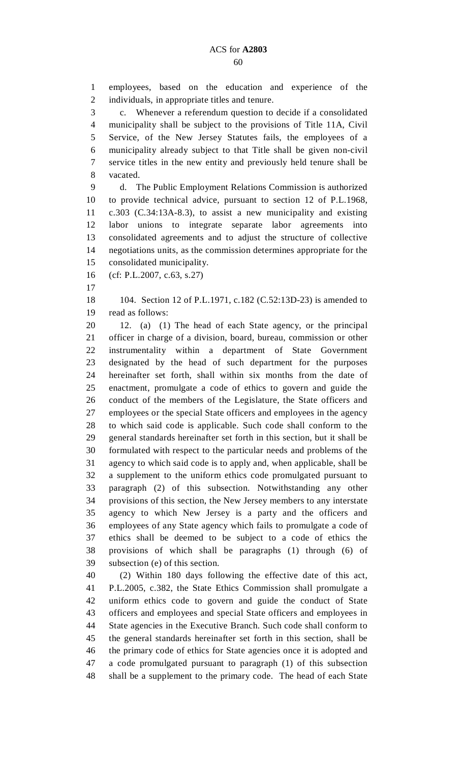1 employees, based on the education and experience of the 2 individuals, in appropriate titles and tenure. 3 c. Whenever a referendum question to decide if a consolidated 4 municipality shall be subject to the provisions of Title 11A, Civil 5 Service, of the New Jersey Statutes fails, the employees of a 6 municipality already subject to that Title shall be given non-civil 7 service titles in the new entity and previously held tenure shall be 8 vacated. 9 d. The Public Employment Relations Commission is authorized 10 to provide technical advice, pursuant to section 12 of P.L.1968, 11 c.303 (C.34:13A-8.3), to assist a new municipality and existing 12 labor unions to integrate separate labor agreements into 13 consolidated agreements and to adjust the structure of collective 14 negotiations units, as the commission determines appropriate for the 15 consolidated municipality. 16 (cf: P.L.2007, c.63, s.27) 17 18 104. Section 12 of P.L.1971, c.182 (C.52:13D-23) is amended to 19 read as follows: 20 12. (a) (1) The head of each State agency, or the principal 21 officer in charge of a division, board, bureau, commission or other 22 instrumentality within a department of State Government 23 designated by the head of such department for the purposes 24 hereinafter set forth, shall within six months from the date of 25 enactment, promulgate a code of ethics to govern and guide the 26 conduct of the members of the Legislature, the State officers and 27 employees or the special State officers and employees in the agency 28 to which said code is applicable. Such code shall conform to the 29 general standards hereinafter set forth in this section, but it shall be 30 formulated with respect to the particular needs and problems of the 31 agency to which said code is to apply and, when applicable, shall be 32 a supplement to the uniform ethics code promulgated pursuant to 33 paragraph (2) of this subsection. Notwithstanding any other 34 provisions of this section, the New Jersey members to any interstate 35 agency to which New Jersey is a party and the officers and 36 employees of any State agency which fails to promulgate a code of 37 ethics shall be deemed to be subject to a code of ethics the 38 provisions of which shall be paragraphs (1) through (6) of 39 subsection (e) of this section. 40 (2) Within 180 days following the effective date of this act, 41 P.L.2005, c.382, the State Ethics Commission shall promulgate a 42 uniform ethics code to govern and guide the conduct of State 43 officers and employees and special State officers and employees in 44 State agencies in the Executive Branch. Such code shall conform to

45 the general standards hereinafter set forth in this section, shall be 46 the primary code of ethics for State agencies once it is adopted and 47 a code promulgated pursuant to paragraph (1) of this subsection 48 shall be a supplement to the primary code. The head of each State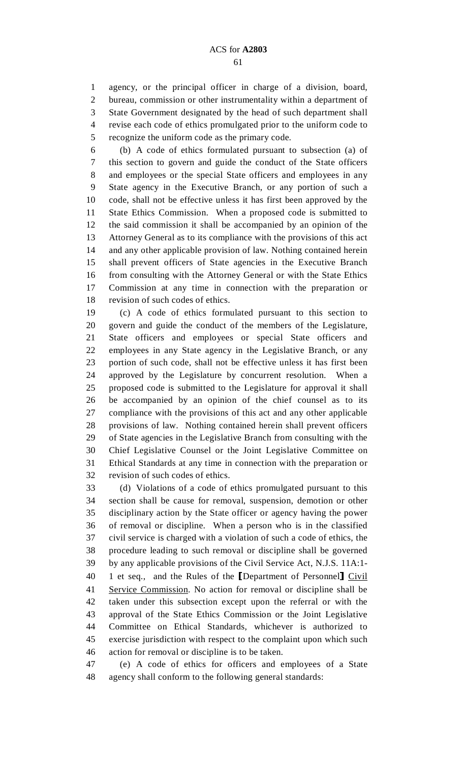1 agency, or the principal officer in charge of a division, board, 2 bureau, commission or other instrumentality within a department of 3 State Government designated by the head of such department shall 4 revise each code of ethics promulgated prior to the uniform code to 5 recognize the uniform code as the primary code.

6 (b) A code of ethics formulated pursuant to subsection (a) of 7 this section to govern and guide the conduct of the State officers 8 and employees or the special State officers and employees in any 9 State agency in the Executive Branch, or any portion of such a 10 code, shall not be effective unless it has first been approved by the 11 State Ethics Commission. When a proposed code is submitted to 12 the said commission it shall be accompanied by an opinion of the 13 Attorney General as to its compliance with the provisions of this act 14 and any other applicable provision of law. Nothing contained herein 15 shall prevent officers of State agencies in the Executive Branch 16 from consulting with the Attorney General or with the State Ethics 17 Commission at any time in connection with the preparation or 18 revision of such codes of ethics.

19 (c) A code of ethics formulated pursuant to this section to 20 govern and guide the conduct of the members of the Legislature, 21 State officers and employees or special State officers and 22 employees in any State agency in the Legislative Branch, or any 23 portion of such code, shall not be effective unless it has first been 24 approved by the Legislature by concurrent resolution. When a 25 proposed code is submitted to the Legislature for approval it shall 26 be accompanied by an opinion of the chief counsel as to its 27 compliance with the provisions of this act and any other applicable 28 provisions of law. Nothing contained herein shall prevent officers 29 of State agencies in the Legislative Branch from consulting with the 30 Chief Legislative Counsel or the Joint Legislative Committee on 31 Ethical Standards at any time in connection with the preparation or 32 revision of such codes of ethics.

33 (d) Violations of a code of ethics promulgated pursuant to this 34 section shall be cause for removal, suspension, demotion or other 35 disciplinary action by the State officer or agency having the power 36 of removal or discipline. When a person who is in the classified 37 civil service is charged with a violation of such a code of ethics, the 38 procedure leading to such removal or discipline shall be governed 39 by any applicable provisions of the Civil Service Act, N.J.S. 11A:1- 40 1 et seq., and the Rules of the *[Department of Personnel]* Civil<br>41 Service Commission. No action for removal or discipline shall be Service Commission. No action for removal or discipline shall be 42 taken under this subsection except upon the referral or with the 43 approval of the State Ethics Commission or the Joint Legislative 44 Committee on Ethical Standards, whichever is authorized to 45 exercise jurisdiction with respect to the complaint upon which such 46 action for removal or discipline is to be taken.

47 (e) A code of ethics for officers and employees of a State 48 agency shall conform to the following general standards: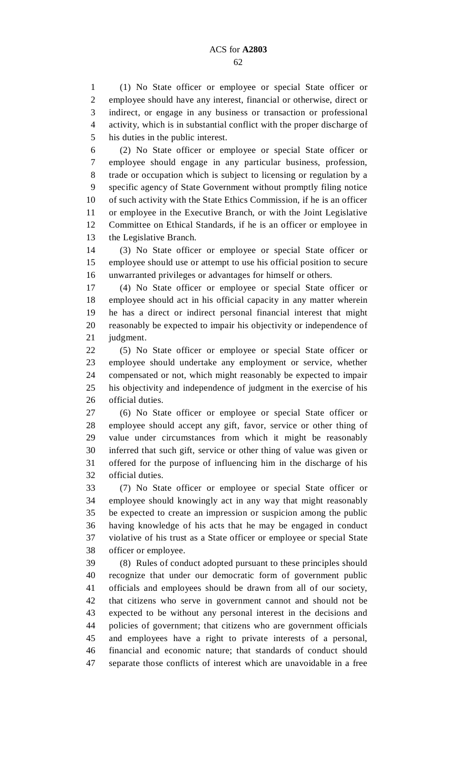1 (1) No State officer or employee or special State officer or 2 employee should have any interest, financial or otherwise, direct or 3 indirect, or engage in any business or transaction or professional 4 activity, which is in substantial conflict with the proper discharge of 5 his duties in the public interest.

6 (2) No State officer or employee or special State officer or 7 employee should engage in any particular business, profession, 8 trade or occupation which is subject to licensing or regulation by a 9 specific agency of State Government without promptly filing notice 10 of such activity with the State Ethics Commission, if he is an officer 11 or employee in the Executive Branch, or with the Joint Legislative 12 Committee on Ethical Standards, if he is an officer or employee in 13 the Legislative Branch.

14 (3) No State officer or employee or special State officer or 15 employee should use or attempt to use his official position to secure 16 unwarranted privileges or advantages for himself or others.

17 (4) No State officer or employee or special State officer or 18 employee should act in his official capacity in any matter wherein 19 he has a direct or indirect personal financial interest that might 20 reasonably be expected to impair his objectivity or independence of 21 judgment.

22 (5) No State officer or employee or special State officer or 23 employee should undertake any employment or service, whether 24 compensated or not, which might reasonably be expected to impair 25 his objectivity and independence of judgment in the exercise of his 26 official duties.

27 (6) No State officer or employee or special State officer or 28 employee should accept any gift, favor, service or other thing of 29 value under circumstances from which it might be reasonably 30 inferred that such gift, service or other thing of value was given or 31 offered for the purpose of influencing him in the discharge of his 32 official duties.

33 (7) No State officer or employee or special State officer or 34 employee should knowingly act in any way that might reasonably 35 be expected to create an impression or suspicion among the public 36 having knowledge of his acts that he may be engaged in conduct 37 violative of his trust as a State officer or employee or special State 38 officer or employee.

39 (8) Rules of conduct adopted pursuant to these principles should 40 recognize that under our democratic form of government public 41 officials and employees should be drawn from all of our society, 42 that citizens who serve in government cannot and should not be 43 expected to be without any personal interest in the decisions and 44 policies of government; that citizens who are government officials 45 and employees have a right to private interests of a personal, 46 financial and economic nature; that standards of conduct should 47 separate those conflicts of interest which are unavoidable in a free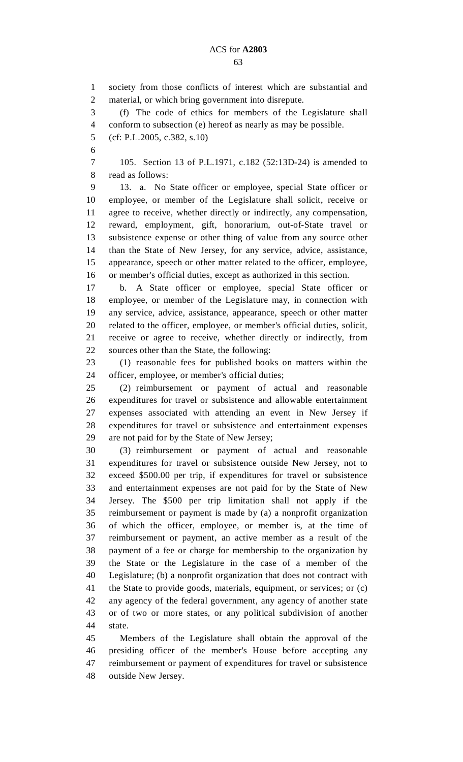1 society from those conflicts of interest which are substantial and 2 material, or which bring government into disrepute. 3 (f) The code of ethics for members of the Legislature shall 4 conform to subsection (e) hereof as nearly as may be possible. 5 (cf: P.L.2005, c.382, s.10) 6 7 105. Section 13 of P.L.1971, c.182 (52:13D-24) is amended to 8 read as follows: 9 13. a. No State officer or employee, special State officer or 10 employee, or member of the Legislature shall solicit, receive or 11 agree to receive, whether directly or indirectly, any compensation, 12 reward, employment, gift, honorarium, out-of-State travel or 13 subsistence expense or other thing of value from any source other 14 than the State of New Jersey, for any service, advice, assistance, 15 appearance, speech or other matter related to the officer, employee, 16 or member's official duties, except as authorized in this section. 17 b. A State officer or employee, special State officer or 18 employee, or member of the Legislature may, in connection with 19 any service, advice, assistance, appearance, speech or other matter 20 related to the officer, employee, or member's official duties, solicit, 21 receive or agree to receive, whether directly or indirectly, from 22 sources other than the State, the following: 23 (1) reasonable fees for published books on matters within the 24 officer, employee, or member's official duties; 25 (2) reimbursement or payment of actual and reasonable 26 expenditures for travel or subsistence and allowable entertainment 27 expenses associated with attending an event in New Jersey if 28 expenditures for travel or subsistence and entertainment expenses 29 are not paid for by the State of New Jersey; 30 (3) reimbursement or payment of actual and reasonable 31 expenditures for travel or subsistence outside New Jersey, not to 32 exceed \$500.00 per trip, if expenditures for travel or subsistence 33 and entertainment expenses are not paid for by the State of New 34 Jersey. The \$500 per trip limitation shall not apply if the 35 reimbursement or payment is made by (a) a nonprofit organization 36 of which the officer, employee, or member is, at the time of 37 reimbursement or payment, an active member as a result of the 38 payment of a fee or charge for membership to the organization by 39 the State or the Legislature in the case of a member of the 40 Legislature; (b) a nonprofit organization that does not contract with 41 the State to provide goods, materials, equipment, or services; or (c) 42 any agency of the federal government, any agency of another state 43 or of two or more states, or any political subdivision of another 44 state. 45 Members of the Legislature shall obtain the approval of the 46 presiding officer of the member's House before accepting any 47 reimbursement or payment of expenditures for travel or subsistence 48 outside New Jersey.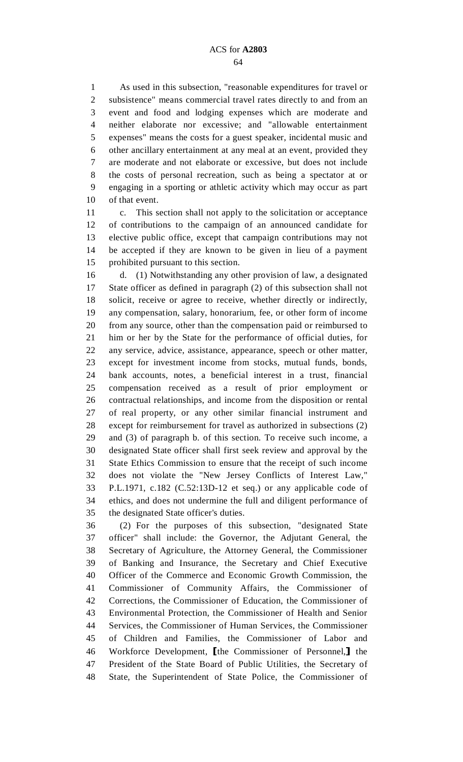1 As used in this subsection, "reasonable expenditures for travel or 2 subsistence" means commercial travel rates directly to and from an 3 event and food and lodging expenses which are moderate and 4 neither elaborate nor excessive; and "allowable entertainment 5 expenses" means the costs for a guest speaker, incidental music and 6 other ancillary entertainment at any meal at an event, provided they 7 are moderate and not elaborate or excessive, but does not include 8 the costs of personal recreation, such as being a spectator at or 9 engaging in a sporting or athletic activity which may occur as part 10 of that event.

11 c. This section shall not apply to the solicitation or acceptance 12 of contributions to the campaign of an announced candidate for 13 elective public office, except that campaign contributions may not 14 be accepted if they are known to be given in lieu of a payment 15 prohibited pursuant to this section.

16 d. (1) Notwithstanding any other provision of law, a designated 17 State officer as defined in paragraph (2) of this subsection shall not 18 solicit, receive or agree to receive, whether directly or indirectly, 19 any compensation, salary, honorarium, fee, or other form of income 20 from any source, other than the compensation paid or reimbursed to 21 him or her by the State for the performance of official duties, for 22 any service, advice, assistance, appearance, speech or other matter, 23 except for investment income from stocks, mutual funds, bonds, 24 bank accounts, notes, a beneficial interest in a trust, financial 25 compensation received as a result of prior employment or 26 contractual relationships, and income from the disposition or rental 27 of real property, or any other similar financial instrument and 28 except for reimbursement for travel as authorized in subsections (2) 29 and (3) of paragraph b. of this section. To receive such income, a 30 designated State officer shall first seek review and approval by the 31 State Ethics Commission to ensure that the receipt of such income 32 does not violate the "New Jersey Conflicts of Interest Law," 33 P.L.1971, c.182 (C.52:13D-12 et seq.) or any applicable code of 34 ethics, and does not undermine the full and diligent performance of 35 the designated State officer's duties.

36 (2) For the purposes of this subsection, "designated State 37 officer" shall include: the Governor, the Adjutant General, the 38 Secretary of Agriculture, the Attorney General, the Commissioner 39 of Banking and Insurance, the Secretary and Chief Executive 40 Officer of the Commerce and Economic Growth Commission, the 41 Commissioner of Community Affairs, the Commissioner of 42 Corrections, the Commissioner of Education, the Commissioner of 43 Environmental Protection, the Commissioner of Health and Senior 44 Services, the Commissioner of Human Services, the Commissioner 45 of Children and Families, the Commissioner of Labor and 46 Workforce Development, [the Commissioner of Personnel,] the<br>47 President of the State Board of Public Utilities, the Secretary of President of the State Board of Public Utilities, the Secretary of 48 State, the Superintendent of State Police, the Commissioner of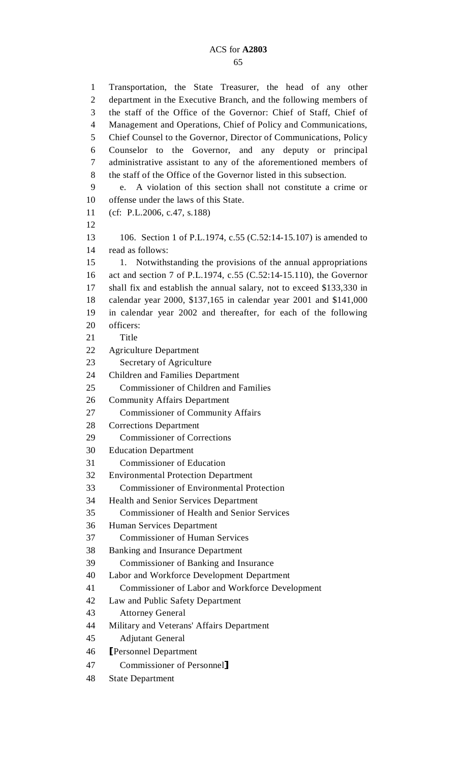1 Transportation, the State Treasurer, the head of any other 2 department in the Executive Branch, and the following members of 3 the staff of the Office of the Governor: Chief of Staff, Chief of 4 Management and Operations, Chief of Policy and Communications, 5 Chief Counsel to the Governor, Director of Communications, Policy 6 Counselor to the Governor, and any deputy or principal 7 administrative assistant to any of the aforementioned members of 8 the staff of the Office of the Governor listed in this subsection. 9 e. A violation of this section shall not constitute a crime or 10 offense under the laws of this State. 11 (cf: P.L.2006, c.47, s.188) 12 13 106. Section 1 of P.L.1974, c.55 (C.52:14-15.107) is amended to 14 read as follows: 15 1. Notwithstanding the provisions of the annual appropriations 16 act and section 7 of P.L.1974, c.55 (C.52:14-15.110), the Governor 17 shall fix and establish the annual salary, not to exceed \$133,330 in 18 calendar year 2000, \$137,165 in calendar year 2001 and \$141,000 19 in calendar year 2002 and thereafter, for each of the following 20 officers: 21 Title 22 Agriculture Department 23 Secretary of Agriculture 24 Children and Families Department 25 Commissioner of Children and Families 26 Community Affairs Department 27 Commissioner of Community Affairs 28 Corrections Department 29 Commissioner of Corrections 30 Education Department 31 Commissioner of Education 32 Environmental Protection Department 33 Commissioner of Environmental Protection 34 Health and Senior Services Department 35 Commissioner of Health and Senior Services 36 Human Services Department 37 Commissioner of Human Services 38 Banking and Insurance Department 39 Commissioner of Banking and Insurance 40 Labor and Workforce Development Department 41 Commissioner of Labor and Workforce Development 42 Law and Public Safety Department 43 Attorney General 44 Military and Veterans' Affairs Department 45 Adjutant General 46 **[Personnel Department**<br>47 **Commissioner of Per** 47 Commissioner of Personnel]<br>48 State Department

**State Department**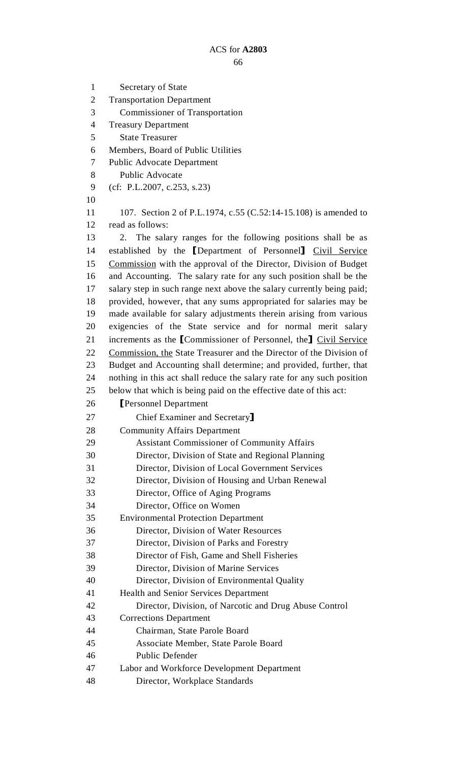1 Secretary of State 2 Transportation Department 3 Commissioner of Transportation 4 Treasury Department 5 State Treasurer 6 Members, Board of Public Utilities 7 Public Advocate Department 8 Public Advocate 9 (cf: P.L.2007, c.253, s.23) 10 11 107. Section 2 of P.L.1974, c.55 (C.52:14-15.108) is amended to 12 read as follows: 13 2. The salary ranges for the following positions shall be as 14 established by the *[Department of Personnel]* Civil Service<br>15 Commission with the approval of the Director, Division of Budget Commission with the approval of the Director, Division of Budget 16 and Accounting. The salary rate for any such position shall be the 17 salary step in such range next above the salary currently being paid; 18 provided, however, that any sums appropriated for salaries may be 19 made available for salary adjustments therein arising from various 20 exigencies of the State service and for normal merit salary 21 increments as the [Commissioner of Personnel, the] Civil Service<br>22 Commission, the State Treasurer and the Director of the Division of Commission, the State Treasurer and the Director of the Division of 23 Budget and Accounting shall determine; and provided, further, that 24 nothing in this act shall reduce the salary rate for any such position 25 below that which is being paid on the effective date of this act: 26 [Personnel Department<br>27 Chief Examiner and 27 Chief Examiner and Secretary<br>28 Community Affairs Department **Community Affairs Department** 29 Assistant Commissioner of Community Affairs 30 Director, Division of State and Regional Planning 31 Director, Division of Local Government Services 32 Director, Division of Housing and Urban Renewal 33 Director, Office of Aging Programs 34 Director, Office on Women 35 Environmental Protection Department 36 Director, Division of Water Resources 37 Director, Division of Parks and Forestry 38 Director of Fish, Game and Shell Fisheries 39 Director, Division of Marine Services 40 Director, Division of Environmental Quality 41 Health and Senior Services Department 42 Director, Division, of Narcotic and Drug Abuse Control 43 Corrections Department 44 Chairman, State Parole Board 45 Associate Member, State Parole Board 46 Public Defender 47 Labor and Workforce Development Department 48 Director, Workplace Standards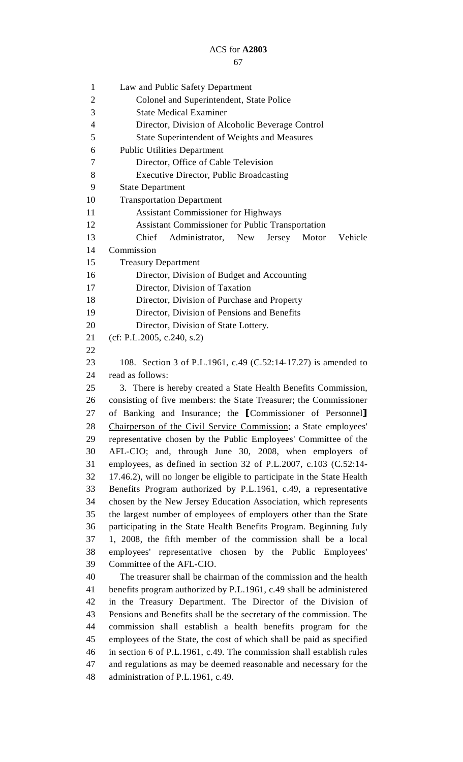| $\mathbf{1}$   | Law and Public Safety Department                                        |
|----------------|-------------------------------------------------------------------------|
| $\overline{2}$ | Colonel and Superintendent, State Police                                |
| 3              | <b>State Medical Examiner</b>                                           |
| $\overline{4}$ | Director, Division of Alcoholic Beverage Control                        |
| 5              | <b>State Superintendent of Weights and Measures</b>                     |
| 6              | <b>Public Utilities Department</b>                                      |
| 7              | Director, Office of Cable Television                                    |
| 8              | <b>Executive Director, Public Broadcasting</b>                          |
| 9              | <b>State Department</b>                                                 |
| 10             | <b>Transportation Department</b>                                        |
| 11             | <b>Assistant Commissioner for Highways</b>                              |
| 12             | <b>Assistant Commissioner for Public Transportation</b>                 |
| 13             | Chief<br>Administrator,<br><b>New</b><br>Jersey<br>Motor<br>Vehicle     |
| 14             | Commission                                                              |
| 15             | <b>Treasury Department</b>                                              |
| 16             | Director, Division of Budget and Accounting                             |
| 17             | Director, Division of Taxation                                          |
| 18             | Director, Division of Purchase and Property                             |
| 19             | Director, Division of Pensions and Benefits                             |
| 20             | Director, Division of State Lottery.                                    |
| 21             | (cf: P.L.2005, c.240, s.2)                                              |
| 22             |                                                                         |
| 23             | 108. Section 3 of P.L.1961, c.49 (C.52:14-17.27) is amended to          |
| 24             | read as follows:                                                        |
| 25             | 3. There is hereby created a State Health Benefits Commission,          |
| 26             | consisting of five members: the State Treasurer; the Commissioner       |
| 27             | of Banking and Insurance; the [Commissioner of Personnel]               |
| 28             | Chairperson of the Civil Service Commission; a State employees'         |
| 29             | representative chosen by the Public Employees' Committee of the         |
| 30             | AFL-CIO; and, through June 30, 2008, when employers of                  |
| 31             | employees, as defined in section 32 of P.L.2007, c.103 (C.52:14-        |
| 32             | 17.46.2), will no longer be eligible to participate in the State Health |
| 33             | Benefits Program authorized by P.L.1961, c.49, a representative         |
| 34             | chosen by the New Jersey Education Association, which represents        |
| 35             | the largest number of employees of employers other than the State       |
| 36             | participating in the State Health Benefits Program. Beginning July      |
| 37             | 1, 2008, the fifth member of the commission shall be a local            |
| 38             | employees' representative chosen by the Public Employees'               |
| 39             | Committee of the AFL-CIO.                                               |
| 40             | The treasurer shall be chairman of the commission and the health        |
| 41             | benefits program authorized by P.L.1961, c.49 shall be administered     |
| 42             | in the Treasury Department. The Director of the Division of             |
| 43             | Pensions and Benefits shall be the secretary of the commission. The     |
| 44             | commission shall establish a health benefits program for the            |
| 45             | employees of the State, the cost of which shall be paid as specified    |
| 46             | in section 6 of P.L.1961, c.49. The commission shall establish rules    |
| 47             | and regulations as may be deemed reasonable and necessary for the       |
| 48             | administration of P.L.1961, c.49.                                       |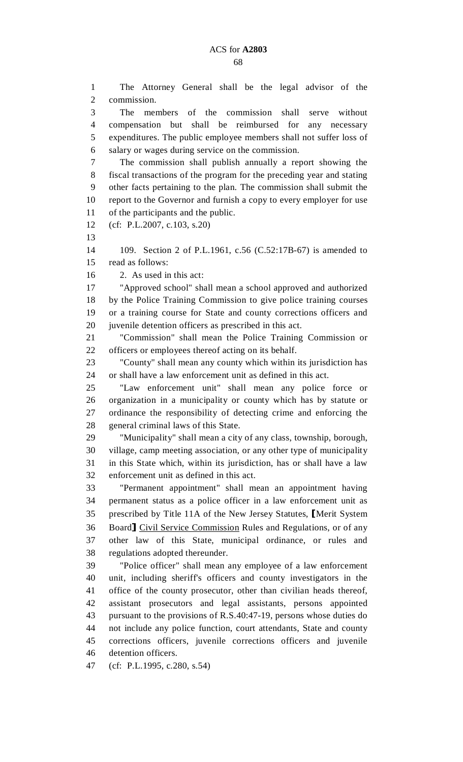1 The Attorney General shall be the legal advisor of the 2 commission. 3 The members of the commission shall serve without 4 compensation but shall be reimbursed for any necessary 5 expenditures. The public employee members shall not suffer loss of 6 salary or wages during service on the commission. 7 The commission shall publish annually a report showing the 8 fiscal transactions of the program for the preceding year and stating 9 other facts pertaining to the plan. The commission shall submit the 10 report to the Governor and furnish a copy to every employer for use 11 of the participants and the public. 12 (cf: P.L.2007, c.103, s.20) 13 14 109. Section 2 of P.L.1961, c.56 (C.52:17B-67) is amended to 15 read as follows: 16 2. As used in this act: 17 "Approved school" shall mean a school approved and authorized 18 by the Police Training Commission to give police training courses 19 or a training course for State and county corrections officers and 20 juvenile detention officers as prescribed in this act. 21 "Commission" shall mean the Police Training Commission or 22 officers or employees thereof acting on its behalf. 23 "County" shall mean any county which within its jurisdiction has 24 or shall have a law enforcement unit as defined in this act. 25 "Law enforcement unit" shall mean any police force or 26 organization in a municipality or county which has by statute or 27 ordinance the responsibility of detecting crime and enforcing the 28 general criminal laws of this State. 29 "Municipality" shall mean a city of any class, township, borough, 30 village, camp meeting association, or any other type of municipality 31 in this State which, within its jurisdiction, has or shall have a law 32 enforcement unit as defined in this act. 33 "Permanent appointment" shall mean an appointment having 34 permanent status as a police officer in a law enforcement unit as 35 prescribed by Title 11A of the New Jersey Statutes, [Merit System 36 Board] Civil Service Commission Rules and Regulations, or of any 36 Board] Civil Service Commission Rules and Regulations, or of any<br>37 other law of this State, municipal ordinance, or rules and other law of this State, municipal ordinance, or rules and 38 regulations adopted thereunder. 39 "Police officer" shall mean any employee of a law enforcement 40 unit, including sheriff's officers and county investigators in the 41 office of the county prosecutor, other than civilian heads thereof, 42 assistant prosecutors and legal assistants, persons appointed 43 pursuant to the provisions of R.S.40:47-19, persons whose duties do 44 not include any police function, court attendants, State and county 45 corrections officers, juvenile corrections officers and juvenile 46 detention officers.

47 (cf: P.L.1995, c.280, s.54)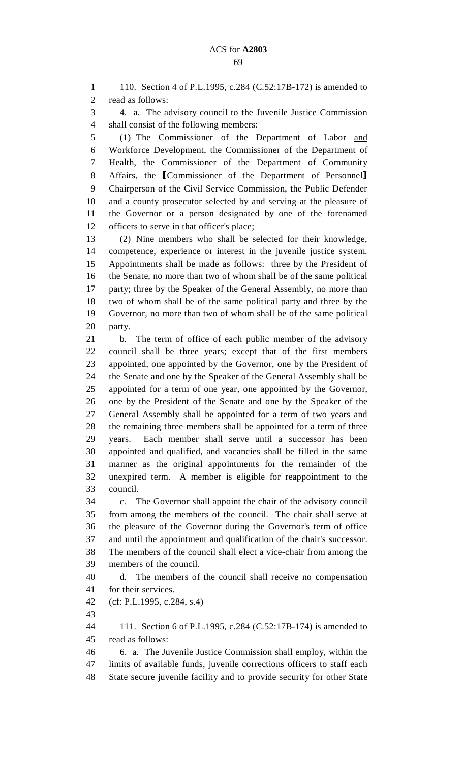1 110. Section 4 of P.L.1995, c.284 (C.52:17B-172) is amended to 2 read as follows:

3 4. a. The advisory council to the Juvenile Justice Commission 4 shall consist of the following members:

5 (1) The Commissioner of the Department of Labor and 6 Workforce Development, the Commissioner of the Department of 7 Health, the Commissioner of the Department of Community 8 Affairs, the [Commissioner of the Department of Personnel]<br>9 Chairperson of the Civil Service Commission, the Public Defender Chairperson of the Civil Service Commission, the Public Defender 10 and a county prosecutor selected by and serving at the pleasure of 11 the Governor or a person designated by one of the forenamed 12 officers to serve in that officer's place;

13 (2) Nine members who shall be selected for their knowledge, 14 competence, experience or interest in the juvenile justice system. 15 Appointments shall be made as follows: three by the President of 16 the Senate, no more than two of whom shall be of the same political 17 party; three by the Speaker of the General Assembly, no more than 18 two of whom shall be of the same political party and three by the 19 Governor, no more than two of whom shall be of the same political 20 party.

21 b. The term of office of each public member of the advisory 22 council shall be three years; except that of the first members 23 appointed, one appointed by the Governor, one by the President of 24 the Senate and one by the Speaker of the General Assembly shall be 25 appointed for a term of one year, one appointed by the Governor, 26 one by the President of the Senate and one by the Speaker of the 27 General Assembly shall be appointed for a term of two years and 28 the remaining three members shall be appointed for a term of three 29 years. Each member shall serve until a successor has been 30 appointed and qualified, and vacancies shall be filled in the same 31 manner as the original appointments for the remainder of the 32 unexpired term. A member is eligible for reappointment to the 33 council.

34 c. The Governor shall appoint the chair of the advisory council 35 from among the members of the council. The chair shall serve at 36 the pleasure of the Governor during the Governor's term of office 37 and until the appointment and qualification of the chair's successor. 38 The members of the council shall elect a vice-chair from among the 39 members of the council.

40 d. The members of the council shall receive no compensation 41 for their services.

42 (cf: P.L.1995, c.284, s.4)

43

44 111. Section 6 of P.L.1995, c.284 (C.52:17B-174) is amended to 45 read as follows:

46 6. a. The Juvenile Justice Commission shall employ, within the 47 limits of available funds, juvenile corrections officers to staff each 48 State secure juvenile facility and to provide security for other State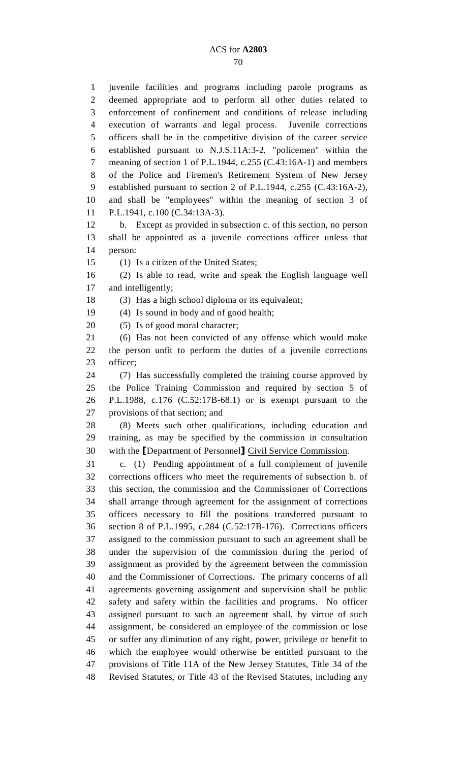1 juvenile facilities and programs including parole programs as 2 deemed appropriate and to perform all other duties related to 3 enforcement of confinement and conditions of release including 4 execution of warrants and legal process. Juvenile corrections 5 officers shall be in the competitive division of the career service 6 established pursuant to N.J.S.11A:3-2, "policemen" within the 7 meaning of section 1 of P.L.1944, c.255 (C.43:16A-1) and members 8 of the Police and Firemen's Retirement System of New Jersey 9 established pursuant to section 2 of P.L.1944, c.255 (C.43:16A-2), 10 and shall be "employees" within the meaning of section 3 of 11 P.L.1941, c.100 (C.34:13A-3).

12 b. Except as provided in subsection c. of this section, no person 13 shall be appointed as a juvenile corrections officer unless that 14 person:

15 (1) Is a citizen of the United States;

16 (2) Is able to read, write and speak the English language well 17 and intelligently;

18 (3) Has a high school diploma or its equivalent;

19 (4) Is sound in body and of good health;

20 (5) Is of good moral character;

21 (6) Has not been convicted of any offense which would make 22 the person unfit to perform the duties of a juvenile corrections 23 officer;

24 (7) Has successfully completed the training course approved by 25 the Police Training Commission and required by section 5 of 26 P.L.1988, c.176 (C.52:17B-68.1) or is exempt pursuant to the 27 provisions of that section; and

28 (8) Meets such other qualifications, including education and 29 training, as may be specified by the commission in consultation 30 with the [Department of Personnel] Civil Service Commission.<br>31 c. (1) Pending appointment of a full complement of juve

c. (1) Pending appointment of a full complement of juvenile 32 corrections officers who meet the requirements of subsection b. of 33 this section, the commission and the Commissioner of Corrections 34 shall arrange through agreement for the assignment of corrections 35 officers necessary to fill the positions transferred pursuant to 36 section 8 of P.L.1995, c.284 (C.52:17B-176). Corrections officers 37 assigned to the commission pursuant to such an agreement shall be 38 under the supervision of the commission during the period of 39 assignment as provided by the agreement between the commission 40 and the Commissioner of Corrections. The primary concerns of all 41 agreements governing assignment and supervision shall be public 42 safety and safety within the facilities and programs. No officer 43 assigned pursuant to such an agreement shall, by virtue of such 44 assignment, be considered an employee of the commission or lose 45 or suffer any diminution of any right, power, privilege or benefit to 46 which the employee would otherwise be entitled pursuant to the 47 provisions of Title 11A of the New Jersey Statutes, Title 34 of the 48 Revised Statutes, or Title 43 of the Revised Statutes, including any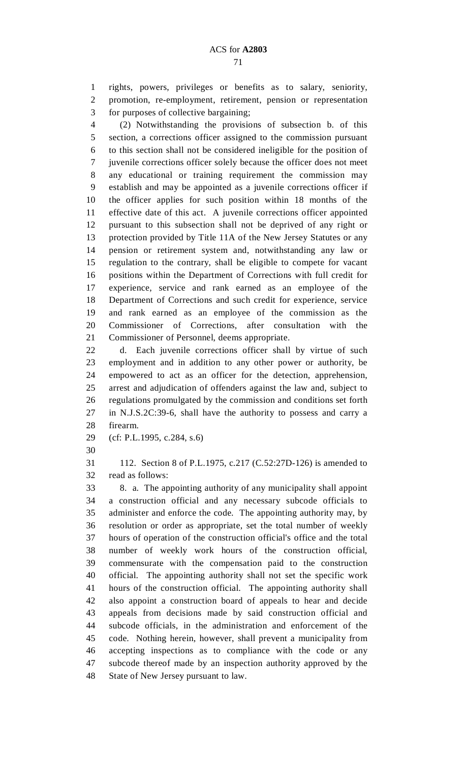1 rights, powers, privileges or benefits as to salary, seniority, 2 promotion, re-employment, retirement, pension or representation 3 for purposes of collective bargaining;

4 (2) Notwithstanding the provisions of subsection b. of this 5 section, a corrections officer assigned to the commission pursuant 6 to this section shall not be considered ineligible for the position of 7 juvenile corrections officer solely because the officer does not meet 8 any educational or training requirement the commission may 9 establish and may be appointed as a juvenile corrections officer if 10 the officer applies for such position within 18 months of the 11 effective date of this act. A juvenile corrections officer appointed 12 pursuant to this subsection shall not be deprived of any right or 13 protection provided by Title 11A of the New Jersey Statutes or any 14 pension or retirement system and, notwithstanding any law or 15 regulation to the contrary, shall be eligible to compete for vacant 16 positions within the Department of Corrections with full credit for 17 experience, service and rank earned as an employee of the 18 Department of Corrections and such credit for experience, service 19 and rank earned as an employee of the commission as the 20 Commissioner of Corrections, after consultation with the 21 Commissioner of Personnel, deems appropriate.

22 d. Each juvenile corrections officer shall by virtue of such 23 employment and in addition to any other power or authority, be 24 empowered to act as an officer for the detection, apprehension, 25 arrest and adjudication of offenders against the law and, subject to 26 regulations promulgated by the commission and conditions set forth 27 in N.J.S.2C:39-6, shall have the authority to possess and carry a 28 firearm.

29 (cf: P.L.1995, c.284, s.6)

30

31 112. Section 8 of P.L.1975, c.217 (C.52:27D-126) is amended to 32 read as follows:

33 8. a. The appointing authority of any municipality shall appoint 34 a construction official and any necessary subcode officials to 35 administer and enforce the code. The appointing authority may, by 36 resolution or order as appropriate, set the total number of weekly 37 hours of operation of the construction official's office and the total 38 number of weekly work hours of the construction official, 39 commensurate with the compensation paid to the construction 40 official. The appointing authority shall not set the specific work 41 hours of the construction official. The appointing authority shall 42 also appoint a construction board of appeals to hear and decide 43 appeals from decisions made by said construction official and 44 subcode officials, in the administration and enforcement of the 45 code. Nothing herein, however, shall prevent a municipality from 46 accepting inspections as to compliance with the code or any 47 subcode thereof made by an inspection authority approved by the 48 State of New Jersey pursuant to law.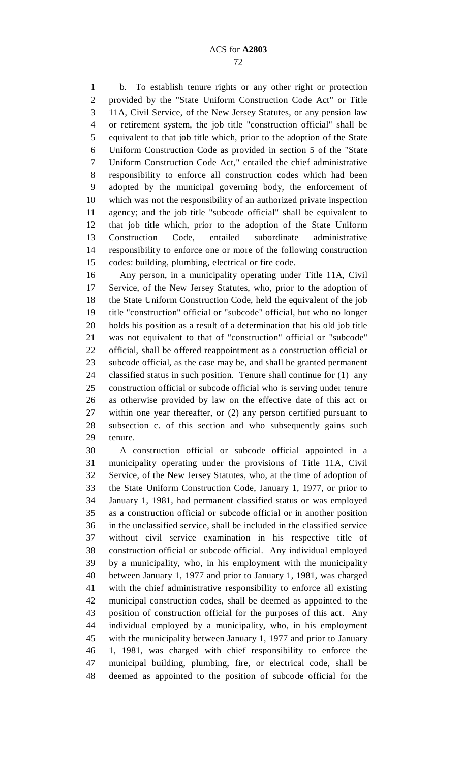1 b. To establish tenure rights or any other right or protection 2 provided by the "State Uniform Construction Code Act" or Title 3 11A, Civil Service, of the New Jersey Statutes, or any pension law 4 or retirement system, the job title "construction official" shall be 5 equivalent to that job title which, prior to the adoption of the State 6 Uniform Construction Code as provided in section 5 of the "State 7 Uniform Construction Code Act," entailed the chief administrative 8 responsibility to enforce all construction codes which had been 9 adopted by the municipal governing body, the enforcement of 10 which was not the responsibility of an authorized private inspection 11 agency; and the job title "subcode official" shall be equivalent to 12 that job title which, prior to the adoption of the State Uniform 13 Construction Code, entailed subordinate administrative 14 responsibility to enforce one or more of the following construction 15 codes: building, plumbing, electrical or fire code.

16 Any person, in a municipality operating under Title 11A, Civil 17 Service, of the New Jersey Statutes, who, prior to the adoption of 18 the State Uniform Construction Code, held the equivalent of the job 19 title "construction" official or "subcode" official, but who no longer 20 holds his position as a result of a determination that his old job title 21 was not equivalent to that of "construction" official or "subcode" 22 official, shall be offered reappointment as a construction official or 23 subcode official, as the case may be, and shall be granted permanent 24 classified status in such position. Tenure shall continue for (1) any 25 construction official or subcode official who is serving under tenure 26 as otherwise provided by law on the effective date of this act or 27 within one year thereafter, or (2) any person certified pursuant to 28 subsection c. of this section and who subsequently gains such 29 tenure.

30 A construction official or subcode official appointed in a 31 municipality operating under the provisions of Title 11A, Civil 32 Service, of the New Jersey Statutes, who, at the time of adoption of 33 the State Uniform Construction Code, January 1, 1977, or prior to 34 January 1, 1981, had permanent classified status or was employed 35 as a construction official or subcode official or in another position 36 in the unclassified service, shall be included in the classified service 37 without civil service examination in his respective title of 38 construction official or subcode official. Any individual employed 39 by a municipality, who, in his employment with the municipality 40 between January 1, 1977 and prior to January 1, 1981, was charged 41 with the chief administrative responsibility to enforce all existing 42 municipal construction codes, shall be deemed as appointed to the 43 position of construction official for the purposes of this act. Any 44 individual employed by a municipality, who, in his employment 45 with the municipality between January 1, 1977 and prior to January 46 1, 1981, was charged with chief responsibility to enforce the 47 municipal building, plumbing, fire, or electrical code, shall be 48 deemed as appointed to the position of subcode official for the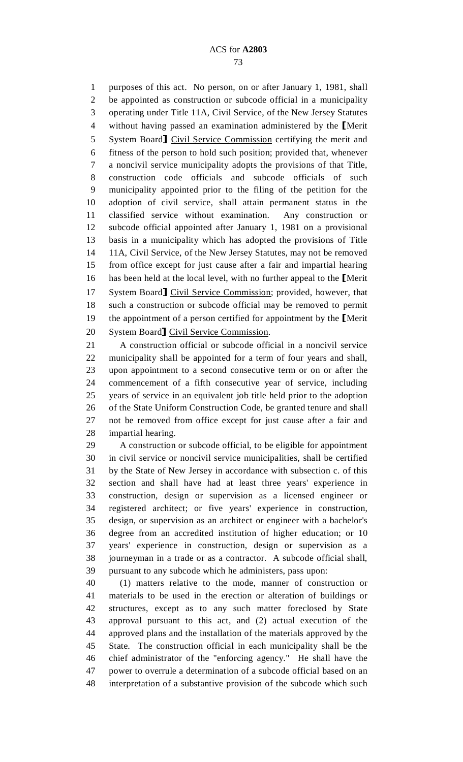1 purposes of this act. No person, on or after January 1, 1981, shall 2 be appointed as construction or subcode official in a municipality 3 operating under Title 11A, Civil Service, of the New Jersey Statutes 4 without having passed an examination administered by the [Merit 5 System Board] Civil Service Commission certifying the merit and 5 System Board Civil Service Commission certifying the merit and<br>6 fitness of the person to hold such position: provided that, whenever fitness of the person to hold such position; provided that, whenever 7 a noncivil service municipality adopts the provisions of that Title, 8 construction code officials and subcode officials of such 9 municipality appointed prior to the filing of the petition for the 10 adoption of civil service, shall attain permanent status in the 11 classified service without examination. Any construction or 12 subcode official appointed after January 1, 1981 on a provisional 13 basis in a municipality which has adopted the provisions of Title 14 11A, Civil Service, of the New Jersey Statutes, may not be removed 15 from office except for just cause after a fair and impartial hearing 16 has been held at the local level, with no further appeal to the [Merit 17 System Board] Civil Service Commission; provided, however, that 17 System Board Civil Service Commission; provided, however, that<br>18 such a construction or subcode official may be removed to permit such a construction or subcode official may be removed to permit 19 the appointment of a person certified for appointment by the [Merit 20 System Board ] Civil Service Commission. 20 System Board <u>Civil Service Commission</u>.<br>21 A construction official or subcode office

A construction official or subcode official in a noncivil service 22 municipality shall be appointed for a term of four years and shall, 23 upon appointment to a second consecutive term or on or after the 24 commencement of a fifth consecutive year of service, including 25 years of service in an equivalent job title held prior to the adoption 26 of the State Uniform Construction Code, be granted tenure and shall 27 not be removed from office except for just cause after a fair and 28 impartial hearing.

29 A construction or subcode official, to be eligible for appointment 30 in civil service or noncivil service municipalities, shall be certified 31 by the State of New Jersey in accordance with subsection c. of this 32 section and shall have had at least three years' experience in 33 construction, design or supervision as a licensed engineer or 34 registered architect; or five years' experience in construction, 35 design, or supervision as an architect or engineer with a bachelor's 36 degree from an accredited institution of higher education; or 10 37 years' experience in construction, design or supervision as a 38 journeyman in a trade or as a contractor. A subcode official shall, 39 pursuant to any subcode which he administers, pass upon:

40 (1) matters relative to the mode, manner of construction or 41 materials to be used in the erection or alteration of buildings or 42 structures, except as to any such matter foreclosed by State 43 approval pursuant to this act, and (2) actual execution of the 44 approved plans and the installation of the materials approved by the 45 State. The construction official in each municipality shall be the 46 chief administrator of the "enforcing agency." He shall have the 47 power to overrule a determination of a subcode official based on an 48 interpretation of a substantive provision of the subcode which such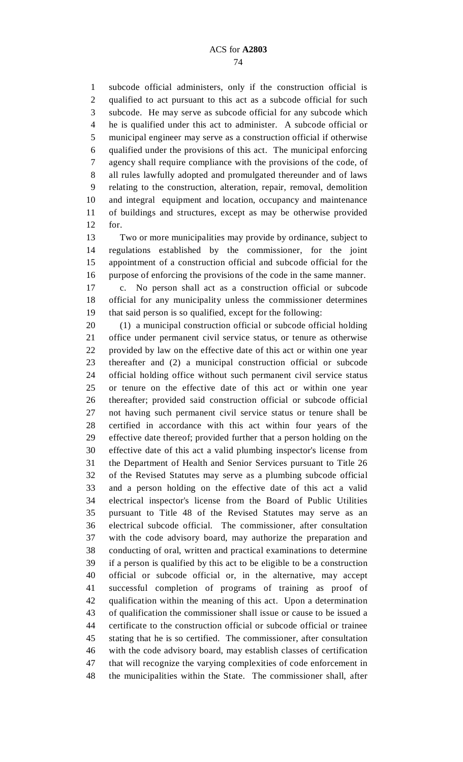1 subcode official administers, only if the construction official is 2 qualified to act pursuant to this act as a subcode official for such 3 subcode. He may serve as subcode official for any subcode which 4 he is qualified under this act to administer. A subcode official or 5 municipal engineer may serve as a construction official if otherwise 6 qualified under the provisions of this act. The municipal enforcing 7 agency shall require compliance with the provisions of the code, of 8 all rules lawfully adopted and promulgated thereunder and of laws 9 relating to the construction, alteration, repair, removal, demolition 10 and integral equipment and location, occupancy and maintenance 11 of buildings and structures, except as may be otherwise provided 12 for.

13 Two or more municipalities may provide by ordinance, subject to 14 regulations established by the commissioner, for the joint 15 appointment of a construction official and subcode official for the 16 purpose of enforcing the provisions of the code in the same manner. 17 c. No person shall act as a construction official or subcode

18 official for any municipality unless the commissioner determines 19 that said person is so qualified, except for the following:

20 (1) a municipal construction official or subcode official holding 21 office under permanent civil service status, or tenure as otherwise 22 provided by law on the effective date of this act or within one year 23 thereafter and (2) a municipal construction official or subcode 24 official holding office without such permanent civil service status 25 or tenure on the effective date of this act or within one year 26 thereafter; provided said construction official or subcode official 27 not having such permanent civil service status or tenure shall be 28 certified in accordance with this act within four years of the 29 effective date thereof; provided further that a person holding on the 30 effective date of this act a valid plumbing inspector's license from 31 the Department of Health and Senior Services pursuant to Title 26 32 of the Revised Statutes may serve as a plumbing subcode official 33 and a person holding on the effective date of this act a valid 34 electrical inspector's license from the Board of Public Utilities 35 pursuant to Title 48 of the Revised Statutes may serve as an 36 electrical subcode official. The commissioner, after consultation 37 with the code advisory board, may authorize the preparation and 38 conducting of oral, written and practical examinations to determine 39 if a person is qualified by this act to be eligible to be a construction 40 official or subcode official or, in the alternative, may accept 41 successful completion of programs of training as proof of 42 qualification within the meaning of this act. Upon a determination 43 of qualification the commissioner shall issue or cause to be issued a 44 certificate to the construction official or subcode official or trainee 45 stating that he is so certified. The commissioner, after consultation 46 with the code advisory board, may establish classes of certification 47 that will recognize the varying complexities of code enforcement in 48 the municipalities within the State. The commissioner shall, after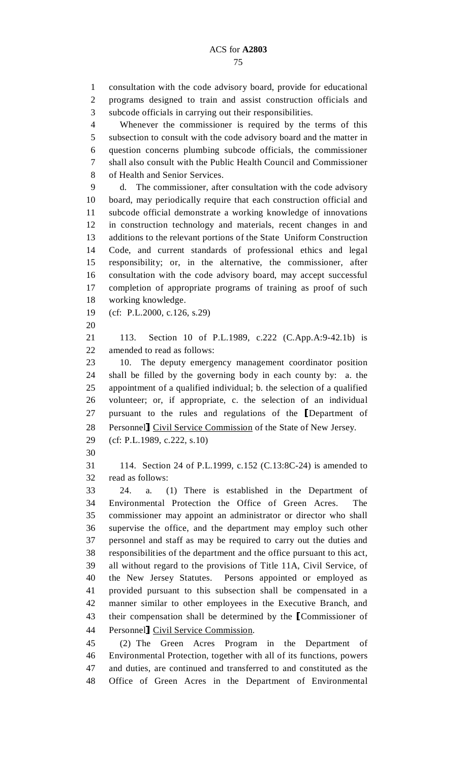1 consultation with the code advisory board, provide for educational 2 programs designed to train and assist construction officials and 3 subcode officials in carrying out their responsibilities.

4 Whenever the commissioner is required by the terms of this 5 subsection to consult with the code advisory board and the matter in 6 question concerns plumbing subcode officials, the commissioner 7 shall also consult with the Public Health Council and Commissioner 8 of Health and Senior Services.

9 d. The commissioner, after consultation with the code advisory 10 board, may periodically require that each construction official and 11 subcode official demonstrate a working knowledge of innovations 12 in construction technology and materials, recent changes in and 13 additions to the relevant portions of the State Uniform Construction 14 Code, and current standards of professional ethics and legal 15 responsibility; or, in the alternative, the commissioner, after 16 consultation with the code advisory board, may accept successful 17 completion of appropriate programs of training as proof of such 18 working knowledge.

19 (cf: P.L.2000, c.126, s.29)

20

21 113. Section 10 of P.L.1989, c.222 (C.App.A:9-42.1b) is 22 amended to read as follows:

23 10. The deputy emergency management coordinator position 24 shall be filled by the governing body in each county by: a. the 25 appointment of a qualified individual; b. the selection of a qualified 26 volunteer; or, if appropriate, c. the selection of an individual 27 pursuant to the rules and regulations of the *[Department of 28 Personnel]* Civil Service Commission of the State of New Jersey. 28 Personnel Civil Service Commission of the State of New Jersey.<br>29 (cf: P.L. 1989, c. 222, s. 10)

(cf: P.L.1989, c.222, s.10)

30

31 114. Section 24 of P.L.1999, c.152 (C.13:8C-24) is amended to 32 read as follows:

33 24. a. (1) There is established in the Department of 34 Environmental Protection the Office of Green Acres. The 35 commissioner may appoint an administrator or director who shall 36 supervise the office, and the department may employ such other 37 personnel and staff as may be required to carry out the duties and 38 responsibilities of the department and the office pursuant to this act, 39 all without regard to the provisions of Title 11A, Civil Service, of 40 the New Jersey Statutes. Persons appointed or employed as 41 provided pursuant to this subsection shall be compensated in a 42 manner similar to other employees in the Executive Branch, and 43 their compensation shall be determined by the [Commissioner of 44 Personnel] Civil Service Commission. 44 Personnel Civil Service Commission.<br>45 (2) The Green Acres Program

45 (2) The Green Acres Program in the Department of 46 Environmental Protection, together with all of its functions, powers 47 and duties, are continued and transferred to and constituted as the 48 Office of Green Acres in the Department of Environmental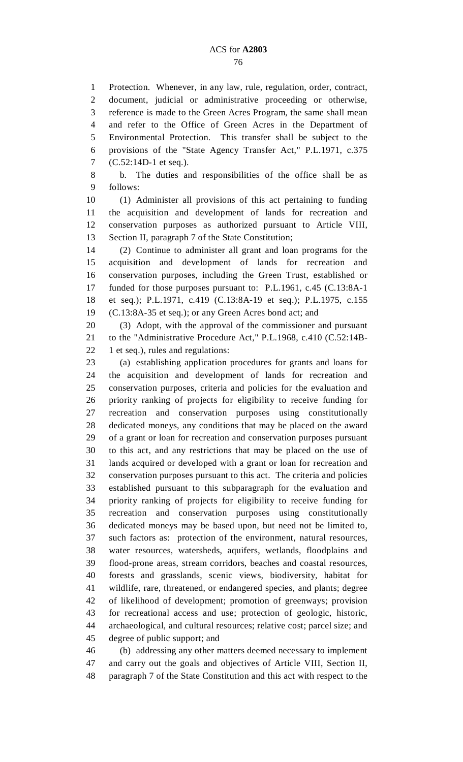1 Protection. Whenever, in any law, rule, regulation, order, contract, 2 document, judicial or administrative proceeding or otherwise, 3 reference is made to the Green Acres Program, the same shall mean 4 and refer to the Office of Green Acres in the Department of 5 Environmental Protection. This transfer shall be subject to the 6 provisions of the "State Agency Transfer Act," P.L.1971, c.375 7 (C.52:14D-1 et seq.).

8 b. The duties and responsibilities of the office shall be as 9 follows:

10 (1) Administer all provisions of this act pertaining to funding 11 the acquisition and development of lands for recreation and 12 conservation purposes as authorized pursuant to Article VIII, 13 Section II, paragraph 7 of the State Constitution;

14 (2) Continue to administer all grant and loan programs for the 15 acquisition and development of lands for recreation and 16 conservation purposes, including the Green Trust, established or 17 funded for those purposes pursuant to: P.L.1961, c.45 (C.13:8A-1 18 et seq.); P.L.1971, c.419 (C.13:8A-19 et seq.); P.L.1975, c.155 19 (C.13:8A-35 et seq.); or any Green Acres bond act; and

20 (3) Adopt, with the approval of the commissioner and pursuant 21 to the "Administrative Procedure Act," P.L.1968, c.410 (C.52:14B-22 1 et seq.), rules and regulations:

23 (a) establishing application procedures for grants and loans for 24 the acquisition and development of lands for recreation and 25 conservation purposes, criteria and policies for the evaluation and 26 priority ranking of projects for eligibility to receive funding for 27 recreation and conservation purposes using constitutionally 28 dedicated moneys, any conditions that may be placed on the award 29 of a grant or loan for recreation and conservation purposes pursuant 30 to this act, and any restrictions that may be placed on the use of 31 lands acquired or developed with a grant or loan for recreation and 32 conservation purposes pursuant to this act. The criteria and policies 33 established pursuant to this subparagraph for the evaluation and 34 priority ranking of projects for eligibility to receive funding for 35 recreation and conservation purposes using constitutionally 36 dedicated moneys may be based upon, but need not be limited to, 37 such factors as: protection of the environment, natural resources, 38 water resources, watersheds, aquifers, wetlands, floodplains and 39 flood-prone areas, stream corridors, beaches and coastal resources, 40 forests and grasslands, scenic views, biodiversity, habitat for 41 wildlife, rare, threatened, or endangered species, and plants; degree 42 of likelihood of development; promotion of greenways; provision 43 for recreational access and use; protection of geologic, historic, 44 archaeological, and cultural resources; relative cost; parcel size; and 45 degree of public support; and

46 (b) addressing any other matters deemed necessary to implement 47 and carry out the goals and objectives of Article VIII, Section II, 48 paragraph 7 of the State Constitution and this act with respect to the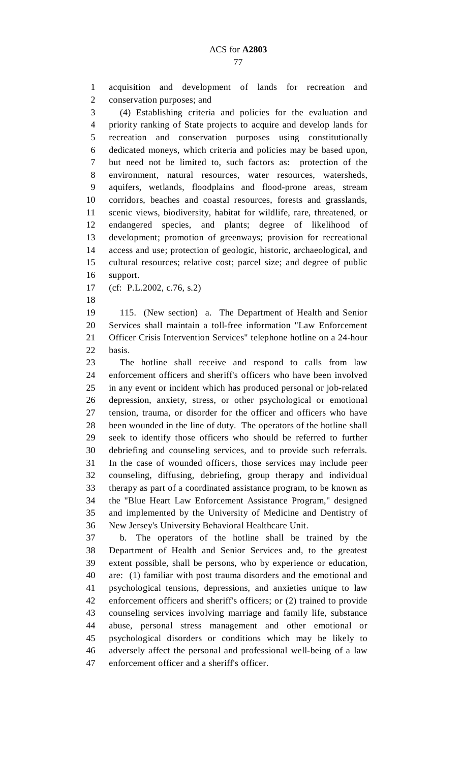1 acquisition and development of lands for recreation and 2 conservation purposes; and 3 (4) Establishing criteria and policies for the evaluation and 4 priority ranking of State projects to acquire and develop lands for 5 recreation and conservation purposes using constitutionally 6 dedicated moneys, which criteria and policies may be based upon, 7 but need not be limited to, such factors as: protection of the 8 environment, natural resources, water resources, watersheds, 9 aquifers, wetlands, floodplains and flood-prone areas, stream 10 corridors, beaches and coastal resources, forests and grasslands, 11 scenic views, biodiversity, habitat for wildlife, rare, threatened, or 12 endangered species, and plants; degree of likelihood of 13 development; promotion of greenways; provision for recreational 14 access and use; protection of geologic, historic, archaeological, and 15 cultural resources; relative cost; parcel size; and degree of public 16 support. 17 (cf: P.L.2002, c.76, s.2) 18 19 115. (New section) a. The Department of Health and Senior 20 Services shall maintain a toll-free information "Law Enforcement 21 Officer Crisis Intervention Services" telephone hotline on a 24-hour 22 basis. 23 The hotline shall receive and respond to calls from law 24 enforcement officers and sheriff's officers who have been involved 25 in any event or incident which has produced personal or job-related 26 depression, anxiety, stress, or other psychological or emotional 27 tension, trauma, or disorder for the officer and officers who have 28 been wounded in the line of duty. The operators of the hotline shall 29 seek to identify those officers who should be referred to further 30 debriefing and counseling services, and to provide such referrals. 31 In the case of wounded officers, those services may include peer 32 counseling, diffusing, debriefing, group therapy and individual 33 therapy as part of a coordinated assistance program, to be known as 34 the "Blue Heart Law Enforcement Assistance Program," designed 35 and implemented by the University of Medicine and Dentistry of 36 New Jersey's University Behavioral Healthcare Unit. 37 b. The operators of the hotline shall be trained by the 38 Department of Health and Senior Services and, to the greatest 39 extent possible, shall be persons, who by experience or education, 40 are: (1) familiar with post trauma disorders and the emotional and 41 psychological tensions, depressions, and anxieties unique to law 42 enforcement officers and sheriff's officers; or (2) trained to provide 43 counseling services involving marriage and family life, substance 44 abuse, personal stress management and other emotional or 45 psychological disorders or conditions which may be likely to

46 adversely affect the personal and professional well-being of a law

47 enforcement officer and a sheriff's officer.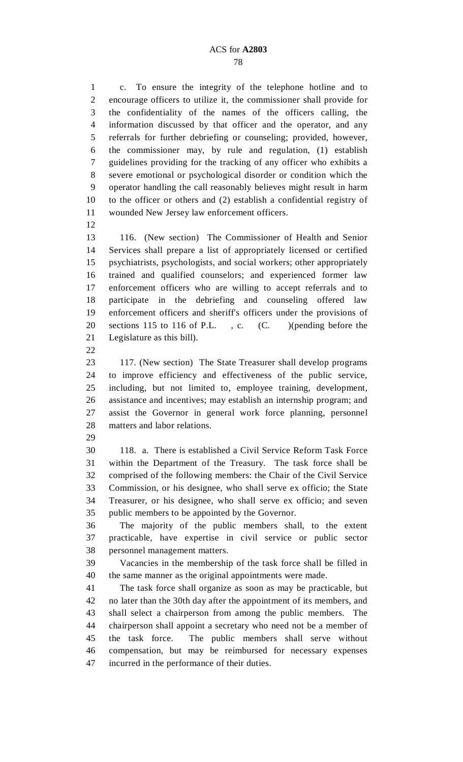1 c. To ensure the integrity of the telephone hotline and to 2 encourage officers to utilize it, the commissioner shall provide for 3 the confidentiality of the names of the officers calling, the 4 information discussed by that officer and the operator, and any 5 referrals for further debriefing or counseling; provided, however, 6 the commissioner may, by rule and regulation, (1) establish 7 guidelines providing for the tracking of any officer who exhibits a 8 severe emotional or psychological disorder or condition which the 9 operator handling the call reasonably believes might result in harm 10 to the officer or others and (2) establish a confidential registry of 11 wounded New Jersey law enforcement officers.

12

13 116. (New section) The Commissioner of Health and Senior 14 Services shall prepare a list of appropriately licensed or certified 15 psychiatrists, psychologists, and social workers; other appropriately 16 trained and qualified counselors; and experienced former law 17 enforcement officers who are willing to accept referrals and to 18 participate in the debriefing and counseling offered law 19 enforcement officers and sheriff's officers under the provisions of 20 sections 115 to 116 of P.L. , c. (C. )(pending before the 21 Legislature as this bill).

22

23 117. (New section) The State Treasurer shall develop programs 24 to improve efficiency and effectiveness of the public service, 25 including, but not limited to, employee training, development, 26 assistance and incentives; may establish an internship program; and 27 assist the Governor in general work force planning, personnel 28 matters and labor relations.

29

30 118. a. There is established a Civil Service Reform Task Force 31 within the Department of the Treasury. The task force shall be 32 comprised of the following members: the Chair of the Civil Service 33 Commission, or his designee, who shall serve ex officio; the State 34 Treasurer, or his designee, who shall serve ex officio; and seven 35 public members to be appointed by the Governor.

36 The majority of the public members shall, to the extent 37 practicable, have expertise in civil service or public sector 38 personnel management matters.

39 Vacancies in the membership of the task force shall be filled in 40 the same manner as the original appointments were made.

41 The task force shall organize as soon as may be practicable, but 42 no later than the 30th day after the appointment of its members, and 43 shall select a chairperson from among the public members. The 44 chairperson shall appoint a secretary who need not be a member of 45 the task force. The public members shall serve without 46 compensation, but may be reimbursed for necessary expenses 47 incurred in the performance of their duties.